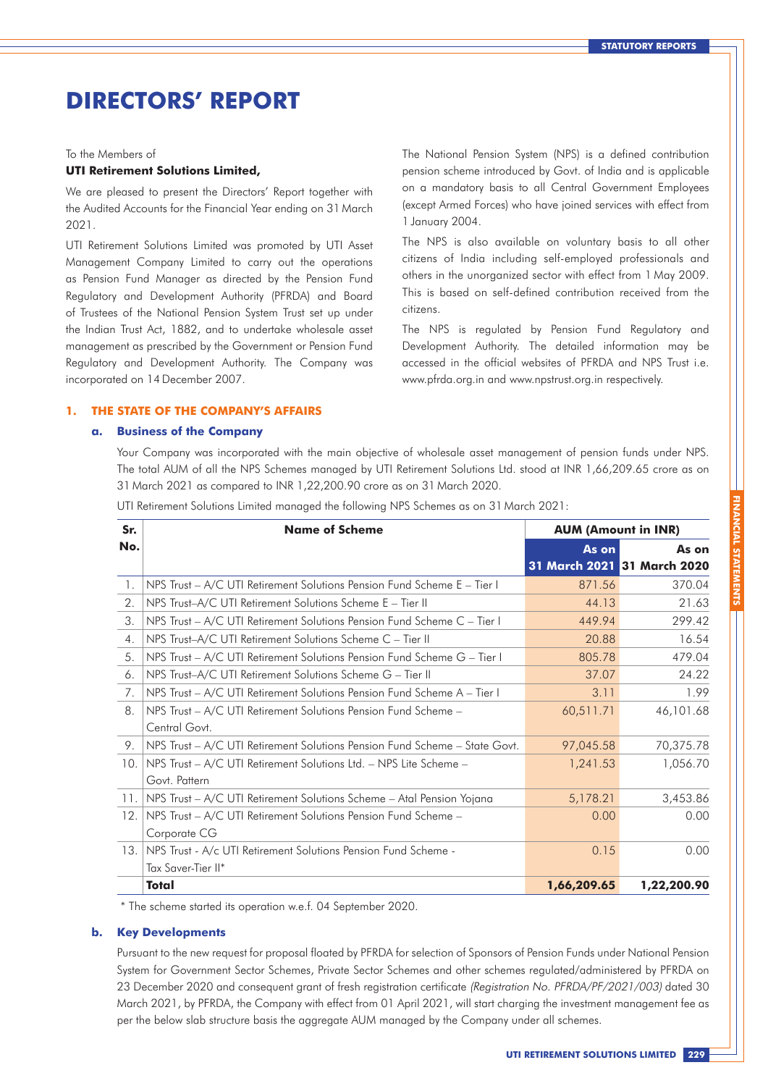### **DIRECTORS' REPORT**

To the Members of

#### **UTI Retirement Solutions Limited,**

We are pleased to present the Directors' Report together with the Audited Accounts for the Financial Year ending on 31 March 2021.

UTI Retirement Solutions Limited was promoted by UTI Asset Management Company Limited to carry out the operations as Pension Fund Manager as directed by the Pension Fund Regulatory and Development Authority (PFRDA) and Board of Trustees of the National Pension System Trust set up under the Indian Trust Act, 1882, and to undertake wholesale asset management as prescribed by the Government or Pension Fund Regulatory and Development Authority. The Company was incorporated on 14December 2007.

The National Pension System (NPS) is a defined contribution pension scheme introduced by Govt. of India and is applicable on a mandatory basis to all Central Government Employees (except Armed Forces) who have joined services with effect from 1 January 2004.

The NPS is also available on voluntary basis to all other citizens of India including self-employed professionals and others in the unorganized sector with effect from 1 May 2009. This is based on self-defined contribution received from the citizens.

The NPS is regulated by Pension Fund Regulatory and Development Authority. The detailed information may be accessed in the official websites of PFRDA and NPS Trust i.e. www.pfrda.org.in and www.npstrust.org.in respectively.

#### **1. THE STATE OF THE COMPANY'S AFFAIRS**

#### **a. Business of the Company**

Your Company was incorporated with the main objective of wholesale asset management of pension funds under NPS. The total AUM of all the NPS Schemes managed by UTI Retirement Solutions Ltd. stood at INR 1,66,209.65 crore as on 31 March 2021 as compared to INR 1,22,200.90 crore as on 31 March 2020.

| Sr.             | <b>Name of Scheme</b>                                                      | <b>AUM (Amount in INR)</b> |                             |
|-----------------|----------------------------------------------------------------------------|----------------------------|-----------------------------|
| No.             |                                                                            | As on                      | As on                       |
|                 |                                                                            |                            | 31 March 2021 31 March 2020 |
| $\mathbf{1}$ .  | NPS Trust - A/C UTI Retirement Solutions Pension Fund Scheme E - Tier I    | 871.56                     | 370.04                      |
| 2.              | NPS Trust-A/C UTI Retirement Solutions Scheme E - Tier II                  | 44.13                      | 21.63                       |
| 3.              | NPS Trust - A/C UTI Retirement Solutions Pension Fund Scheme C - Tier I    | 449.94                     | 299.42                      |
| 4.              | NPS Trust-A/C UTI Retirement Solutions Scheme C - Tier II                  | 20.88                      | 16.54                       |
| 5.              | NPS Trust - A/C UTI Retirement Solutions Pension Fund Scheme G - Tier I    | 805.78                     | 479.04                      |
| 6.              | NPS Trust-A/C UTI Retirement Solutions Scheme G - Tier II                  | 37.07                      | 24.22                       |
| 7.              | NPS Trust - A/C UTI Retirement Solutions Pension Fund Scheme A - Tier I    | 3.11                       | 1.99                        |
| 8.              | NPS Trust - A/C UTI Retirement Solutions Pension Fund Scheme -             | 60,511.71                  | 46,101.68                   |
|                 | Central Govt.                                                              |                            |                             |
| 9.              | NPS Trust - A/C UTI Retirement Solutions Pension Fund Scheme - State Govt. | 97,045.58                  | 70,375.78                   |
| 10 <sub>1</sub> | NPS Trust - A/C UTI Retirement Solutions Ltd. - NPS Lite Scheme -          | 1,241.53                   | 1,056.70                    |
|                 | Govt. Pattern                                                              |                            |                             |
| 11.             | NPS Trust - A/C UTI Retirement Solutions Scheme - Atal Pension Yojana      | 5,178.21                   | 3,453.86                    |
| 12.             | NPS Trust - A/C UTI Retirement Solutions Pension Fund Scheme -             | 0.00                       | 0.00                        |
|                 | Corporate CG                                                               |                            |                             |
|                 | 13. NPS Trust - A/c UTI Retirement Solutions Pension Fund Scheme -         | 0.15                       | 0.00                        |
|                 | Tax Saver-Tier II*                                                         |                            |                             |
|                 | Total                                                                      | 1,66,209.65                | 1,22,200.90                 |

UTI Retirement Solutions Limited managed the following NPS Schemes as on 31 March 2021:

\* The scheme started its operation w.e.f. 04 September 2020.

#### **b. Key Developments**

Pursuant to the new request for proposal floated by PFRDA for selection of Sponsors of Pension Funds under National Pension System for Government Sector Schemes, Private Sector Schemes and other schemes regulated/administered by PFRDA on 23 December 2020 and consequent grant of fresh registration certificate (Registration No. PFRDA/PF/2021/003) dated 30 March 2021, by PFRDA, the Company with effect from 01 April 2021, will start charging the investment management fee as per the below slab structure basis the aggregate AUM managed by the Company under all schemes.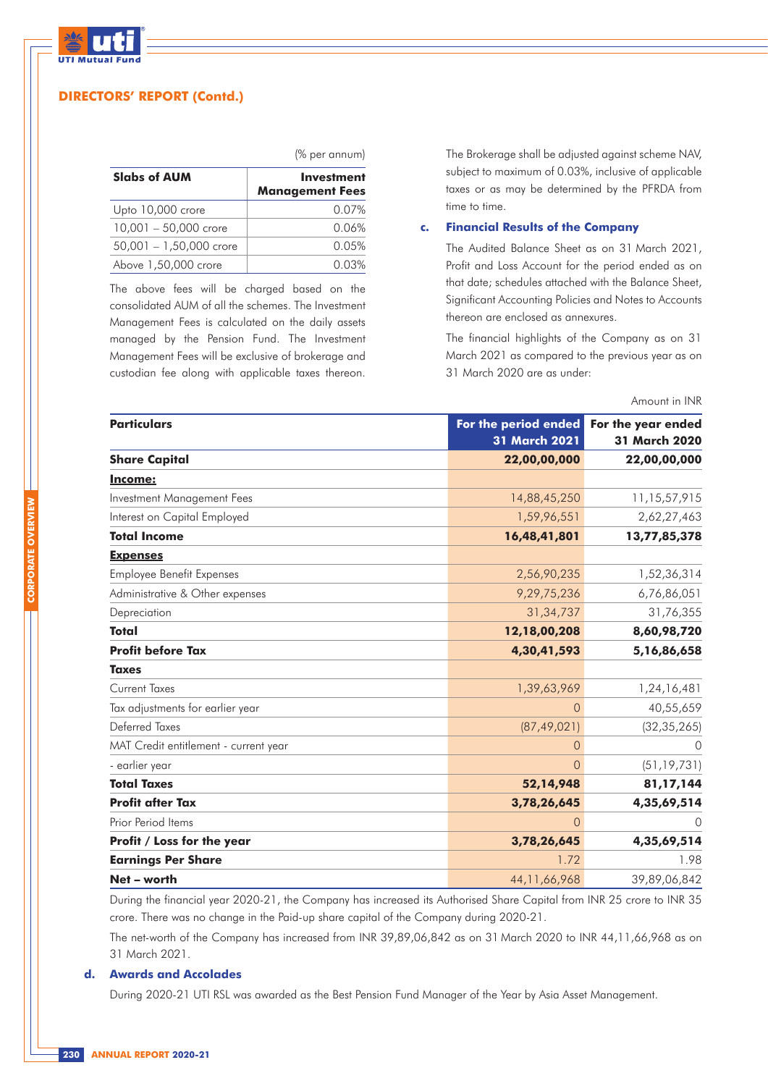

|                         | (% per annum)                        |
|-------------------------|--------------------------------------|
| <b>Slabs of AUM</b>     | Investment<br><b>Management Fees</b> |
| Upto 10,000 crore       | 0.07%                                |
| 10,001 - 50,000 crore   | 0.06%                                |
| 50,001 - 1,50,000 crore | 0.05%                                |
| Above 1,50,000 crore    | O 03%                                |

The above fees will be charged based on the consolidated AUM of all the schemes. The Investment Management Fees is calculated on the daily assets managed by the Pension Fund. The Investment Management Fees will be exclusive of brokerage and custodian fee along with applicable taxes thereon.

The Brokerage shall be adjusted against scheme NAV, subject to maximum of 0.03%, inclusive of applicable taxes or as may be determined by the PFRDA from time to time.

#### **c. Financial Results of the Company**

The Audited Balance Sheet as on 31 March 2021, Profit and Loss Account for the period ended as on that date; schedules attached with the Balance Sheet, Significant Accounting Policies and Notes to Accounts thereon are enclosed as annexures.

The financial highlights of the Company as on 31 March 2021 as compared to the previous year as on 31 March 2020 are as under:

Amount in INR

| <b>Particulars</b>                    | For the period ended | For the year ended   |
|---------------------------------------|----------------------|----------------------|
|                                       | <b>31 March 2021</b> | <b>31 March 2020</b> |
| <b>Share Capital</b>                  | 22,00,00,000         | 22,00,00,000         |
| Income:                               |                      |                      |
| Investment Management Fees            | 14,88,45,250         | 11,15,57,915         |
| Interest on Capital Employed          | 1,59,96,551          | 2,62,27,463          |
| <b>Total Income</b>                   | 16,48,41,801         | 13,77,85,378         |
| <b>Expenses</b>                       |                      |                      |
| <b>Employee Benefit Expenses</b>      | 2,56,90,235          | 1,52,36,314          |
| Administrative & Other expenses       | 9,29,75,236          | 6,76,86,051          |
| Depreciation                          | 31, 34, 737          | 31,76,355            |
| <b>Total</b>                          | 12,18,00,208         | 8,60,98,720          |
| <b>Profit before Tax</b>              | 4,30,41,593          | 5,16,86,658          |
| <b>Taxes</b>                          |                      |                      |
| <b>Current Taxes</b>                  | 1,39,63,969          | 1,24,16,481          |
| Tax adjustments for earlier year      | $\overline{0}$       | 40,55,659            |
| <b>Deferred Taxes</b>                 | (87, 49, 021)        | (32, 35, 265)        |
| MAT Credit entitlement - current year | $\overline{O}$       | $\Omega$             |
| - earlier year                        | 0                    | (51, 19, 731)        |
| <b>Total Taxes</b>                    | 52,14,948            | 81, 17, 144          |
| <b>Profit after Tax</b>               | 3,78,26,645          | 4,35,69,514          |
| Prior Period Items                    | 0                    | $\Omega$             |
| Profit / Loss for the year            | 3,78,26,645          | 4,35,69,514          |
| <b>Earnings Per Share</b>             | 1.72                 | 1.98                 |
| Net – worth                           | 44, 11, 66, 968      | 39,89,06,842         |

During the financial year 2020-21, the Company has increased its Authorised Share Capital from INR 25 crore to INR 35 crore. There was no change in the Paid-up share capital of the Company during 2020-21.

The net-worth of the Company has increased from INR 39,89,06,842 as on 31 March 2020 to INR 44,11,66,968 as on 31 March 2021.

#### **d. Awards and Accolades**

During 2020-21 UTI RSL was awarded as the Best Pension Fund Manager of the Year by Asia Asset Management.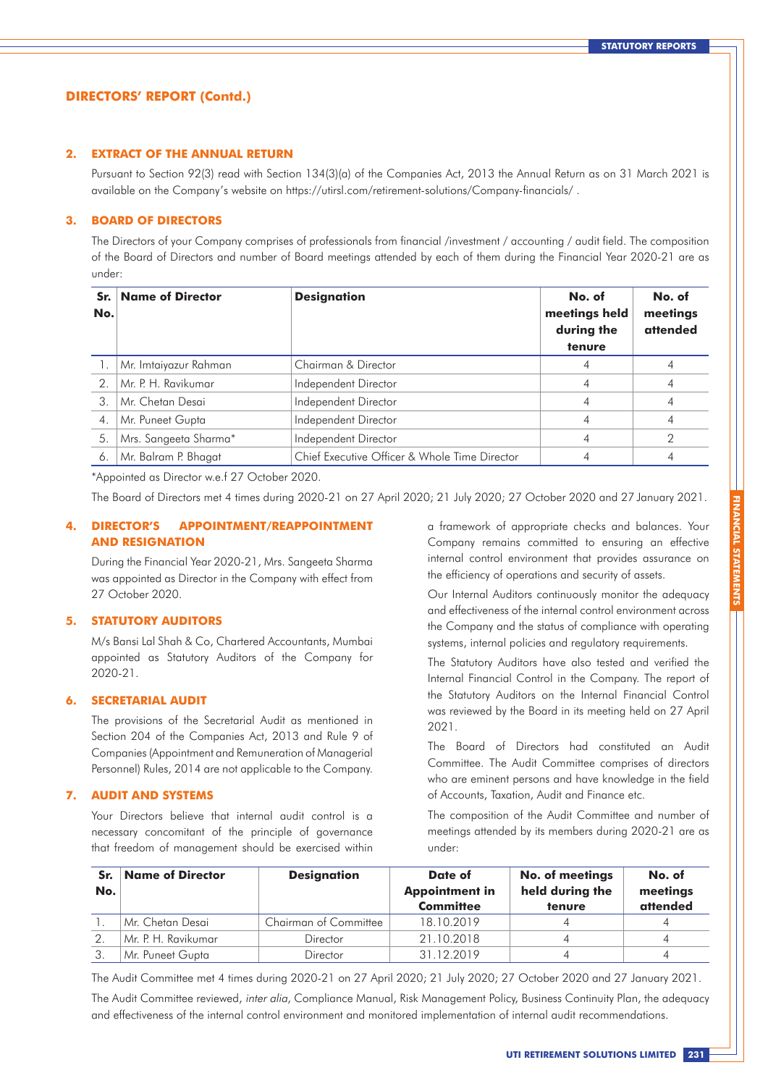#### **2. EXTRACT OF THE ANNUAL RETURN**

Pursuant to Section 92(3) read with Section 134(3)(a) of the Companies Act, 2013 the Annual Return as on 31 March 2021 is available on the Company's website on https://utirsl.com/retirement-solutions/Company-financials/ .

#### **3. BOARD OF DIRECTORS**

The Directors of your Company comprises of professionals from financial /investment / accounting / audit field. The composition of the Board of Directors and number of Board meetings attended by each of them during the Financial Year 2020-21 are as under:

| No. | <b>Sr. Name of Director</b> | <b>Designation</b>                            | No. of<br>meetings held<br>during the<br>tenure | No. of<br>meetings<br>attended |
|-----|-----------------------------|-----------------------------------------------|-------------------------------------------------|--------------------------------|
|     | Mr. Imtaiyazur Rahman       | Chairman & Director                           | 4                                               |                                |
| 2.  | Mr. P. H. Ravikumar         | Independent Director                          | 4                                               | 4                              |
| 3.  | Mr. Chetan Desai            | Independent Director                          | 4                                               | 4                              |
| 4.  | Mr. Puneet Gupta            | Independent Director                          | 4                                               |                                |
| 5.  | Mrs. Sangeeta Sharma*       | Independent Director                          | 4                                               | っ                              |
| 6.  | Mr. Balram P. Bhagat        | Chief Executive Officer & Whole Time Director | 4                                               |                                |

\*Appointed as Director w.e.f 27 October 2020.

The Board of Directors met 4 times during 2020-21 on 27 April 2020; 21 July 2020; 27 October 2020 and 27 January 2021.

#### **4. DIRECTOR'S APPOINTMENT/REAPPOINTMENT AND RESIGNATION**

During the Financial Year 2020-21, Mrs. Sangeeta Sharma was appointed as Director in the Company with effect from 27 October 2020.

#### **5. STATUTORY AUDITORS**

M/s Bansi Lal Shah & Co, Chartered Accountants, Mumbai appointed as Statutory Auditors of the Company for 2020-21.

#### **6. SECRETARIAL AUDIT**

The provisions of the Secretarial Audit as mentioned in Section 204 of the Companies Act, 2013 and Rule 9 of Companies (Appointment and Remuneration of Managerial Personnel) Rules, 2014 are not applicable to the Company.

#### **7. AUDIT AND SYSTEMS**

Your Directors believe that internal audit control is a necessary concomitant of the principle of governance that freedom of management should be exercised within a framework of appropriate checks and balances. Your Company remains committed to ensuring an effective internal control environment that provides assurance on the efficiency of operations and security of assets.

Our Internal Auditors continuously monitor the adequacy and effectiveness of the internal control environment across the Company and the status of compliance with operating systems, internal policies and regulatory requirements.

The Statutory Auditors have also tested and verified the Internal Financial Control in the Company. The report of the Statutory Auditors on the Internal Financial Control was reviewed by the Board in its meeting held on 27 April 2021.

The Board of Directors had constituted an Audit Committee. The Audit Committee comprises of directors who are eminent persons and have knowledge in the field of Accounts, Taxation, Audit and Finance etc.

The composition of the Audit Committee and number of meetings attended by its members during 2020-21 are as under:

| No. | <b>Sr.</b> Name of Director | <b>Designation</b>           | Date of<br><b>Appointment in</b><br><b>Committee</b> | No. of meetings<br>held during the<br>tenure | No. of<br>meetings<br>attended |
|-----|-----------------------------|------------------------------|------------------------------------------------------|----------------------------------------------|--------------------------------|
|     | Mr. Chetan Desai            | <b>Chairman of Committee</b> | 18.10.2019                                           |                                              |                                |
|     | Mr. P. H. Ravikumar         | Director                     | 21.10.2018                                           |                                              |                                |
|     | Mr. Puneet Gupta            | <b>Director</b>              | 31.12.2019                                           |                                              |                                |

The Audit Committee met 4 times during 2020-21 on 27 April 2020; 21 July 2020; 27 October 2020 and 27 January 2021.

The Audit Committee reviewed, inter alia, Compliance Manual, Risk Management Policy, Business Continuity Plan, the adequacy and effectiveness of the internal control environment and monitored implementation of internal audit recommendations.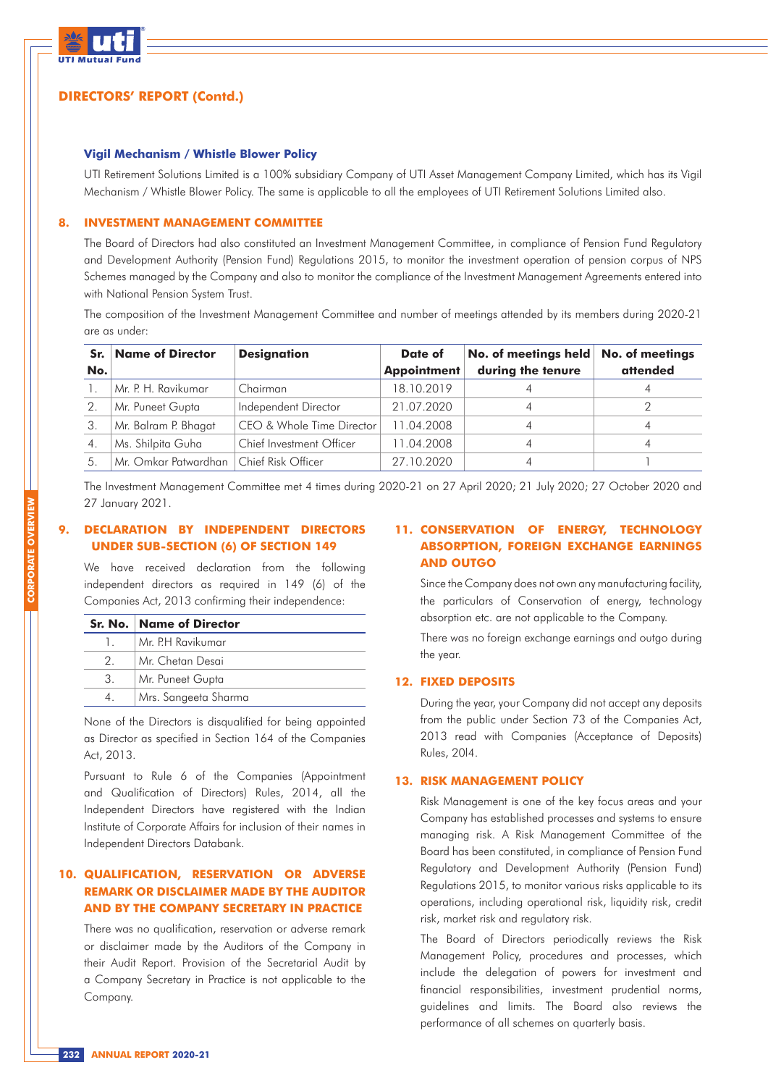

#### **Vigil Mechanism / Whistle Blower Policy**

UTI Retirement Solutions Limited is a 100% subsidiary Company of UTI Asset Management Company Limited, which has its Vigil Mechanism / Whistle Blower Policy. The same is applicable to all the employees of UTI Retirement Solutions Limited also.

#### **8. INVESTMENT MANAGEMENT COMMITTEE**

The Board of Directors had also constituted an Investment Management Committee, in compliance of Pension Fund Regulatory and Development Authority (Pension Fund) Regulations 2015, to monitor the investment operation of pension corpus of NPS Schemes managed by the Company and also to monitor the compliance of the Investment Management Agreements entered into with National Pension System Trust.

The composition of the Investment Management Committee and number of meetings attended by its members during 2020-21 are as under:

| Sr.              | <b>Name of Director</b> | <b>Designation</b>        | Date of            | No. of meetings held | No. of meetings |
|------------------|-------------------------|---------------------------|--------------------|----------------------|-----------------|
| No.              |                         |                           | <b>Appointment</b> | during the tenure    | attended        |
|                  | Mr. P. H. Ravikumar     | Chairman                  | 18.10.2019         |                      |                 |
| 2.               | Mr. Puneet Gupta        | Independent Director      | 21.07.2020         |                      |                 |
|                  | Mr. Balram P. Bhagat    | CEO & Whole Time Director | 11.04.2008         |                      |                 |
| $\overline{4}$ . | Ms. Shilpita Guha       | Chief Investment Officer  | 11.04.2008         |                      | 4               |
| 5.               | Mr. Omkar Patwardhan    | Chief Risk Officer        | 27.10.2020         |                      |                 |

The Investment Management Committee met 4 times during 2020-21 on 27 April 2020; 21 July 2020; 27 October 2020 and 27 January 2021.

#### **9. DECLARATION BY INDEPENDENT DIRECTORS UNDER SUB-SECTION (6) OF SECTION 149**

We have received declaration from the following independent directors as required in 149 (6) of the Companies Act, 2013 confirming their independence:

|    | Sr. No. Name of Director |
|----|--------------------------|
|    | 1. Mr. P.H Ravikumar     |
|    | 2. Mr. Chetan Desai      |
| 3. | Mr. Puneet Gupta         |
| 4. | Mrs. Sangeeta Sharma     |

None of the Directors is disqualified for being appointed as Director as specified in Section 164 of the Companies Act, 2013.

Pursuant to Rule 6 of the Companies (Appointment and Qualification of Directors) Rules, 2014, all the Independent Directors have registered with the Indian Institute of Corporate Affairs for inclusion of their names in Independent Directors Databank.

#### **10. QUALIFICATION, RESERVATION OR ADVERSE REMARK OR DISCLAIMER MADE BY THE AUDITOR AND BY THE COMPANY SECRETARY IN PRACTICE**

There was no qualification, reservation or adverse remark or disclaimer made by the Auditors of the Company in their Audit Report. Provision of the Secretarial Audit by a Company Secretary in Practice is not applicable to the Company.

#### **11. CONSERVATION OF ENERGY, TECHNOLOGY ABSORPTION, FOREIGN EXCHANGE EARNINGS AND OUTGO**

Since the Company does not own any manufacturing facility, the particulars of Conservation of energy, technology absorption etc. are not applicable to the Company.

There was no foreign exchange earnings and outgo during the year.

#### **12. FIXED DEPOSITS**

During the year, your Company did not accept any deposits from the public under Section 73 of the Companies Act, 2013 read with Companies (Acceptance of Deposits) Rules, 20l4.

#### **13. RISK MANAGEMENT POLICY**

Risk Management is one of the key focus areas and your Company has established processes and systems to ensure managing risk. A Risk Management Committee of the Board has been constituted, in compliance of Pension Fund Regulatory and Development Authority (Pension Fund) Regulations 2015, to monitor various risks applicable to its operations, including operational risk, liquidity risk, credit risk, market risk and regulatory risk.

The Board of Directors periodically reviews the Risk Management Policy, procedures and processes, which include the delegation of powers for investment and financial responsibilities, investment prudential norms, guidelines and limits. The Board also reviews the performance of all schemes on quarterly basis.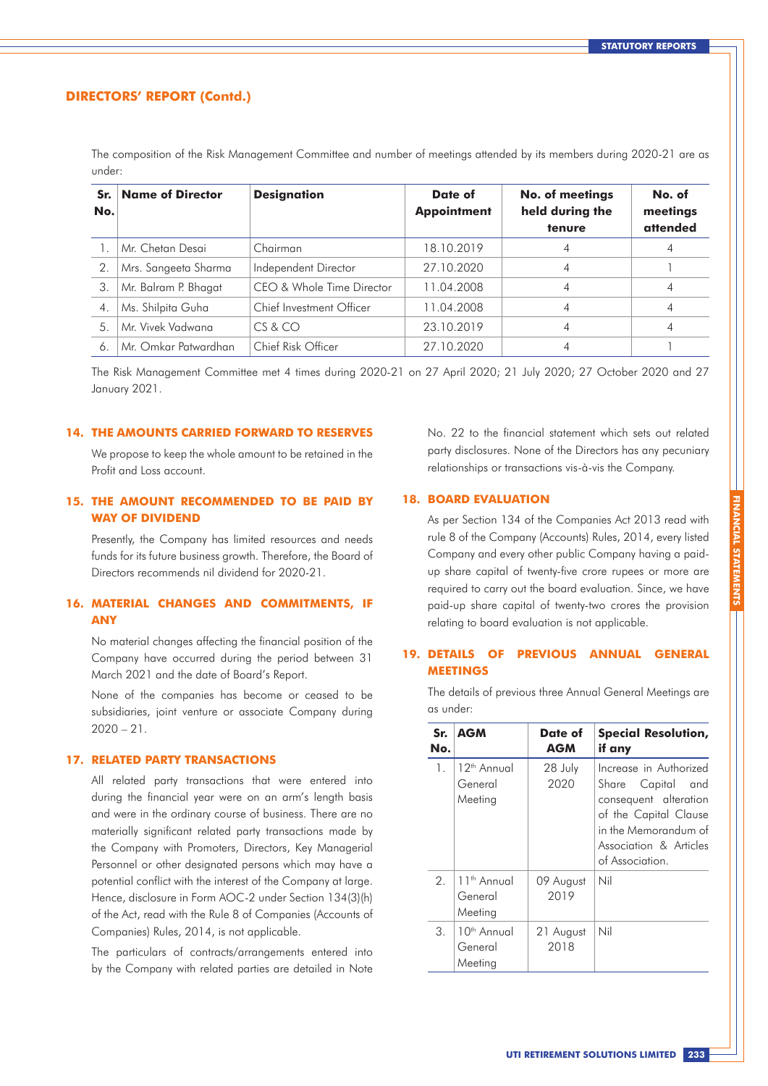The composition of the Risk Management Committee and number of meetings attended by its members during 2020-21 are as under:

| Sr.<br>No.       | Name of Director                           | <b>Designation</b>        | Date of<br><b>Appointment</b> | No. of meetings<br>held during the<br>tenure | No. of<br>meetings<br>attended |
|------------------|--------------------------------------------|---------------------------|-------------------------------|----------------------------------------------|--------------------------------|
|                  | Mr. Chetan Desai                           | Chairman                  | 18.10.2019                    |                                              |                                |
| 2.               | Mrs. Sangeeta Sharma                       | Independent Director      | 27.10.2020                    |                                              |                                |
| 3.               | Mr. Balram P. Bhagat                       | CEO & Whole Time Director | 11.04.2008                    | 4                                            | 4                              |
| $\overline{4}$ . | Ms. Shilpita Guha                          | Chief Investment Officer  | 11.04.2008                    | 4                                            | 4                              |
| 5.               | Mr. Vivek Vadwana                          | CS & CO                   | 23.10.2019                    | 4                                            |                                |
| 6.               | Chief Risk Officer<br>Mr. Omkar Patwardhan |                           | 27.10.2020                    |                                              |                                |

The Risk Management Committee met 4 times during 2020-21 on 27 April 2020; 21 July 2020; 27 October 2020 and 27 January 2021.

#### **14. THE AMOUNTS CARRIED FORWARD TO RESERVES**

We propose to keep the whole amount to be retained in the Profit and Loss account.

#### **15. THE AMOUNT RECOMMENDED TO BE PAID BY WAY OF DIVIDEND**

Presently, the Company has limited resources and needs funds for its future business growth. Therefore, the Board of Directors recommends nil dividend for 2020-21.

#### **16. MATERIAL CHANGES AND COMMITMENTS, IF ANY**

No material changes affecting the financial position of the Company have occurred during the period between 31 March 2021 and the date of Board's Report.

None of the companies has become or ceased to be subsidiaries, joint venture or associate Company during  $2020 - 21$ .

#### **17. RELATED PARTY TRANSACTIONS**

All related party transactions that were entered into during the financial year were on an arm's length basis and were in the ordinary course of business. There are no materially significant related party transactions made by the Company with Promoters, Directors, Key Managerial Personnel or other designated persons which may have a potential conflict with the interest of the Company at large. Hence, disclosure in Form AOC-2 under Section 134(3)(h) of the Act, read with the Rule 8 of Companies (Accounts of Companies) Rules, 2014, is not applicable.

The particulars of contracts/arrangements entered into by the Company with related parties are detailed in Note No. 22 to the financial statement which sets out related party disclosures. None of the Directors has any pecuniary relationships or transactions vis-à-vis the Company.

#### **18. BOARD EVALUATION**

As per Section 134 of the Companies Act 2013 read with rule 8 of the Company (Accounts) Rules, 2014, every listed Company and every other public Company having a paidup share capital of twenty-five crore rupees or more are required to carry out the board evaluation. Since, we have paid-up share capital of twenty-two crores the provision relating to board evaluation is not applicable.

#### **19. DETAILS OF PREVIOUS ANNUAL GENERAL MEETINGS**

The details of previous three Annual General Meetings are as under:

| Sr.<br>No. | <b>AGM</b>                                    | Date of<br><b>AGM</b> | <b>Special Resolution,</b><br>if any                                                                                                                                    |
|------------|-----------------------------------------------|-----------------------|-------------------------------------------------------------------------------------------------------------------------------------------------------------------------|
| 1.         | $12th$ Annual<br>General<br>Meeting           | 28 July<br>2020       | Increase in Authorized<br>Capital<br>Share<br>and<br>consequent alteration<br>of the Capital Clause<br>in the Memorandum of<br>Association & Articles<br>of Association |
| 2.         | 11 <sup>th</sup> Annual<br>General<br>Meeting | 09 August<br>2019     | Nil                                                                                                                                                                     |
| 3.         | 10 <sup>th</sup> Annual<br>General<br>Meeting | 21 August<br>2018     | Nil                                                                                                                                                                     |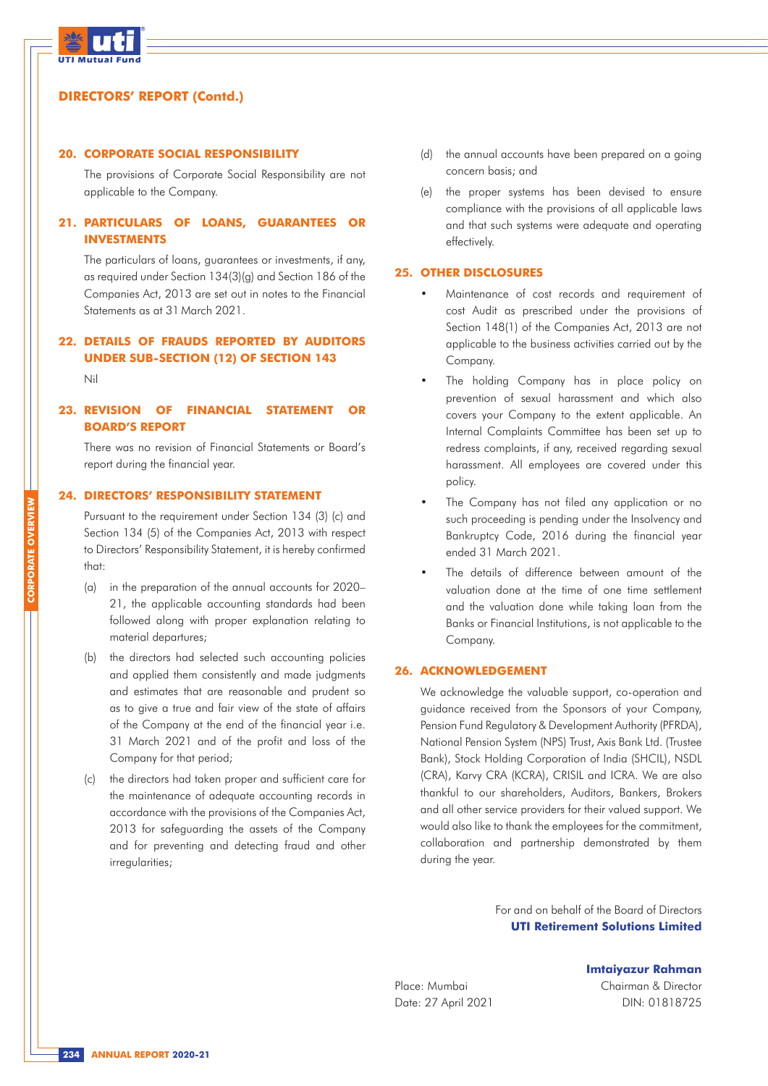

#### **20. CORPORATE SOCIAL RESPONSIBILITY**

The provisions of Corporate Social Responsibility are not applicable to the Company.

#### **21. PARTICULARS OF LOANS, GUARANTEES OR INVESTMENTS**

The particulars of loans, guarantees or investments, if any, as required under Section 134(3)(g) and Section 186 of the Companies Act, 2013 are set out in notes to the Financial Statements as at 31 March 2021.

#### **22. DETAILS OF FRAUDS REPORTED BY AUDITORS UNDER SUB-SECTION (12) OF SECTION 143** Nil

#### **23. REVISION OF FINANCIAL STATEMENT OR BOARD'S REPORT**

There was no revision of Financial Statements or Board's report during the financial year.

#### **24. DIRECTORS' RESPONSIBILITY STATEMENT**

Pursuant to the requirement under Section 134 (3) (c) and Section 134 (5) of the Companies Act, 2013 with respect to Directors' Responsibility Statement, it is hereby confirmed that:

- (a) in the preparation of the annual accounts for 2020– 21, the applicable accounting standards had been followed along with proper explanation relating to material departures;
- (b) the directors had selected such accounting policies and applied them consistently and made judgments and estimates that are reasonable and prudent so as to give a true and fair view of the state of affairs of the Company at the end of the financial year i.e. 31 March 2021 and of the profit and loss of the Company for that period;
- (c) the directors had taken proper and sufficient care for the maintenance of adequate accounting records in accordance with the provisions of the Companies Act, 2013 for safeguarding the assets of the Company and for preventing and detecting fraud and other irregularities;
- (d) the annual accounts have been prepared on a going concern basis; and
- (e) the proper systems has been devised to ensure compliance with the provisions of all applicable laws and that such systems were adequate and operating effectively.

#### **25. OTHER DISCLOSURES**

- Maintenance of cost records and requirement of cost Audit as prescribed under the provisions of Section 148(1) of the Companies Act, 2013 are not applicable to the business activities carried out by the Company.
- The holding Company has in place policy on prevention of sexual harassment and which also covers your Company to the extent applicable. An Internal Complaints Committee has been set up to redress complaints, if any, received regarding sexual harassment. All employees are covered under this policy.
- The Company has not filed any application or no such proceeding is pending under the Insolvency and Bankruptcy Code, 2016 during the financial year ended 31 March 2021.
- The details of difference between amount of the valuation done at the time of one time settlement and the valuation done while taking loan from the Banks or Financial Institutions, is not applicable to the Company.

#### **26. ACKNOWLEDGEMENT**

We acknowledge the valuable support, co-operation and guidance received from the Sponsors of your Company, Pension Fund Regulatory & Development Authority (PFRDA), National Pension System (NPS) Trust, Axis Bank Ltd. (Trustee Bank), Stock Holding Corporation of India (SHCIL), NSDL (CRA), Karvy CRA (KCRA), CRISIL and ICRA. We are also thankful to our shareholders, Auditors, Bankers, Brokers and all other service providers for their valued support. We would also like to thank the employees for the commitment, collaboration and partnership demonstrated by them during the year.

> For and on behalf of the Board of Directors **UTI Retirement Solutions Limited**

#### **Imtaiyazur Rahman**

Place: Mumbai Date: 27 April 2021 Chairman & Director DIN: 01818725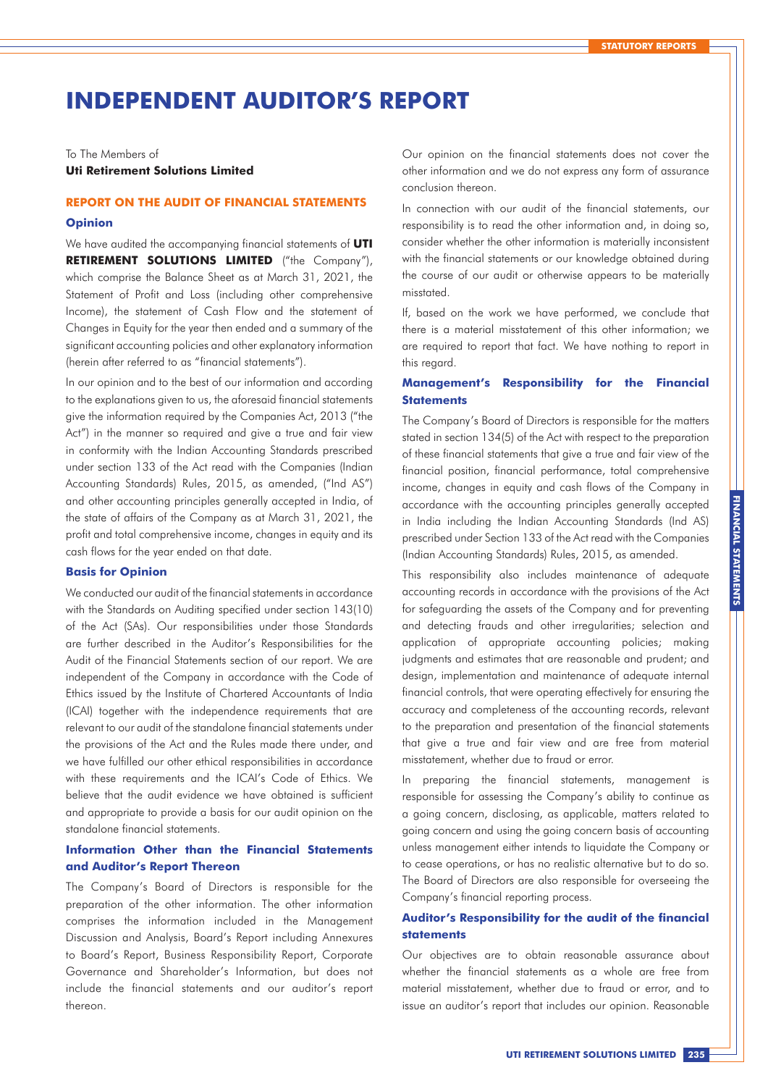## **INDEPENDENT AUDITOR'S REPORT**

#### To The Members of **Uti Retirement Solutions Limited**

#### **REPORT ON THE AUDIT OF FINANCIAL STATEMENTS Opinion**

We have audited the accompanying financial statements of **UTI RETIREMENT SOLUTIONS LIMITED** ("the Company"), which comprise the Balance Sheet as at March 31, 2021, the Statement of Profit and Loss (including other comprehensive Income), the statement of Cash Flow and the statement of Changes in Equity for the year then ended and a summary of the significant accounting policies and other explanatory information (herein after referred to as "financial statements").

In our opinion and to the best of our information and according to the explanations given to us, the aforesaid financial statements give the information required by the Companies Act, 2013 ("the Act") in the manner so required and give a true and fair view in conformity with the Indian Accounting Standards prescribed under section 133 of the Act read with the Companies (Indian Accounting Standards) Rules, 2015, as amended, ("Ind AS") and other accounting principles generally accepted in India, of the state of affairs of the Company as at March 31, 2021, the profit and total comprehensive income, changes in equity and its cash flows for the year ended on that date.

#### **Basis for Opinion**

We conducted our audit of the financial statements in accordance with the Standards on Auditing specified under section 143(10) of the Act (SAs). Our responsibilities under those Standards are further described in the Auditor's Responsibilities for the Audit of the Financial Statements section of our report. We are independent of the Company in accordance with the Code of Ethics issued by the Institute of Chartered Accountants of India (ICAI) together with the independence requirements that are relevant to our audit of the standalone financial statements under the provisions of the Act and the Rules made there under, and we have fulfilled our other ethical responsibilities in accordance with these requirements and the ICAI's Code of Ethics. We believe that the audit evidence we have obtained is sufficient and appropriate to provide a basis for our audit opinion on the standalone financial statements.

#### **Information Other than the Financial Statements and Auditor's Report Thereon**

The Company's Board of Directors is responsible for the preparation of the other information. The other information comprises the information included in the Management Discussion and Analysis, Board's Report including Annexures to Board's Report, Business Responsibility Report, Corporate Governance and Shareholder's Information, but does not include the financial statements and our auditor's report thereon.

Our opinion on the financial statements does not cover the other information and we do not express any form of assurance conclusion thereon.

In connection with our audit of the financial statements, our responsibility is to read the other information and, in doing so, consider whether the other information is materially inconsistent with the financial statements or our knowledge obtained during the course of our audit or otherwise appears to be materially misstated.

If, based on the work we have performed, we conclude that there is a material misstatement of this other information; we are required to report that fact. We have nothing to report in this reaard.

#### **Management's Responsibility for the Financial Statements**

The Company's Board of Directors is responsible for the matters stated in section 134(5) of the Act with respect to the preparation of these financial statements that give a true and fair view of the financial position, financial performance, total comprehensive income, changes in equity and cash flows of the Company in accordance with the accounting principles generally accepted in India including the Indian Accounting Standards (Ind AS) prescribed under Section 133 of the Act read with the Companies (Indian Accounting Standards) Rules, 2015, as amended.

This responsibility also includes maintenance of adequate accounting records in accordance with the provisions of the Act for safeguarding the assets of the Company and for preventing and detecting frauds and other irregularities; selection and application of appropriate accounting policies; making judgments and estimates that are reasonable and prudent; and design, implementation and maintenance of adequate internal financial controls, that were operating effectively for ensuring the accuracy and completeness of the accounting records, relevant to the preparation and presentation of the financial statements that give a true and fair view and are free from material misstatement, whether due to fraud or error.

In preparing the financial statements, management is responsible for assessing the Company's ability to continue as a going concern, disclosing, as applicable, matters related to going concern and using the going concern basis of accounting unless management either intends to liquidate the Company or to cease operations, or has no realistic alternative but to do so. The Board of Directors are also responsible for overseeing the Company's financial reporting process.

#### **Auditor's Responsibility for the audit of the financial statements**

Our objectives are to obtain reasonable assurance about whether the financial statements as a whole are free from material misstatement, whether due to fraud or error, and to issue an auditor's report that includes our opinion. Reasonable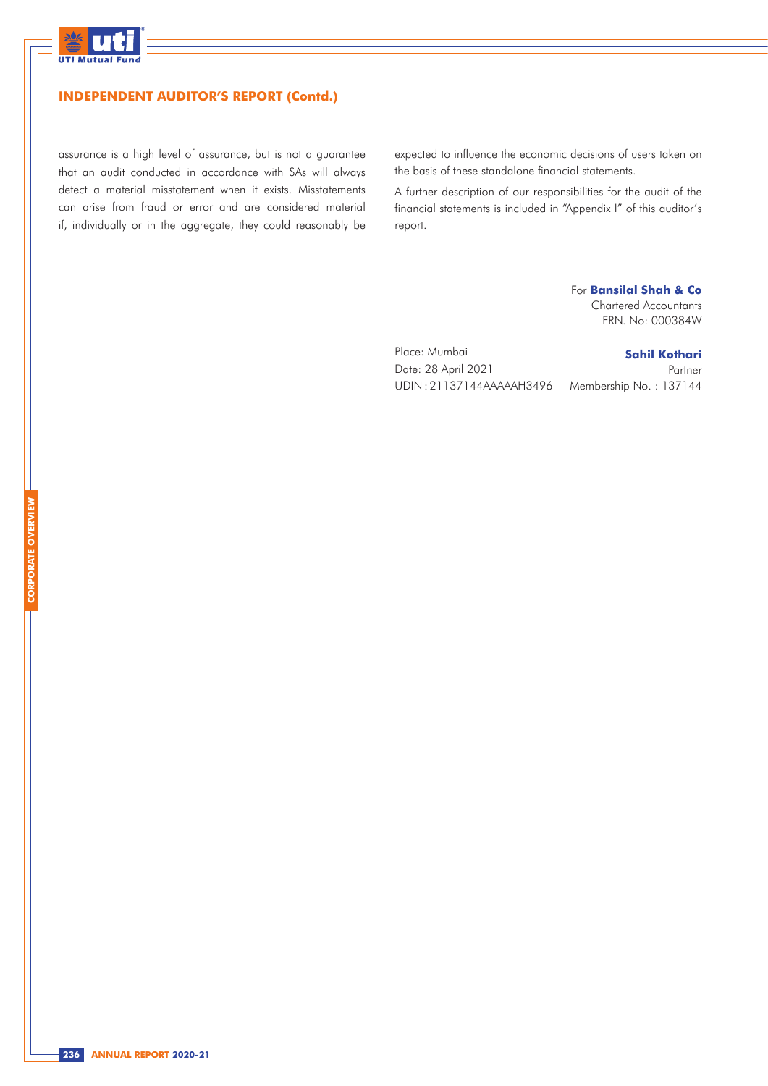

#### **INDEPENDENT AUDITOR'S REPORT (Contd.)**

assurance is a high level of assurance, but is not a guarantee that an audit conducted in accordance with SAs will always detect a material misstatement when it exists. Misstatements can arise from fraud or error and are considered material if, individually or in the aggregate, they could reasonably be

expected to influence the economic decisions of users taken on the basis of these standalone financial statements.

A further description of our responsibilities for the audit of the financial statements is included in "Appendix I" of this auditor's report.

For **Bansilal Shah & Co**

Chartered Accountants FRN. No: 000384W

Place: Mumbai Date: 28 April 2021 UDIN : 21137144AAAAAH3496

**Sahil Kothari** Partner Membership No. : 137144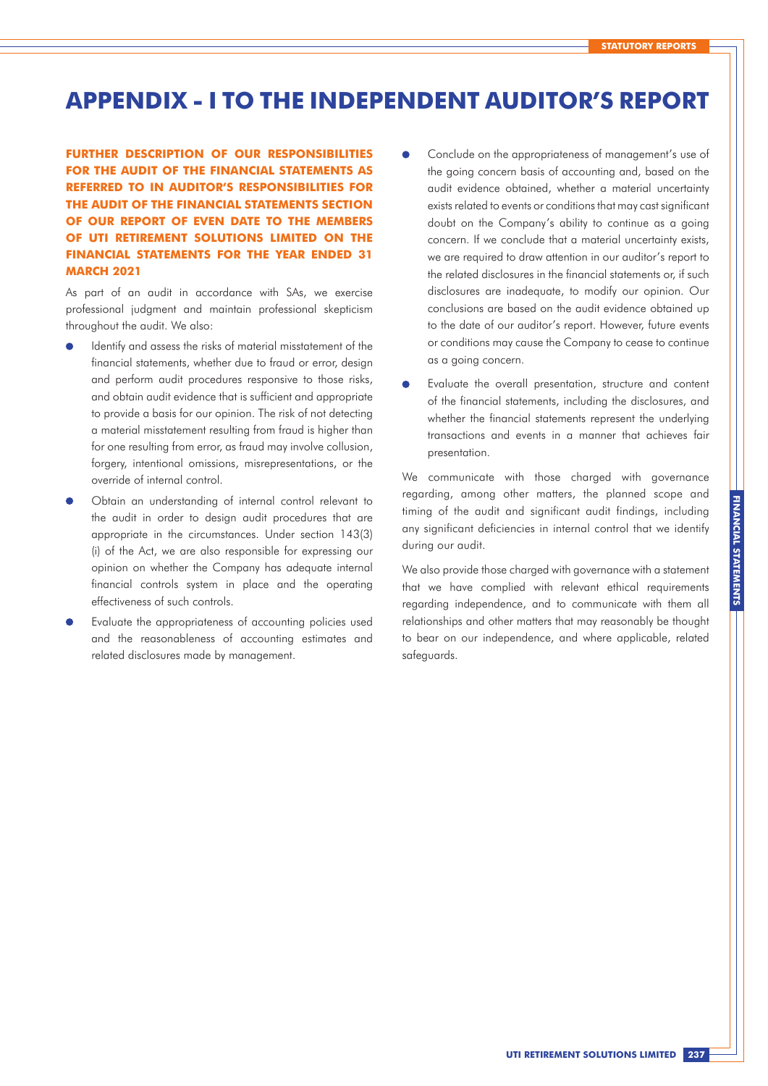## **APPENDIX - I TO THE INDEPENDENT AUDITOR'S REPORT**

**FURTHER DESCRIPTION OF OUR RESPONSIBILITIES FOR THE AUDIT OF THE FINANCIAL STATEMENTS AS REFERRED TO IN AUDITOR'S RESPONSIBILITIES FOR THE AUDIT OF THE FINANCIAL STATEMENTS SECTION OF OUR REPORT OF EVEN DATE TO THE MEMBERS OF UTI RETIREMENT SOLUTIONS LIMITED ON THE FINANCIAL STATEMENTS FOR THE YEAR ENDED 31 MARCH 2021**

As part of an audit in accordance with SAs, we exercise professional judgment and maintain professional skepticism throughout the audit. We also:

- Identify and assess the risks of material misstatement of the financial statements, whether due to fraud or error, design and perform audit procedures responsive to those risks, and obtain audit evidence that is sufficient and appropriate to provide a basis for our opinion. The risk of not detecting a material misstatement resulting from fraud is higher than for one resulting from error, as fraud may involve collusion, forgery, intentional omissions, misrepresentations, or the override of internal control.
- Obtain an understanding of internal control relevant to the audit in order to design audit procedures that are appropriate in the circumstances. Under section 143(3) (i) of the Act, we are also responsible for expressing our opinion on whether the Company has adequate internal financial controls system in place and the operating effectiveness of such controls.
- Evaluate the appropriateness of accounting policies used and the reasonableness of accounting estimates and related disclosures made by management.
- Conclude on the appropriateness of management's use of the going concern basis of accounting and, based on the audit evidence obtained, whether a material uncertainty exists related to events or conditions that may cast significant doubt on the Company's ability to continue as a going concern. If we conclude that a material uncertainty exists, we are required to draw attention in our auditor's report to the related disclosures in the financial statements or, if such disclosures are inadequate, to modify our opinion. Our conclusions are based on the audit evidence obtained up to the date of our auditor's report. However, future events or conditions may cause the Company to cease to continue as a going concern.
- Evaluate the overall presentation, structure and content of the financial statements, including the disclosures, and whether the financial statements represent the underlying transactions and events in a manner that achieves fair presentation.

We communicate with those charged with governance regarding, among other matters, the planned scope and timing of the audit and significant audit findings, including any significant deficiencies in internal control that we identify during our audit.

We also provide those charged with governance with a statement that we have complied with relevant ethical requirements regarding independence, and to communicate with them all relationships and other matters that may reasonably be thought to bear on our independence, and where applicable, related safeguards.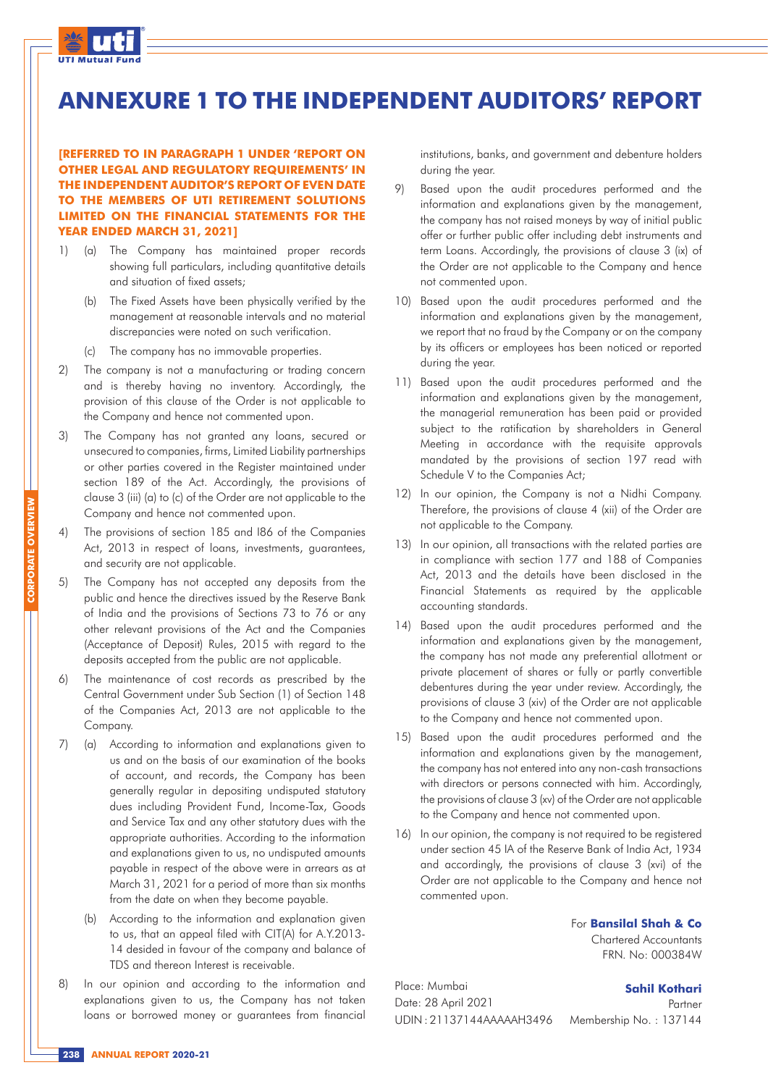

## **ANNEXURE 1 TO THE INDEPENDENT AUDITORS' REPORT**

**[REFERRED TO IN PARAGRAPH 1 UNDER 'REPORT ON OTHER LEGAL AND REGULATORY REQUIREMENTS' IN THE INDEPENDENT AUDITOR'S REPORT OF EVEN DATE TO THE MEMBERS OF UTI RETIREMENT SOLUTIONS LIMITED ON THE FINANCIAL STATEMENTS FOR THE YEAR ENDED MARCH 31, 2021]**

- 1) (a) The Company has maintained proper records showing full particulars, including quantitative details and situation of fixed assets;
	- (b) The Fixed Assets have been physically verified by the management at reasonable intervals and no material discrepancies were noted on such verification.
	- (c) The company has no immovable properties.
- 2) The company is not a manufacturing or trading concern and is thereby having no inventory. Accordingly, the provision of this clause of the Order is not applicable to the Company and hence not commented upon.
- 3) The Company has not granted any loans, secured or unsecured to companies, firms, Limited Liability partnerships or other parties covered in the Register maintained under section 189 of the Act. Accordingly, the provisions of clause 3 (iii) (a) to (c) of the Order are not applicable to the Company and hence not commented upon.
- 4) The provisions of section 185 and I86 of the Companies Act, 2013 in respect of loans, investments, guarantees, and security are not applicable.
- 5) The Company has not accepted any deposits from the public and hence the directives issued by the Reserve Bank of India and the provisions of Sections 73 to 76 or any other relevant provisions of the Act and the Companies (Acceptance of Deposit) Rules, 2015 with regard to the deposits accepted from the public are not applicable.
- 6) The maintenance of cost records as prescribed by the Central Government under Sub Section (1) of Section 148 of the Companies Act, 2013 are not applicable to the Company.
- 7) (a) According to information and explanations given to us and on the basis of our examination of the books of account, and records, the Company has been generally regular in depositing undisputed statutory dues including Provident Fund, Income-Tax, Goods and Service Tax and any other statutory dues with the appropriate authorities. According to the information and explanations given to us, no undisputed amounts payable in respect of the above were in arrears as at March 31, 2021 for a period of more than six months from the date on when they become payable.
	- According to the information and explanation given to us, that an appeal filed with CIT(A) for A.Y.2013- 14 desided in favour of the company and balance of TDS and thereon Interest is receivable.
- 8) In our opinion and according to the information and explanations given to us, the Company has not taken loans or borrowed money or guarantees from financial

institutions, banks, and government and debenture holders during the year.

9) Based upon the audit procedures performed and the information and explanations given by the management, the company has not raised moneys by way of initial public offer or further public offer including debt instruments and term Loans. Accordingly, the provisions of clause 3 (ix) of the Order are not applicable to the Company and hence not commented upon.

- 10) Based upon the audit procedures performed and the information and explanations given by the management, we report that no fraud by the Company or on the company by its officers or employees has been noticed or reported during the year.
- 11) Based upon the audit procedures performed and the information and explanations given by the management, the managerial remuneration has been paid or provided subject to the ratification by shareholders in General Meeting in accordance with the requisite approvals mandated by the provisions of section 197 read with Schedule V to the Companies Act;
- 12) In our opinion, the Company is not a Nidhi Company. Therefore, the provisions of clause 4 (xii) of the Order are not applicable to the Company.
- 13) In our opinion, all transactions with the related parties are in compliance with section 177 and 188 of Companies Act, 2013 and the details have been disclosed in the Financial Statements as required by the applicable accounting standards.
- 14) Based upon the audit procedures performed and the information and explanations given by the management, the company has not made any preferential allotment or private placement of shares or fully or partly convertible debentures during the year under review. Accordingly, the provisions of clause 3 (xiv) of the Order are not applicable to the Company and hence not commented upon.
- 15) Based upon the audit procedures performed and the information and explanations given by the management, the company has not entered into any non-cash transactions with directors or persons connected with him. Accordingly, the provisions of clause 3 (xv) of the Order are not applicable to the Company and hence not commented upon.
- 16) In our opinion, the company is not required to be registered under section 45 IA of the Reserve Bank of India Act, 1934 and accordingly, the provisions of clause 3 (xvi) of the Order are not applicable to the Company and hence not commented upon.

Place: Mumbai Date: 28 April 2021

UDIN : 21137144AAAAAH3496

#### For **Bansilal Shah & Co**

Chartered Accountants FRN. No: 000384W

**Sahil Kothari**

Partner Membership No. : 137144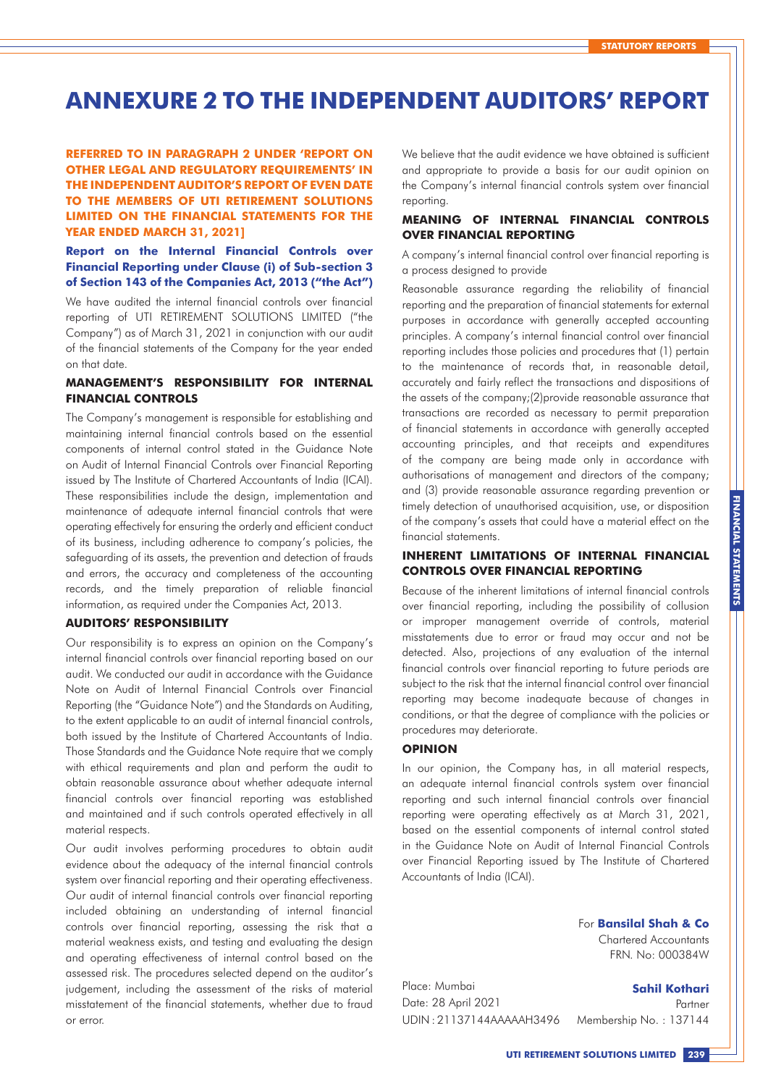## **ANNEXURE 2 TO THE INDEPENDENT AUDITORS' REPORT**

#### **REFERRED TO IN PARAGRAPH 2 UNDER 'REPORT ON OTHER LEGAL AND REGULATORY REQUIREMENTS' IN THE INDEPENDENT AUDITOR'S REPORT OF EVEN DATE TO THE MEMBERS OF UTI RETIREMENT SOLUTIONS LIMITED ON THE FINANCIAL STATEMENTS FOR THE YEAR ENDED MARCH 31, 2021]**

#### **Report on the Internal Financial Controls over Financial Reporting under Clause (i) of Sub-section 3 of Section 143 of the Companies Act, 2013 ("the Act")**

We have audited the internal financial controls over financial reporting of UTI RETIREMENT SOLUTIONS LIMITED ("the Company") as of March 31, 2021 in conjunction with our audit of the financial statements of the Company for the year ended on that date.

#### **MANAGEMENT'S RESPONSIBILITY FOR INTERNAL FINANCIAL CONTROLS**

The Company's management is responsible for establishing and maintaining internal financial controls based on the essential components of internal control stated in the Guidance Note on Audit of Internal Financial Controls over Financial Reporting issued by The Institute of Chartered Accountants of India (ICAI). These responsibilities include the design, implementation and maintenance of adequate internal financial controls that were operating effectively for ensuring the orderly and efficient conduct of its business, including adherence to company's policies, the safeguarding of its assets, the prevention and detection of frauds and errors, the accuracy and completeness of the accounting records, and the timely preparation of reliable financial information, as required under the Companies Act, 2013.

#### **AUDITORS' RESPONSIBILITY**

Our responsibility is to express an opinion on the Company's internal financial controls over financial reporting based on our audit. We conducted our audit in accordance with the Guidance Note on Audit of Internal Financial Controls over Financial Reporting (the "Guidance Note") and the Standards on Auditing, to the extent applicable to an audit of internal financial controls, both issued by the Institute of Chartered Accountants of India. Those Standards and the Guidance Note require that we comply with ethical requirements and plan and perform the audit to obtain reasonable assurance about whether adequate internal financial controls over financial reporting was established and maintained and if such controls operated effectively in all material respects.

Our audit involves performing procedures to obtain audit evidence about the adequacy of the internal financial controls system over financial reporting and their operating effectiveness. Our audit of internal financial controls over financial reporting included obtaining an understanding of internal financial controls over financial reporting, assessing the risk that a material weakness exists, and testing and evaluating the design and operating effectiveness of internal control based on the assessed risk. The procedures selected depend on the auditor's judgement, including the assessment of the risks of material misstatement of the financial statements, whether due to fraud or error.

We believe that the audit evidence we have obtained is sufficient and appropriate to provide a basis for our audit opinion on the Company's internal financial controls system over financial reporting.

#### **MEANING OF INTERNAL FINANCIAL CONTROLS OVER FINANCIAL REPORTING**

A company's internal financial control over financial reporting is a process designed to provide

Reasonable assurance regarding the reliability of financial reporting and the preparation of financial statements for external purposes in accordance with generally accepted accounting principles. A company's internal financial control over financial reporting includes those policies and procedures that (1) pertain to the maintenance of records that, in reasonable detail, accurately and fairly reflect the transactions and dispositions of the assets of the company;(2)provide reasonable assurance that transactions are recorded as necessary to permit preparation of financial statements in accordance with generally accepted accounting principles, and that receipts and expenditures of the company are being made only in accordance with authorisations of management and directors of the company; and (3) provide reasonable assurance regarding prevention or timely detection of unauthorised acquisition, use, or disposition of the company's assets that could have a material effect on the financial statements.

#### **INHERENT LIMITATIONS OF INTERNAL FINANCIAL CONTROLS OVER FINANCIAL REPORTING**

Because of the inherent limitations of internal financial controls over financial reporting, including the possibility of collusion or improper management override of controls, material misstatements due to error or fraud may occur and not be detected. Also, projections of any evaluation of the internal financial controls over financial reporting to future periods are subject to the risk that the internal financial control over financial reporting may become inadequate because of changes in conditions, or that the degree of compliance with the policies or procedures may deteriorate.

#### **OPINION**

In our opinion, the Company has, in all material respects, an adequate internal financial controls system over financial reporting and such internal financial controls over financial reporting were operating effectively as at March 31, 2021, based on the essential components of internal control stated in the Guidance Note on Audit of Internal Financial Controls over Financial Reporting issued by The Institute of Chartered Accountants of India (ICAI).

For **Bansilal Shah & Co**

Chartered Accountants FRN. No: 000384W

**Sahil Kothari**

Date: 28 April 2021 UDIN : 21137144AAAAAH3496

Place: Mumbai

Partner

Membership No. : 137144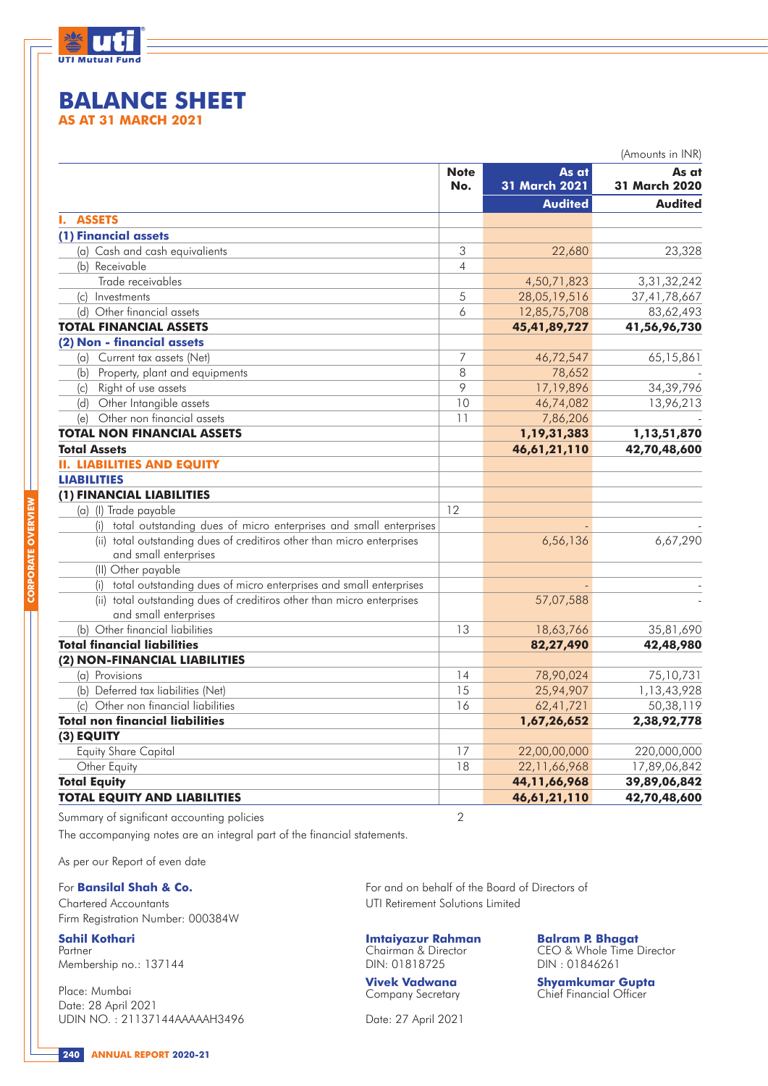

### **BALANCE SHEET AS AT 31 MARCH 2021**

|                                                                                                 |                    |                               | (Amounts in INR)       |
|-------------------------------------------------------------------------------------------------|--------------------|-------------------------------|------------------------|
|                                                                                                 | <b>Note</b><br>No. | As at<br><b>31 March 2021</b> | As at<br>31 March 2020 |
|                                                                                                 |                    | <b>Audited</b>                | <b>Audited</b>         |
| <b>ASSETS</b><br>L.                                                                             |                    |                               |                        |
| (1) Financial assets                                                                            |                    |                               |                        |
| (a) Cash and cash equivalients                                                                  | 3                  | 22,680                        | 23,328                 |
| (b) Receivable                                                                                  | $\overline{4}$     |                               |                        |
| Trade receivables                                                                               |                    | 4,50,71,823                   | 3, 31, 32, 242         |
| (c) Investments                                                                                 | 5                  | 28,05,19,516                  | 37,41,78,667           |
| (d) Other financial assets                                                                      | 6                  | 12,85,75,708                  | 83,62,493              |
| <b>TOTAL FINANCIAL ASSETS</b>                                                                   |                    | 45,41,89,727                  | 41,56,96,730           |
| (2) Non - financial assets                                                                      |                    |                               |                        |
| (a) Current tax assets (Net)                                                                    | 7                  | 46,72,547                     | 65,15,861              |
| Property, plant and equipments<br>(b)                                                           | 8                  | 78,652                        |                        |
| Right of use assets<br>(c)                                                                      | 9                  | 17,19,896                     | 34, 39, 796            |
| (d) Other Intangible assets                                                                     | 10                 | 46,74,082                     | 13,96,213              |
| Other non financial assets<br>(e)                                                               | 11                 | 7,86,206                      |                        |
| <b>TOTAL NON FINANCIAL ASSETS</b>                                                               |                    | 1, 19, 31, 383                | 1,13,51,870            |
| <b>Total Assets</b>                                                                             |                    | 46,61,21,110                  | 42,70,48,600           |
| <b>II. LIABILITIES AND EQUITY</b>                                                               |                    |                               |                        |
| <b>LIABILITIES</b>                                                                              |                    |                               |                        |
| (1) FINANCIAL LIABILITIES                                                                       |                    |                               |                        |
| (a) (I) Trade payable                                                                           | 12                 |                               |                        |
| total outstanding dues of micro enterprises and small enterprises<br>(i)                        |                    |                               |                        |
| (ii) total outstanding dues of creditiros other than micro enterprises<br>and small enterprises |                    | 6,56,136                      | 6,67,290               |
| (II) Other payable                                                                              |                    |                               |                        |
| total outstanding dues of micro enterprises and small enterprises                               |                    |                               |                        |
| (ii) total outstanding dues of creditiros other than micro enterprises<br>and small enterprises |                    | 57,07,588                     |                        |
| (b) Other financial liabilities                                                                 | 13                 | 18,63,766                     | 35,81,690              |
| <b>Total financial liabilities</b>                                                              |                    | 82,27,490                     | 42,48,980              |
| (2) NON-FINANCIAL LIABILITIES                                                                   |                    |                               |                        |
| (a) Provisions                                                                                  | 14                 | 78,90,024                     | 75,10,731              |
| (b) Deferred tax liabilities (Net)                                                              | 15                 | 25,94,907                     | 1,13,43,928            |
| (c) Other non financial liabilities                                                             | 16                 | 62,41,721                     | 50,38,119              |
| <b>Total non financial liabilities</b>                                                          |                    | 1,67,26,652                   | 2,38,92,778            |
| (3) EQUITY                                                                                      |                    |                               |                        |
| <b>Equity Share Capital</b>                                                                     | 17                 | 22,00,00,000                  | 220,000,000            |
| Other Equity                                                                                    | 18                 | 22, 11, 66, 968               | 17,89,06,842           |
| <b>Total Equity</b>                                                                             |                    | 44,11,66,968                  | 39,89,06,842           |
| <b>TOTAL EQUITY AND LIABILITIES</b>                                                             |                    | 46,61,21,110                  | 42,70,48,600           |
| Constantino of state frames are considered at the co                                            | $\sim$             |                               |                        |

Summary of significant accounting policies 2

The accompanying notes are an integral part of the financial statements.

As per our Report of even date

#### For **Bansilal Shah & Co.**

Chartered Accountants Firm Registration Number: 000384W

Membership no.: 137144

Place: Mumbai Date: 28 April 2021 UDIN NO. : 21137144AAAAAH3496

For and on behalf of the Board of Directors of UTI Retirement Solutions Limited

## **Sahil Kothari Imtaiyazur Rahman** Partner **Partner Partner Ballram Partner Ballram Ballram Ballram Ballram Ballram Ballram Ballram Ballram Ballram Ballram Ballram Ballram Ballram Ballram Ballram Ballram Ballram Bal**

Date: 27 April 2021

**Imtaiyazur Rahman Balram P. Bhagat**<br>Chairman & Director CEO & Whole Time Director<br>DIN: 01818725 DIN: 01846261

**Vivek Vadwana Shyamkumar Gupta** Company Secretary Chief Financial Officer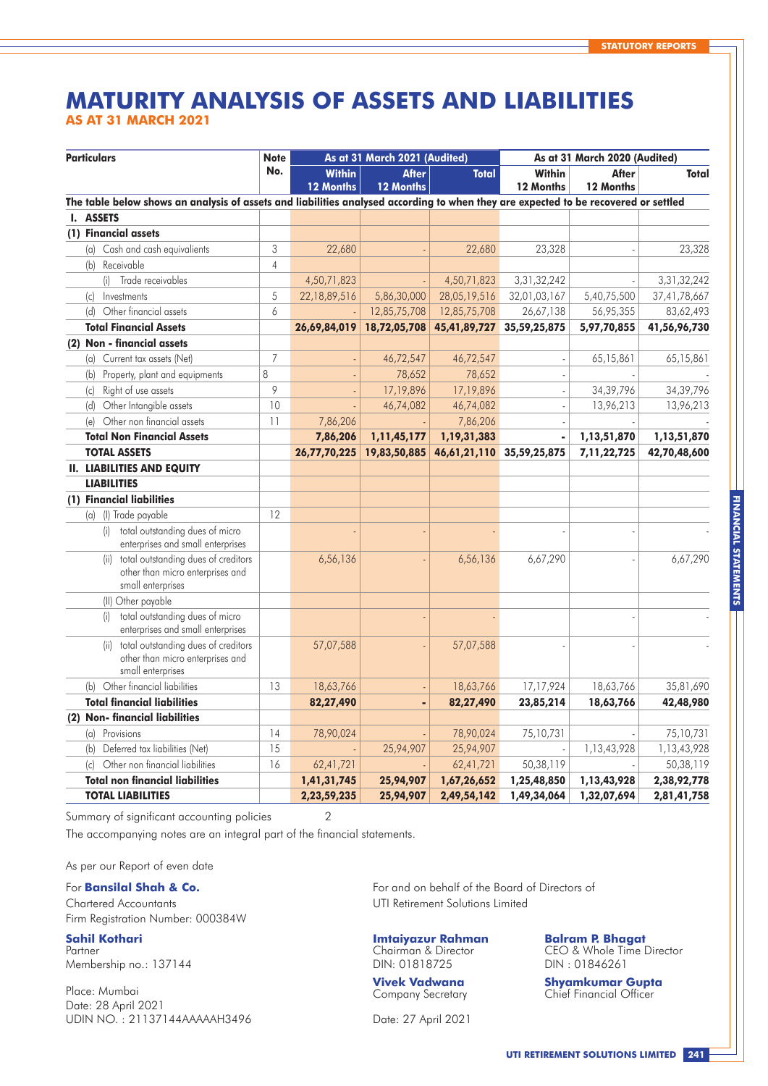### **MATURITY ANALYSIS OF ASSETS AND LIABILITIES AS AT 31 MARCH 2021**

| <b>Particulars</b> |                                                                                                                                     | <b>Note</b>    |                            | As at 31 March 2021 (Audited) |              | As at 31 March 2020 (Audited) |                    |                |
|--------------------|-------------------------------------------------------------------------------------------------------------------------------------|----------------|----------------------------|-------------------------------|--------------|-------------------------------|--------------------|----------------|
|                    |                                                                                                                                     | No.            | <b>Within</b><br>12 Months | <b>After</b><br>12 Months     | <b>Total</b> | <b>Within</b><br>12 Months    | After<br>12 Months | Total          |
|                    | The table below shows an analysis of assets and liabilities analysed according to when they are expected to be recovered or settled |                |                            |                               |              |                               |                    |                |
|                    | I. ASSETS                                                                                                                           |                |                            |                               |              |                               |                    |                |
|                    | (1) Financial assets                                                                                                                |                |                            |                               |              |                               |                    |                |
|                    | (a) Cash and cash equivalients                                                                                                      | 3              | 22,680                     |                               | 22,680       | 23,328                        |                    | 23,328         |
|                    | Receivable<br>(b)                                                                                                                   | $\overline{4}$ |                            |                               |              |                               |                    |                |
|                    | (i) Trade receivables                                                                                                               |                | 4,50,71,823                |                               | 4,50,71,823  | 3, 31, 32, 242                |                    | 3, 31, 32, 242 |
|                    | Investments<br>(c)                                                                                                                  | 5              | 22,18,89,516               | 5,86,30,000                   | 28,05,19,516 | 32,01,03,167                  | 5,40,75,500        | 37,41,78,667   |
|                    | (d) Other financial assets                                                                                                          | 6              |                            | 12,85,75,708                  | 12,85,75,708 | 26,67,138                     | 56,95,355          | 83,62,493      |
|                    | <b>Total Financial Assets</b>                                                                                                       |                | 26,69,84,019               | 18,72,05,708                  | 45,41,89,727 | 35,59,25,875                  | 5,97,70,855        | 41,56,96,730   |
|                    | (2) Non - financial assets                                                                                                          |                |                            |                               |              |                               |                    |                |
|                    | (a) Current tax assets (Net)                                                                                                        | $\overline{7}$ |                            | 46,72,547                     | 46,72,547    |                               | 65,15,861          | 65,15,861      |
|                    | (b) Property, plant and equipments                                                                                                  | 8              |                            | 78,652                        | 78,652       |                               |                    |                |
|                    | (c) Right of use assets                                                                                                             | 9              |                            | 17,19,896                     | 17,19,896    |                               | 34, 39, 796        | 34, 39, 796    |
|                    | (d)<br>Other Intangible assets                                                                                                      | 10             |                            | 46,74,082                     | 46,74,082    |                               | 13,96,213          | 13,96,213      |
|                    | (e) Other non financial assets                                                                                                      | 11             | 7,86,206                   |                               | 7,86,206     |                               |                    |                |
|                    | <b>Total Non Financial Assets</b>                                                                                                   |                | 7,86,206                   | 1,11,45,177                   | 1,19,31,383  | $\blacksquare$                | 1,13,51,870        | 1,13,51,870    |
|                    | <b>TOTAL ASSETS</b>                                                                                                                 |                | 26,77,70,225               | 19,83,50,885                  |              | 46,61,21,110 35,59,25,875     | 7,11,22,725        | 42,70,48,600   |
|                    | <b>II. LIABILITIES AND EQUITY</b>                                                                                                   |                |                            |                               |              |                               |                    |                |
|                    | <b>LIABILITIES</b>                                                                                                                  |                |                            |                               |              |                               |                    |                |
|                    | (1) Financial liabilities                                                                                                           |                |                            |                               |              |                               |                    |                |
|                    | (I) Trade payable<br>$(\alpha)$                                                                                                     | 12             |                            |                               |              |                               |                    |                |
|                    | (i) total outstanding dues of micro<br>enterprises and small enterprises                                                            |                |                            |                               |              |                               |                    |                |
|                    | (ii) total outstanding dues of creditors<br>other than micro enterprises and<br>small enterprises                                   |                | 6,56,136                   |                               | 6,56,136     | 6,67,290                      |                    | 6,67,290       |
|                    | (II) Other payable                                                                                                                  |                |                            |                               |              |                               |                    |                |
|                    | total outstanding dues of micro<br>(i)<br>enterprises and small enterprises                                                         |                |                            |                               |              |                               |                    |                |
|                    | (ii) total outstanding dues of creditors<br>other than micro enterprises and<br>small enterprises                                   |                | 57,07,588                  |                               | 57,07,588    |                               |                    |                |
|                    | Other financial liabilities<br>(b)                                                                                                  | 13             | 18,63,766                  |                               | 18,63,766    | 17, 17, 924                   | 18,63,766          | 35,81,690      |
|                    | <b>Total financial liabilities</b>                                                                                                  |                | 82,27,490                  | ×,                            | 82,27,490    | 23,85,214                     | 18,63,766          | 42,48,980      |
|                    | (2) Non-financial liabilities                                                                                                       |                |                            |                               |              |                               |                    |                |
|                    | (a) Provisions                                                                                                                      | 14             | 78,90,024                  |                               | 78,90,024    | 75,10,731                     |                    | 75,10,731      |
|                    | (b) Deferred tax liabilities (Net)                                                                                                  | 15             |                            | 25,94,907                     | 25,94,907    |                               | 1,13,43,928        | 1,13,43,928    |
|                    | (c) Other non financial liabilities                                                                                                 | 16             | 62,41,721                  |                               | 62,41,721    | 50,38,119                     |                    | 50,38,119      |
|                    | <b>Total non financial liabilities</b>                                                                                              |                | 1,41,31,745                | 25,94,907                     | 1,67,26,652  | 1,25,48,850                   | 1,13,43,928        | 2,38,92,778    |
|                    | <b>TOTAL LIABILITIES</b>                                                                                                            |                | 2,23,59,235                | 25,94,907                     | 2,49,54,142  | 1,49,34,064                   | 1,32,07,694        | 2,81,41,758    |

Summary of significant accounting policies 2

The accompanying notes are an integral part of the financial statements.

As per our Report of even date

#### For **Bansilal Shah & Co.**

Chartered Accountants Firm Registration Number: 000384W

Membership no.: 137144

Place: Mumbai Date: 28 April 2021 UDIN NO. : 21137144AAAAAH3496 For and on behalf of the Board of Directors of UTI Retirement Solutions Limited

## **Sahil Kothari Imtaiyazur Rahman**<br>Partner **Partner Ballram Partner Ballram Ballram Ballram Ballram Ballram Ballram Ballram Ballram Ballram Ballram Ballram Ballram Ballram Ballram Ballram Ballram Ballram Ballram Ballr**

Date: 27 April 2021

**Vivek Vadwana Shyamkumar Gupta** Company Secretary Chief Financial Officer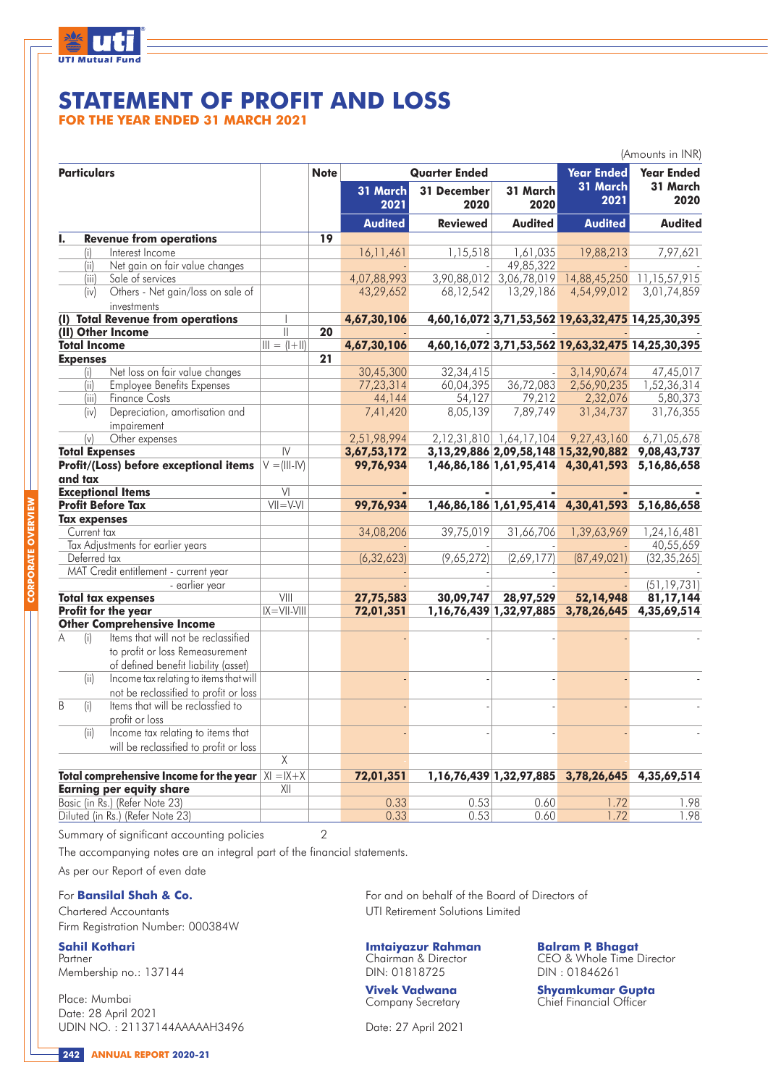

## **STATEMENT OF PROFIT AND LOSS**

**FOR THE YEAR ENDED 31 MARCH 2021**

|                |                     |                                                         |                  |             |                  |                            |                               |                                                   | (Amounts in INR)                                  |
|----------------|---------------------|---------------------------------------------------------|------------------|-------------|------------------|----------------------------|-------------------------------|---------------------------------------------------|---------------------------------------------------|
|                | <b>Particulars</b>  |                                                         |                  | <b>Note</b> |                  | <b>Quarter Ended</b>       | <b>Year Ended</b>             | <b>Year Ended</b>                                 |                                                   |
|                |                     |                                                         |                  |             | 31 March<br>2021 | <b>31 December</b><br>2020 | 31 March<br>2020              | 31 March<br>2021                                  | 31 March<br>2020                                  |
|                |                     |                                                         |                  |             | <b>Audited</b>   | <b>Reviewed</b>            | <b>Audited</b>                | <b>Audited</b>                                    | <b>Audited</b>                                    |
| ı.             |                     | <b>Revenue from operations</b>                          |                  | 19          |                  |                            |                               |                                                   |                                                   |
|                | (i)                 | Interest Income                                         |                  |             | 16,11,461        | 1,15,518                   | 1,61,035                      | 19,88,213                                         | 7,97,621                                          |
|                | (iii)               | Net gain on fair value changes                          |                  |             |                  |                            | 49,85,322                     |                                                   |                                                   |
|                | (iii)               | Sale of services                                        |                  |             | 4,07,88,993      | 3,90,88,012                | 3,06,78,019                   | 14,88,45,250                                      | 11,15,57,915                                      |
|                | (iv)                | Others - Net gain/loss on sale of<br>investments        |                  |             | 43,29,652        | 68,12,542                  | 13,29,186                     | 4,54,99,012                                       | 3,01,74,859                                       |
|                |                     | (I) Total Revenue from operations                       |                  |             | 4,67,30,106      |                            |                               | 4,60,16,072 3,71,53,562 19,63,32,475 14,25,30,395 |                                                   |
|                |                     | (II) Other Income                                       | $\mathbf{I}$     | 20          |                  |                            |                               |                                                   |                                                   |
|                | <b>Total Income</b> |                                                         | $III = (I + II)$ |             | 4,67,30,106      |                            |                               |                                                   | 4,60,16,072 3,71,53,562 19,63,32,475 14,25,30,395 |
|                | <b>Expenses</b>     |                                                         |                  | 21          |                  |                            |                               |                                                   |                                                   |
|                | (i)                 | Net loss on fair value changes                          |                  |             | 30,45,300        | 32, 34, 415                |                               | 3,14,90,674                                       | 47,45,017                                         |
|                | (ii)                | <b>Employee Benefits Expenses</b>                       |                  |             | 77,23,314        | 60,04,395                  | 36,72,083                     | 2,56,90,235                                       | 1,52,36,314                                       |
|                | (iii)               | <b>Finance Costs</b>                                    |                  |             | 44,144           | 54,127                     | 79,212                        | 2,32,076                                          | 5,80,373                                          |
|                | (iv)                | Depreciation, amortisation and<br>impairement           |                  |             | 7,41,420         | 8,05,139                   | 7,89,749                      | 31, 34, 737                                       | 31,76,355                                         |
|                | (v)                 | Other expenses                                          |                  |             | 2,51,98,994      |                            | 2, 12, 31, 810 1, 64, 17, 104 | 9,27,43,160                                       | 6,71,05,678                                       |
|                |                     | <b>Total Expenses</b>                                   | $\mathsf{IV}$    |             | 3,67,53,172      |                            |                               | 3,13,29,886 2,09,58,148 15,32,90,882              | 9,08,43,737                                       |
|                |                     | Profit/(Loss) before exceptional items                  | $V = (III - IV)$ |             | 99,76,934        |                            | 1,46,86,186 1,61,95,414       | 4,30,41,593                                       | 5,16,86,658                                       |
|                | and tax             |                                                         |                  |             |                  |                            |                               |                                                   |                                                   |
|                |                     | <b>Exceptional Items</b>                                | $\overline{V}$   |             |                  |                            |                               |                                                   |                                                   |
|                |                     | <b>Profit Before Tax</b>                                | $V = V - V$      |             | 99,76,934        |                            |                               | 1,46,86,186 1,61,95,414 4,30,41,593 5,16,86,658   |                                                   |
|                | <b>Tax expenses</b> |                                                         |                  |             |                  |                            |                               |                                                   |                                                   |
|                | Current tax         |                                                         |                  |             | 34,08,206        | 39,75,019                  | 31,66,706                     | 1,39,63,969                                       | 1,24,16,481                                       |
|                |                     | Tax Adjustments for earlier years                       |                  |             |                  |                            |                               |                                                   | 40,55,659                                         |
|                | Deferred tax        |                                                         |                  |             | (6, 32, 623)     | (9,65,272)                 | (2,69,177)                    | (87, 49, 021)                                     | (32, 35, 265)                                     |
|                |                     | MAT Credit entitlement - current year                   |                  |             |                  |                            |                               |                                                   |                                                   |
|                |                     | - earlier vear                                          |                  |             |                  |                            |                               |                                                   | (51, 19, 731)                                     |
|                |                     | <b>Total tax expenses</b>                               | VIII             |             | 27,75,583        | 30,09,747                  | 28,97,529                     | 52,14,948                                         | 81,17,144                                         |
|                |                     | Profit for the year                                     | $ X=V  -V   $    |             | 72,01,351        |                            | 1,16,76,439 1,32,97,885       | 3,78,26,645                                       | 4,35,69,514                                       |
|                |                     | <b>Other Comprehensive Income</b>                       |                  |             |                  |                            |                               |                                                   |                                                   |
| A              | (i)                 | Items that will not be reclassified                     |                  |             |                  |                            |                               |                                                   |                                                   |
|                |                     | to profit or loss Remeasurement                         |                  |             |                  |                            |                               |                                                   |                                                   |
|                |                     | of defined benefit liability (asset)                    |                  |             |                  |                            |                               |                                                   |                                                   |
|                | (ii)                | Income tax relating to items that will                  |                  |             |                  |                            |                               |                                                   |                                                   |
|                |                     | not be reclassified to profit or loss                   |                  |             |                  |                            |                               |                                                   |                                                   |
| $\overline{B}$ | (i)                 | Items that will be reclassfied to<br>profit or loss     |                  |             |                  |                            |                               |                                                   |                                                   |
|                | (ii)                | Income tax relating to items that                       |                  |             |                  |                            |                               |                                                   |                                                   |
|                |                     | will be reclassified to profit or loss                  |                  |             |                  |                            |                               |                                                   |                                                   |
|                |                     |                                                         | $\overline{X}$   |             |                  |                            |                               |                                                   |                                                   |
|                |                     | Total comprehensive Income for the year $ X  =  X  + X$ |                  |             | 72,01,351        |                            |                               | 1,16,76,439 1,32,97,885 3,78,26,645               | 4,35,69,514                                       |
|                |                     | <b>Earning per equity share</b>                         | XII              |             |                  |                            |                               |                                                   |                                                   |
|                |                     | Basic (in Rs.) (Refer Note 23)                          |                  |             | 0.33             | 0.53                       | 0.60                          | 1.72                                              | 1.98                                              |
|                |                     | Diluted (in Rs.) (Refer Note 23)                        |                  |             | 0.33             | 0.53                       | 0.60                          | 1.72                                              | 1.98                                              |

Summary of significant accounting policies 2

The accompanying notes are an integral part of the financial statements.

As per our Report of even date

#### For **Bansilal Shah & Co.**

Chartered Accountants Firm Registration Number: 000384W

Membership no.: 137144

Place: Mumbai Date: 28 April 2021 UDIN NO. : 21137144AAAAAH3496 For and on behalf of the Board of Directors of UTI Retirement Solutions Limited

Chairman & Director CEO & Whole Time Director<br>
DIN: 01818725 DIN: 01846261

Date: 27 April 2021

**Sahil Kothari Imtaiyazur Rahman Balram P. Bhagat** 

**Vivek Vadwana Shyamkumar Gupta** Chief Financial Officer

**242 ANNUAL REPORT 2020-21**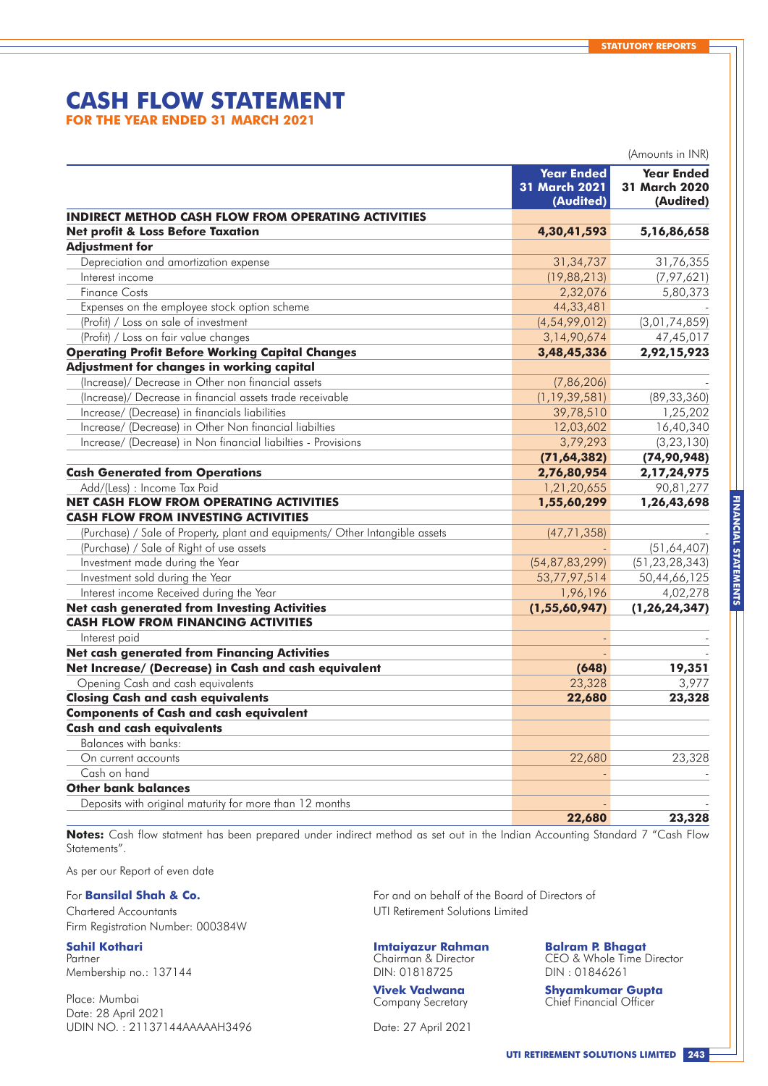### **CASH FLOW STATEMENT**

**FOR THE YEAR ENDED 31 MARCH 2021**

|                                                                              |                                                        | (Amounts in INR)                                       |
|------------------------------------------------------------------------------|--------------------------------------------------------|--------------------------------------------------------|
|                                                                              | <b>Year Ended</b><br><b>31 March 2021</b><br>(Audited) | <b>Year Ended</b><br><b>31 March 2020</b><br>(Audited) |
| <b>INDIRECT METHOD CASH FLOW FROM OPERATING ACTIVITIES</b>                   |                                                        |                                                        |
| <b>Net profit &amp; Loss Before Taxation</b>                                 | 4,30,41,593                                            | 5,16,86,658                                            |
| <b>Adjustment for</b>                                                        |                                                        |                                                        |
| Depreciation and amortization expense                                        | 31, 34, 737                                            | 31,76,355                                              |
| Interest income                                                              | (19, 88, 213)                                          | (7, 97, 621)                                           |
| <b>Finance Costs</b>                                                         | 2,32,076                                               | 5,80,373                                               |
| Expenses on the employee stock option scheme                                 | 44,33,481                                              |                                                        |
| (Profit) / Loss on sale of investment                                        | (4, 54, 99, 012)                                       | (3,01,74,859)                                          |
| (Profit) / Loss on fair value changes                                        | 3,14,90,674                                            | 47,45,017                                              |
| <b>Operating Profit Before Working Capital Changes</b>                       | 3,48,45,336                                            | 2,92,15,923                                            |
| Adjustment for changes in working capital                                    |                                                        |                                                        |
| (Increase)/ Decrease in Other non financial assets                           | (7,86,206)                                             |                                                        |
| (Increase)/ Decrease in financial assets trade receivable                    | (1, 19, 39, 581)                                       | (89, 33, 360)                                          |
| Increase/ (Decrease) in financials liabilities                               | 39,78,510                                              | 1,25,202                                               |
| Increase/ (Decrease) in Other Non financial liabilties                       | 12,03,602                                              | 16,40,340                                              |
| Increase/ (Decrease) in Non financial liabilties - Provisions                | 3,79,293                                               | (3, 23, 130)                                           |
|                                                                              | (71, 64, 382)                                          | (74, 90, 948)                                          |
| <b>Cash Generated from Operations</b>                                        | 2,76,80,954                                            | 2,17,24,975                                            |
| Add/(Less) : Income Tax Paid                                                 | 1,21,20,655                                            | 90,81,277                                              |
| <b>NET CASH FLOW FROM OPERATING ACTIVITIES</b>                               | 1,55,60,299                                            | 1,26,43,698                                            |
| <b>CASH FLOW FROM INVESTING ACTIVITIES</b>                                   |                                                        |                                                        |
| (Purchase) / Sale of Property, plant and equipments/ Other Intangible assets | (47, 71, 358)                                          |                                                        |
| (Purchase) / Sale of Right of use assets                                     |                                                        | (51, 64, 407)                                          |
| Investment made during the Year                                              | (54, 87, 83, 299)                                      | (51, 23, 28, 343)                                      |
| Investment sold during the Year                                              | 53,77,97,514                                           | 50,44,66,125                                           |
| Interest income Received during the Year                                     | 1,96,196                                               | 4,02,278                                               |
| Net cash generated from Investing Activities                                 | (1, 55, 60, 947)                                       | (1, 26, 24, 347)                                       |
| <b>CASH FLOW FROM FINANCING ACTIVITIES</b>                                   |                                                        |                                                        |
| Interest paid                                                                |                                                        |                                                        |
| Net cash generated from Financing Activities                                 |                                                        |                                                        |
| Net Increase/ (Decrease) in Cash and cash equivalent                         | (648)                                                  | 19,351                                                 |
| Opening Cash and cash equivalents                                            | 23,328                                                 | 3,977                                                  |
| <b>Closing Cash and cash equivalents</b>                                     | 22,680                                                 | 23,328                                                 |
| <b>Components of Cash and cash equivalent</b>                                |                                                        |                                                        |
| <b>Cash and cash equivalents</b>                                             |                                                        |                                                        |
| Balances with banks:                                                         |                                                        |                                                        |
| On current accounts                                                          | 22,680                                                 | 23,328                                                 |
| Cash on hand                                                                 |                                                        |                                                        |
| <b>Other bank balances</b>                                                   |                                                        |                                                        |
| Deposits with original maturity for more than 12 months                      |                                                        |                                                        |
|                                                                              | 22,680                                                 | 23,328                                                 |

Notes: Cash flow statment has been prepared under indirect method as set out in the Indian Accounting Standard 7 "Cash Flow Statements".

As per our Report of even date

For **Bansilal Shah & Co.**

Chartered Accountants Firm Registration Number: 000384W

Membership no.: 137144

Place: Mumbai Date: 28 April 2021 UDIN NO. : 21137144AAAAAH3496 For and on behalf of the Board of Directors of UTI Retirement Solutions Limited

**Sahil Kothari Imtaiyazur Rahman Balram P. Bhagat**  Chairman & Director<br>
DIN: 01818725 DIN: 01846261

## **Vivek Vadwana Shyamkumar Gupta**

Date: 27 April 2021

 $\mathcal{L}$  INID)

**UTI RETIREMENT SOLUTIONS LIMITED 243**

Chief Financial Officer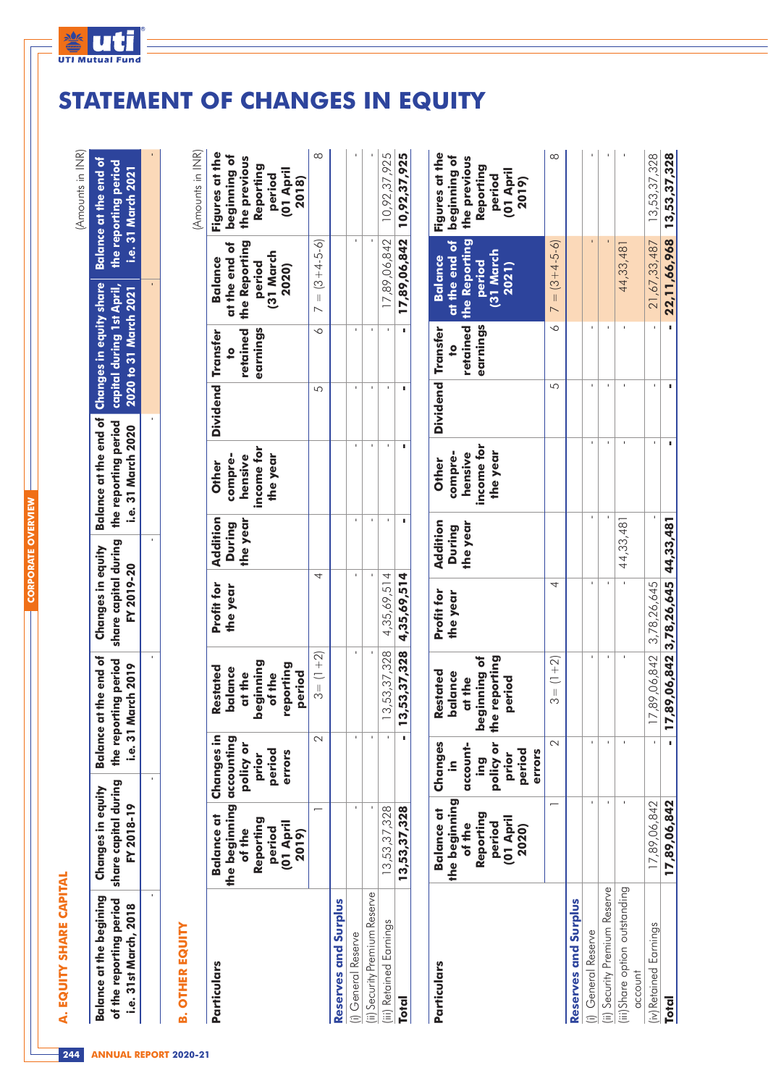

## **STATEMENT OF CHANGES IN EQUITY**

| $\mathcal{L}^{\text{max}}_{\text{max}}$ and $\mathcal{L}^{\text{max}}_{\text{max}}$ and $\mathcal{L}^{\text{max}}_{\text{max}}$ |
|---------------------------------------------------------------------------------------------------------------------------------|
|                                                                                                                                 |
|                                                                                                                                 |
| ľ<br>ı                                                                                                                          |
| I<br>Ī<br>ī                                                                                                                     |
| I<br><b>CONTRACTOR</b>                                                                                                          |
| í                                                                                                                               |
|                                                                                                                                 |
| Ξ<br><b>CONTRACTOR</b><br>ľ                                                                                                     |
| i                                                                                                                               |
| <b>Contract Contract Contract Contract Contract Contract Contract Contract Contract Contract Contract Contract Co</b>           |
| i                                                                                                                               |
| I                                                                                                                               |
| l<br>l                                                                                                                          |
| י<br>ć                                                                                                                          |
|                                                                                                                                 |

|                 | $\parallel$ the reporting period $\parallel$ share capital during $\parallel$ the reporting period $\parallel$ capital during 1st April, $\parallel$ the reporting period $\parallel$ | FY 2019-20 | March 2019 | of the reporting period share capital during<br>FY 2018-1 | i.e. 31st March, 2018   |
|-----------------|---------------------------------------------------------------------------------------------------------------------------------------------------------------------------------------|------------|------------|-----------------------------------------------------------|-------------------------|
|                 | Balance at the end of   Changes in equity   Balance at the end of Changes in equity share   Balance at the end of                                                                     |            |            | Changes in equity                                         | Balance at the begining |
| Amounts in INR) |                                                                                                                                                                                       |            |            |                                                           |                         |

**CORPORATE OVERVIEW**

CORPORATE OVERVIEW

# **B. OTHER EQUITY B. OTHER EQUITY**

| Particulars                  | Balance at   Changes in<br>the beginning accounting<br>Reporting<br>period<br>(01 April<br>of the<br>2019) | policy or<br>prior<br>period<br>errors | puinuipac<br>reporting<br><b>Restated</b><br>balance<br>of the<br>period<br>at the | Profit for Addition<br>the year | the year<br><b>During</b> | income for<br>the year<br>compre-<br>hensive<br><b>Other</b> | Dividend Transfer | earnings<br>$\frac{1}{2}$ | retained the Reporting<br>at the end of<br>(31 March<br><b>Balance</b><br>period<br>2020) | (Amounts in INR)<br>Figures at the<br>beginning of<br>the previous<br>Reporting<br>(01 April<br>period<br>2018) |
|------------------------------|------------------------------------------------------------------------------------------------------------|----------------------------------------|------------------------------------------------------------------------------------|---------------------------------|---------------------------|--------------------------------------------------------------|-------------------|---------------------------|-------------------------------------------------------------------------------------------|-----------------------------------------------------------------------------------------------------------------|
|                              |                                                                                                            |                                        | $3 = (1 + 2)$                                                                      |                                 |                           |                                                              | 5                 | $\overline{\circ}$        | $7 = (3+4.5.6)$                                                                           | œ                                                                                                               |
| Reserves and Surplus         |                                                                                                            |                                        |                                                                                    |                                 |                           |                                                              |                   |                           |                                                                                           |                                                                                                                 |
| General Reserve              |                                                                                                            |                                        |                                                                                    |                                 |                           |                                                              |                   |                           |                                                                                           |                                                                                                                 |
| ii) Security Premium Reserve |                                                                                                            |                                        |                                                                                    |                                 |                           |                                                              |                   |                           |                                                                                           |                                                                                                                 |
| (iii) Retained Earnings      | 13,53,37,328                                                                                               |                                        |                                                                                    | $3,53,37,328$ 4,35,69,514       |                           |                                                              |                   |                           |                                                                                           | $17,89,06,842$ $10,92,37,925$                                                                                   |
| Total                        | 13,53,37,328                                                                                               |                                        | $13,53,37,328 \mid 4,35,69,514$                                                    |                                 |                           |                                                              |                   |                           | 17,89,06,842 10,92,37,925                                                                 |                                                                                                                 |

| Particulars                             | the beginning<br>Balance at<br>Reporting<br>(01 April<br>period<br>of the<br>2020) | policy or<br>Changes<br>account-<br>period<br>errors<br>ing<br>prior<br>£ | he reporting<br>ho pninnipec<br><b>Restated</b><br>balance<br>period<br>at the | Profit for<br>the year | <b>Addition</b><br>the year<br>During | income for<br>the year<br>compre-<br>hensive<br><b>Other</b> |   | Dividend Transfer<br>earnings<br>o | retained the Reporting the previous<br><b>Balance</b><br>(31 March<br><b>Period</b><br>2021) | Figures at the<br>at the end of beginning of<br>Reporting<br>(01 April<br>period<br>2019) |
|-----------------------------------------|------------------------------------------------------------------------------------|---------------------------------------------------------------------------|--------------------------------------------------------------------------------|------------------------|---------------------------------------|--------------------------------------------------------------|---|------------------------------------|----------------------------------------------------------------------------------------------|-------------------------------------------------------------------------------------------|
|                                         |                                                                                    | $\scriptstyle\sim$                                                        | $3 = (1 + 2)$                                                                  |                        |                                       |                                                              | 5 |                                    | $6 \quad 7 = (3+4.5.6)$                                                                      | ∞                                                                                         |
| Reserves and Surplus                    |                                                                                    |                                                                           |                                                                                |                        |                                       |                                                              |   |                                    |                                                                                              |                                                                                           |
| [i] General Reserve                     |                                                                                    |                                                                           |                                                                                |                        |                                       |                                                              |   |                                    |                                                                                              |                                                                                           |
| ii) Security Premium Reserve            |                                                                                    |                                                                           |                                                                                |                        |                                       |                                                              |   |                                    |                                                                                              |                                                                                           |
| iii)Share option outstanding<br>account |                                                                                    |                                                                           |                                                                                |                        | 44,33,481                             |                                                              |   |                                    | 44,33,481                                                                                    |                                                                                           |
| (iv) Retained Earnings                  | 17,89,06,842                                                                       |                                                                           | 17,89,06,842 3,78,26,645                                                       |                        |                                       |                                                              |   |                                    |                                                                                              | 21,67,33,487 13,53,37,328                                                                 |
| <b>Total</b>                            | 17,89,06,842                                                                       |                                                                           | 7,89,06,842 3,78,26,645 44,33,481                                              |                        |                                       |                                                              |   |                                    |                                                                                              | $-22,11,66,968$ 13,53,37,328                                                              |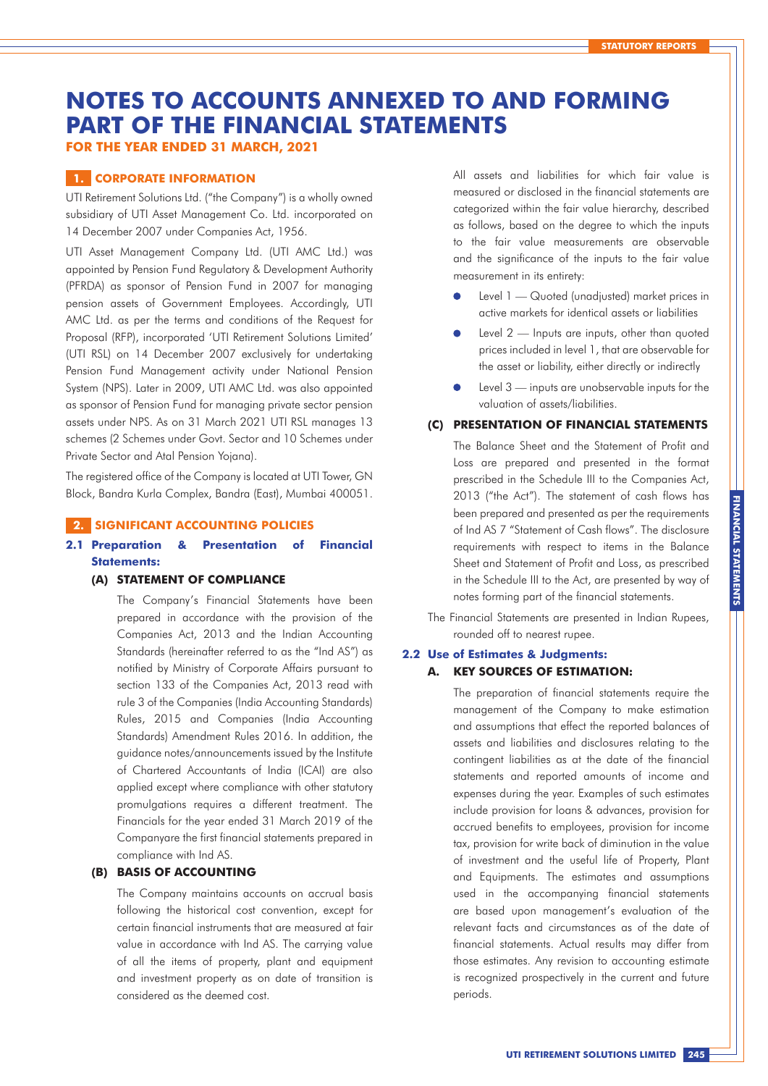### **NOTES TO ACCOUNTS ANNEXED TO AND FORMING PART OF THE FINANCIAL STATEMENTS**

#### **FOR THE YEAR ENDED 31 MARCH, 2021**

#### **1. CORPORATE INFORMATION**

UTI Retirement Solutions Ltd. ("the Company") is a wholly owned subsidiary of UTI Asset Management Co. Ltd. incorporated on 14 December 2007 under Companies Act, 1956.

UTI Asset Management Company Ltd. (UTI AMC Ltd.) was appointed by Pension Fund Regulatory & Development Authority (PFRDA) as sponsor of Pension Fund in 2007 for managing pension assets of Government Employees. Accordingly, UTI AMC Ltd. as per the terms and conditions of the Request for Proposal (RFP), incorporated 'UTI Retirement Solutions Limited' (UTI RSL) on 14 December 2007 exclusively for undertaking Pension Fund Management activity under National Pension System (NPS). Later in 2009, UTI AMC Ltd. was also appointed as sponsor of Pension Fund for managing private sector pension assets under NPS. As on 31 March 2021 UTI RSL manages 13 schemes (2 Schemes under Govt. Sector and 10 Schemes under Private Sector and Atal Pension Yojana).

The registered office of the Company is located at UTI Tower, GN Block, Bandra Kurla Complex, Bandra (East), Mumbai 400051.

#### **2. SIGNIFICANT ACCOUNTING POLICIES**

#### **2.1 Preparation & Presentation of Financial Statements:**

#### **(A) STATEMENT OF COMPLIANCE**

The Company's Financial Statements have been prepared in accordance with the provision of the Companies Act, 2013 and the Indian Accounting Standards (hereinafter referred to as the "Ind AS") as notified by Ministry of Corporate Affairs pursuant to section 133 of the Companies Act, 2013 read with rule 3 of the Companies (India Accounting Standards) Rules, 2015 and Companies (India Accounting Standards) Amendment Rules 2016. In addition, the guidance notes/announcements issued by the Institute of Chartered Accountants of India (ICAI) are also applied except where compliance with other statutory promulgations requires a different treatment. The Financials for the year ended 31 March 2019 of the Companyare the first financial statements prepared in compliance with Ind AS.

#### **(B) BASIS OF ACCOUNTING**

The Company maintains accounts on accrual basis following the historical cost convention, except for certain financial instruments that are measured at fair value in accordance with Ind AS. The carrying value of all the items of property, plant and equipment and investment property as on date of transition is considered as the deemed cost.

All assets and liabilities for which fair value is measured or disclosed in the financial statements are categorized within the fair value hierarchy, described as follows, based on the degree to which the inputs to the fair value measurements are observable and the significance of the inputs to the fair value measurement in its entirety:

- Level 1 Quoted (unadjusted) market prices in  $\bullet$ active markets for identical assets or liabilities
- Level 2 Inputs are inputs, other than quoted prices included in level 1, that are observable for the asset or liability, either directly or indirectly
- Level 3 inputs are unobservable inputs for the valuation of assets/liabilities.

#### **(C) PRESENTATION OF FINANCIAL STATEMENTS**

The Balance Sheet and the Statement of Profit and Loss are prepared and presented in the format prescribed in the Schedule III to the Companies Act, 2013 ("the Act"). The statement of cash flows has been prepared and presented as per the requirements of Ind AS 7 "Statement of Cash flows". The disclosure requirements with respect to items in the Balance Sheet and Statement of Profit and Loss, as prescribed in the Schedule III to the Act, are presented by way of notes forming part of the financial statements.

The Financial Statements are presented in Indian Rupees, rounded off to nearest rupee.

#### **2.2 Use of Estimates & Judgments: A. KEY SOURCES OF ESTIMATION:**

The preparation of financial statements require the management of the Company to make estimation and assumptions that effect the reported balances of assets and liabilities and disclosures relating to the contingent liabilities as at the date of the financial statements and reported amounts of income and expenses during the year. Examples of such estimates include provision for loans & advances, provision for accrued benefits to employees, provision for income tax, provision for write back of diminution in the value of investment and the useful life of Property, Plant and Equipments. The estimates and assumptions used in the accompanying financial statements are based upon management's evaluation of the relevant facts and circumstances as of the date of financial statements. Actual results may differ from those estimates. Any revision to accounting estimate is recognized prospectively in the current and future periods.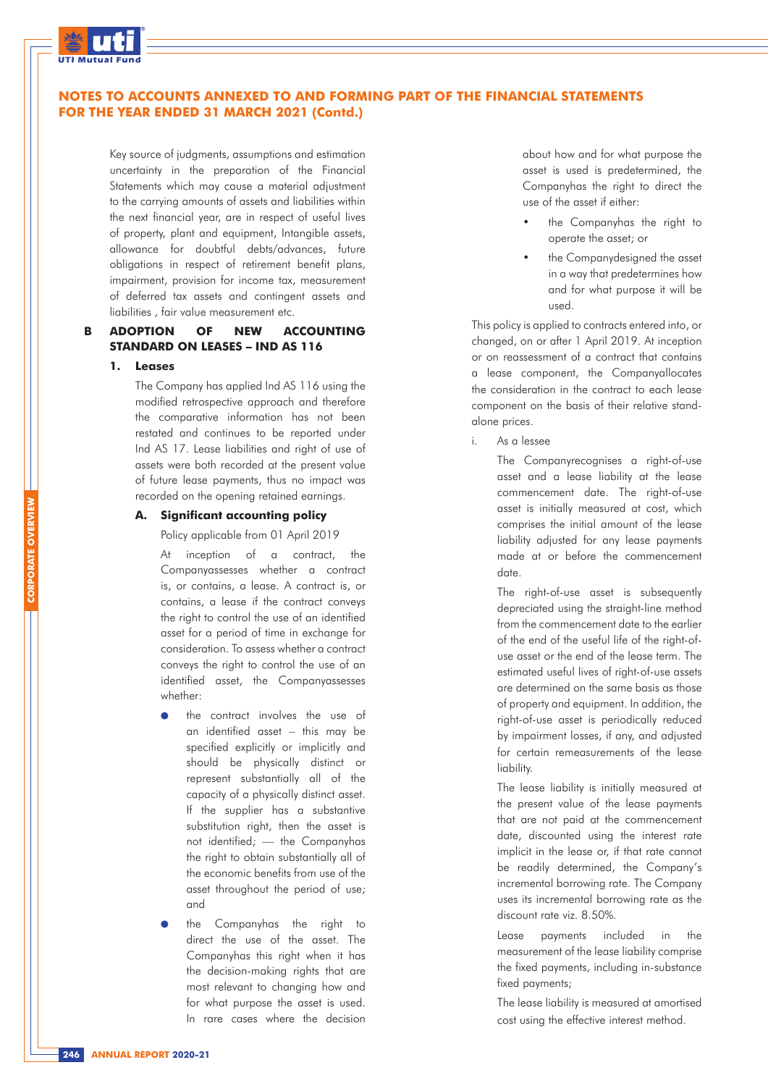

Key source of judgments, assumptions and estimation uncertainty in the preparation of the Financial Statements which may cause a material adjustment to the carrying amounts of assets and liabilities within the next financial year, are in respect of useful lives of property, plant and equipment, Intangible assets, allowance for doubtful debts/advances, future obligations in respect of retirement benefit plans, impairment, provision for income tax, measurement of deferred tax assets and contingent assets and liabilities , fair value measurement etc.

#### **B ADOPTION OF NEW ACCOUNTING STANDARD ON LEASES – IND AS 116**

#### **1. Leases**

The Company has applied Ind AS 116 using the modified retrospective approach and therefore the comparative information has not been restated and continues to be reported under Ind AS 17. Lease liabilities and right of use of assets were both recorded at the present value of future lease payments, thus no impact was recorded on the opening retained earnings.

#### **A. Significant accounting policy**

Policy applicable from 01 April 2019

At inception of a contract, the Companyassesses whether a contract is, or contains, a lease. A contract is, or contains, a lease if the contract conveys the right to control the use of an identified asset for a period of time in exchange for consideration. To assess whether a contract conveys the right to control the use of an identified asset, the Companyassesses whether:

- the contract involves the use of an identified asset – this may be specified explicitly or implicitly and should be physically distinct or represent substantially all of the capacity of a physically distinct asset. If the supplier has a substantive substitution right, then the asset is not identified; - the Companyhas the right to obtain substantially all of the economic benefits from use of the asset throughout the period of use; and
- the Companyhas the right to direct the use of the asset. The Companyhas this right when it has the decision-making rights that are most relevant to changing how and for what purpose the asset is used. In rare cases where the decision

about how and for what purpose the asset is used is predetermined, the Companyhas the right to direct the use of the asset if either:

- the Companyhas the right to operate the asset; or
- the Companydesianed the asset in a way that predetermines how and for what purpose it will be used.

This policy is applied to contracts entered into, or changed, on or after 1 April 2019. At inception or on reassessment of a contract that contains a lease component, the Companyallocates the consideration in the contract to each lease component on the basis of their relative standalone prices.

i. As a lessee

The Companyrecognises a right-of-use asset and a lease liability at the lease commencement date. The right-of-use asset is initially measured at cost, which comprises the initial amount of the lease liability adjusted for any lease payments made at or before the commencement date.

The right-of-use asset is subsequently depreciated using the straight-line method from the commencement date to the earlier of the end of the useful life of the right-ofuse asset or the end of the lease term. The estimated useful lives of right-of-use assets are determined on the same basis as those of property and equipment. In addition, the right-of-use asset is periodically reduced by impairment losses, if any, and adjusted for certain remeasurements of the lease liability.

The lease liability is initially measured at the present value of the lease payments that are not paid at the commencement date, discounted using the interest rate implicit in the lease or, if that rate cannot be readily determined, the Company's incremental borrowing rate. The Company uses its incremental borrowing rate as the discount rate viz. 8.50%.

Lease payments included in the measurement of the lease liability comprise the fixed payments, including in-substance fixed payments;

The lease liability is measured at amortised cost using the effective interest method.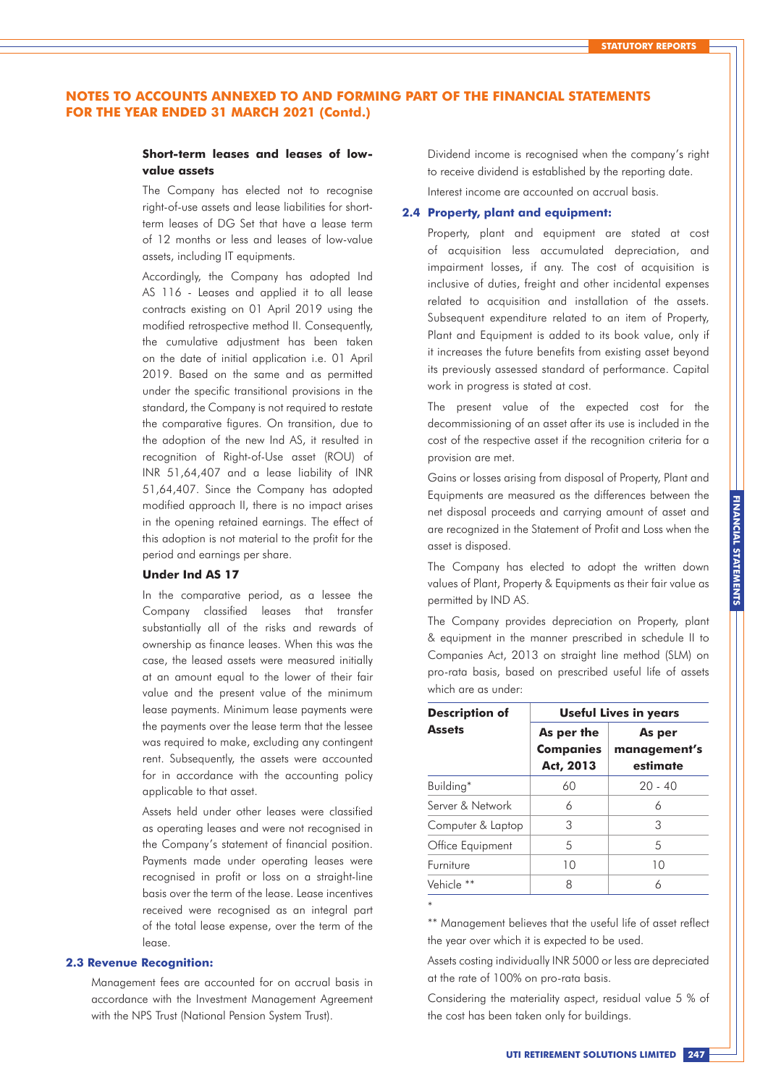#### **Short-term leases and leases of lowvalue assets**

The Company has elected not to recognise right-of-use assets and lease liabilities for shortterm leases of DG Set that have a lease term of 12 months or less and leases of low-value assets, including IT equipments.

Accordingly, the Company has adopted Ind AS 116 - Leases and applied it to all lease contracts existing on 01 April 2019 using the modified retrospective method II. Consequently, the cumulative adjustment has been taken on the date of initial application i.e. 01 April 2019. Based on the same and as permitted under the specific transitional provisions in the standard, the Company is not required to restate the comparative figures. On transition, due to the adoption of the new Ind AS, it resulted in recognition of Right-of-Use asset (ROU) of INR 51,64,407 and a lease liability of INR 51,64,407. Since the Company has adopted modified approach II, there is no impact arises in the opening retained earnings. The effect of this adoption is not material to the profit for the period and earnings per share.

#### **Under Ind AS 17**

In the comparative period, as a lessee the Company classified leases that transfer substantially all of the risks and rewards of ownership as finance leases. When this was the case, the leased assets were measured initially at an amount equal to the lower of their fair value and the present value of the minimum lease payments. Minimum lease payments were the payments over the lease term that the lessee was required to make, excluding any contingent rent. Subsequently, the assets were accounted for in accordance with the accounting policy applicable to that asset.

Assets held under other leases were classified as operating leases and were not recognised in the Company's statement of financial position. Payments made under operating leases were recognised in profit or loss on a straight-line basis over the term of the lease. Lease incentives received were recognised as an integral part of the total lease expense, over the term of the lease.

#### **2.3 Revenue Recognition:**

Management fees are accounted for on accrual basis in accordance with the Investment Management Agreement with the NPS Trust (National Pension System Trust).

Dividend income is recognised when the company's right to receive dividend is established by the reporting date.

Interest income are accounted on accrual basis.

#### **2.4 Property, plant and equipment:**

Property, plant and equipment are stated at cost of acquisition less accumulated depreciation, and impairment losses, if any. The cost of acquisition is inclusive of duties, freight and other incidental expenses related to acquisition and installation of the assets. Subsequent expenditure related to an item of Property, Plant and Equipment is added to its book value, only if it increases the future benefits from existing asset beyond its previously assessed standard of performance. Capital work in progress is stated at cost.

The present value of the expected cost for the decommissioning of an asset after its use is included in the cost of the respective asset if the recognition criteria for a provision are met.

Gains or losses arising from disposal of Property, Plant and Equipments are measured as the differences between the net disposal proceeds and carrying amount of asset and are recognized in the Statement of Profit and Loss when the asset is disposed.

The Company has elected to adopt the written down values of Plant, Property & Equipments as their fair value as permitted by IND AS.

The Company provides depreciation on Property, plant & equipment in the manner prescribed in schedule II to Companies Act, 2013 on straight line method (SLM) on pro-rata basis, based on prescribed useful life of assets which are as under:

| <b>Description of</b> | <b>Useful Lives in years</b>                |                                    |
|-----------------------|---------------------------------------------|------------------------------------|
| <b>Assets</b>         | As per the<br><b>Companies</b><br>Act, 2013 | As per<br>management's<br>estimate |
| Building*             | 60                                          | $20 - 40$                          |
| Server & Network      | 6                                           | 6                                  |
| Computer & Laptop     | 3                                           | 3                                  |
| Office Equipment      | 5                                           | 5                                  |
| Furniture             | 10                                          | 10                                 |
| Vehicle **            | 8                                           | 6                                  |

\*\* Management believes that the useful life of asset reflect the year over which it is expected to be used.

\*

Assets costing individually INR 5000 or less are depreciated at the rate of 100% on pro-rata basis.

Considering the materiality aspect, residual value 5 % of the cost has been taken only for buildings.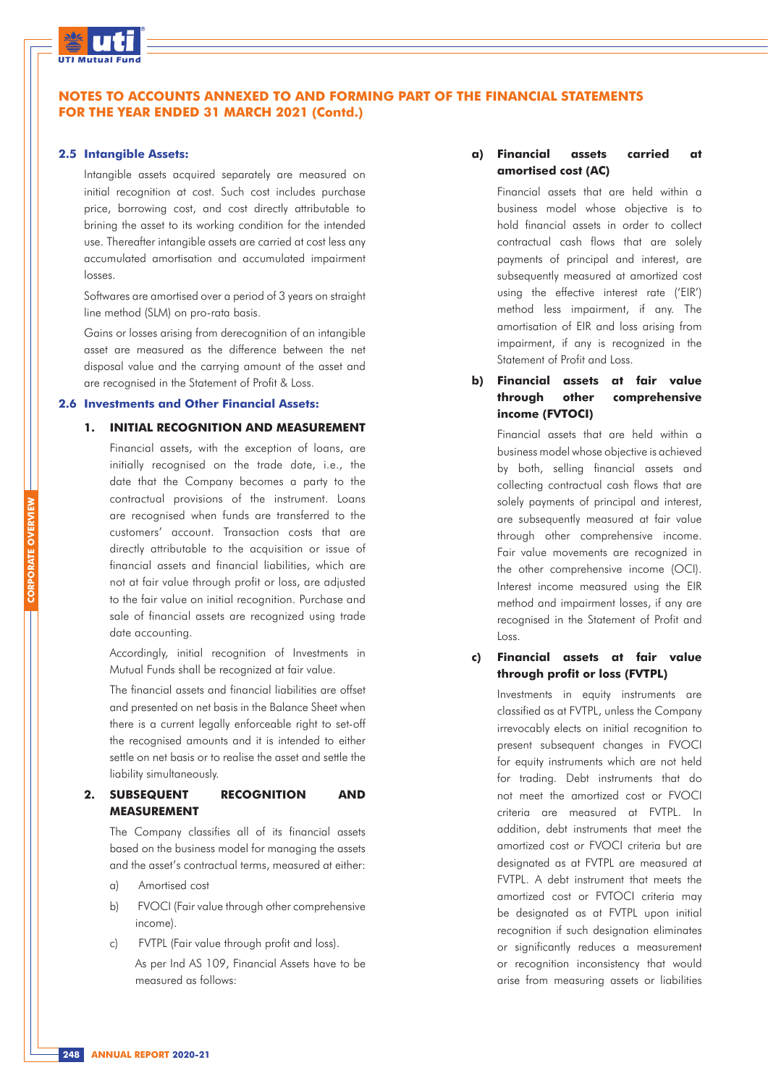

#### **2.5 Intangible Assets:**

Intangible assets acquired separately are measured on initial recognition at cost. Such cost includes purchase price, borrowing cost, and cost directly attributable to brining the asset to its working condition for the intended use. Thereafter intangible assets are carried at cost less any accumulated amortisation and accumulated impairment losses.

Softwares are amortised over a period of 3 years on straight line method (SLM) on pro-rata basis.

Gains or losses arising from derecognition of an intangible asset are measured as the difference between the net disposal value and the carrying amount of the asset and are recognised in the Statement of Profit & Loss.

#### **2.6 Investments and Other Financial Assets:**

#### **1. INITIAL RECOGNITION AND MEASUREMENT**

Financial assets, with the exception of loans, are initially recognised on the trade date, i.e., the date that the Company becomes a party to the contractual provisions of the instrument. Loans are recognised when funds are transferred to the customers' account. Transaction costs that are directly attributable to the acquisition or issue of financial assets and financial liabilities, which are not at fair value through profit or loss, are adjusted to the fair value on initial recognition. Purchase and sale of financial assets are recognized using trade date accounting.

Accordingly, initial recognition of Investments in Mutual Funds shall be recognized at fair value.

The financial assets and financial liabilities are offset and presented on net basis in the Balance Sheet when there is a current legally enforceable right to set-off the recognised amounts and it is intended to either settle on net basis or to realise the asset and settle the liability simultaneously.

#### **2. SUBSEQUENT RECOGNITION AND MEASUREMENT**

The Company classifies all of its financial assets based on the business model for managing the assets and the asset's contractual terms, measured at either:

- a) Amortised cost
- b) FVOCI (Fair value through other comprehensive income).
- c) FVTPL (Fair value through profit and loss). As per Ind AS 109, Financial Assets have to be measured as follows:

#### **a) Financial assets carried at amortised cost (AC)**

Financial assets that are held within a business model whose objective is to hold financial assets in order to collect contractual cash flows that are solely payments of principal and interest, are subsequently measured at amortized cost using the effective interest rate ('EIR') method less impairment, if any. The amortisation of EIR and loss arising from impairment, if any is recognized in the Statement of Profit and Loss.

#### **b) Financial assets at fair value through other comprehensive income (FVTOCI)**

Financial assets that are held within a business model whose objective is achieved by both, selling financial assets and collecting contractual cash flows that are solely payments of principal and interest, are subsequently measured at fair value through other comprehensive income. Fair value movements are recognized in the other comprehensive income (OCI). Interest income measured using the EIR method and impairment losses, if any are recognised in the Statement of Profit and Loss.

#### **c) Financial assets at fair value through profit or loss (FVTPL)**

Investments in equity instruments are classified as at FVTPL, unless the Company irrevocably elects on initial recognition to present subsequent changes in FVOCI for equity instruments which are not held for trading. Debt instruments that do not meet the amortized cost or FVOCI criteria are measured at FVTPL. In addition, debt instruments that meet the amortized cost or FVOCI criteria but are designated as at FVTPL are measured at FVTPL. A debt instrument that meets the amortized cost or FVTOCI criteria may be designated as at FVTPL upon initial recognition if such designation eliminates or significantly reduces a measurement or recognition inconsistency that would arise from measuring assets or liabilities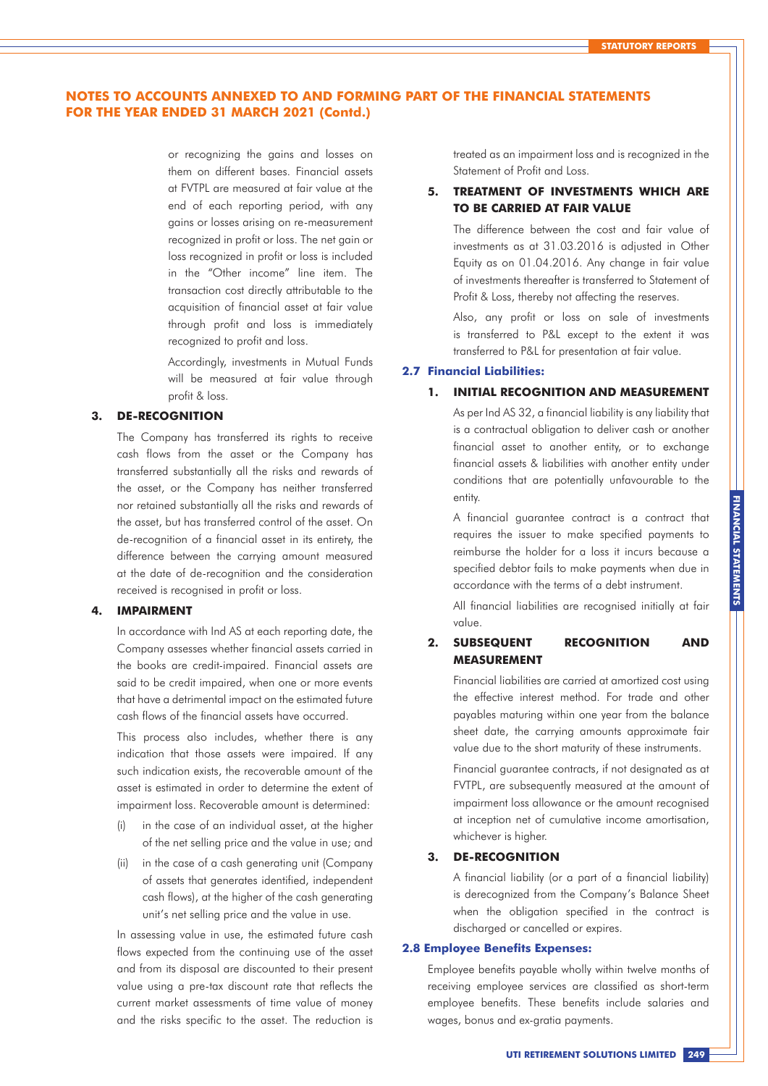or recognizing the gains and losses on them on different bases. Financial assets at FVTPL are measured at fair value at the end of each reporting period, with any gains or losses arising on re-measurement recognized in profit or loss. The net gain or loss recognized in profit or loss is included in the "Other income" line item. The transaction cost directly attributable to the acquisition of financial asset at fair value through profit and loss is immediately recognized to profit and loss.

Accordingly, investments in Mutual Funds will be measured at fair value through profit & loss.

#### **3. DE-RECOGNITION**

The Company has transferred its rights to receive cash flows from the asset or the Company has transferred substantially all the risks and rewards of the asset, or the Company has neither transferred nor retained substantially all the risks and rewards of the asset, but has transferred control of the asset. On de-recognition of a financial asset in its entirety, the difference between the carrying amount measured at the date of de-recognition and the consideration received is recognised in profit or loss.

#### **4. IMPAIRMENT**

In accordance with Ind AS at each reporting date, the Company assesses whether financial assets carried in the books are credit-impaired. Financial assets are said to be credit impaired, when one or more events that have a detrimental impact on the estimated future cash flows of the financial assets have occurred.

This process also includes, whether there is any indication that those assets were impaired. If any such indication exists, the recoverable amount of the asset is estimated in order to determine the extent of impairment loss. Recoverable amount is determined:

- (i) in the case of an individual asset, at the higher of the net selling price and the value in use; and
- (ii) in the case of a cash generating unit (Company of assets that generates identified, independent cash flows), at the higher of the cash generating unit's net selling price and the value in use.

In assessing value in use, the estimated future cash flows expected from the continuing use of the asset and from its disposal are discounted to their present value using a pre-tax discount rate that reflects the current market assessments of time value of money and the risks specific to the asset. The reduction is

treated as an impairment loss and is recognized in the Statement of Profit and Loss.

#### **5. TREATMENT OF INVESTMENTS WHICH ARE TO BE CARRIED AT FAIR VALUE**

The difference between the cost and fair value of investments as at 31.03.2016 is adjusted in Other Equity as on 01.04.2016. Any change in fair value of investments thereafter is transferred to Statement of Profit & Loss, thereby not affecting the reserves.

Also, any profit or loss on sale of investments is transferred to P&L except to the extent it was transferred to P&L for presentation at fair value.

#### **2.7 Financial Liabilities:**

#### **1. INITIAL RECOGNITION AND MEASUREMENT**

As per Ind AS 32, a financial liability is any liability that is a contractual obligation to deliver cash or another financial asset to another entity, or to exchange financial assets & liabilities with another entity under conditions that are potentially unfavourable to the entity.

A financial guarantee contract is a contract that requires the issuer to make specified payments to reimburse the holder for a loss it incurs because a specified debtor fails to make payments when due in accordance with the terms of a debt instrument.

All financial liabilities are recognised initially at fair value.

#### **2. SUBSEQUENT RECOGNITION AND MEASUREMENT**

Financial liabilities are carried at amortized cost using the effective interest method. For trade and other payables maturing within one year from the balance sheet date, the carrying amounts approximate fair value due to the short maturity of these instruments.

Financial guarantee contracts, if not designated as at FVTPL, are subsequently measured at the amount of impairment loss allowance or the amount recognised at inception net of cumulative income amortisation, whichever is higher.

#### **3. DE-RECOGNITION**

A financial liability (or a part of a financial liability) is derecognized from the Company's Balance Sheet when the obligation specified in the contract is discharged or cancelled or expires.

#### **2.8 Employee Benefits Expenses:**

Employee benefits payable wholly within twelve months of receiving employee services are classified as short-term employee benefits. These benefits include salaries and wages, bonus and ex-gratia payments.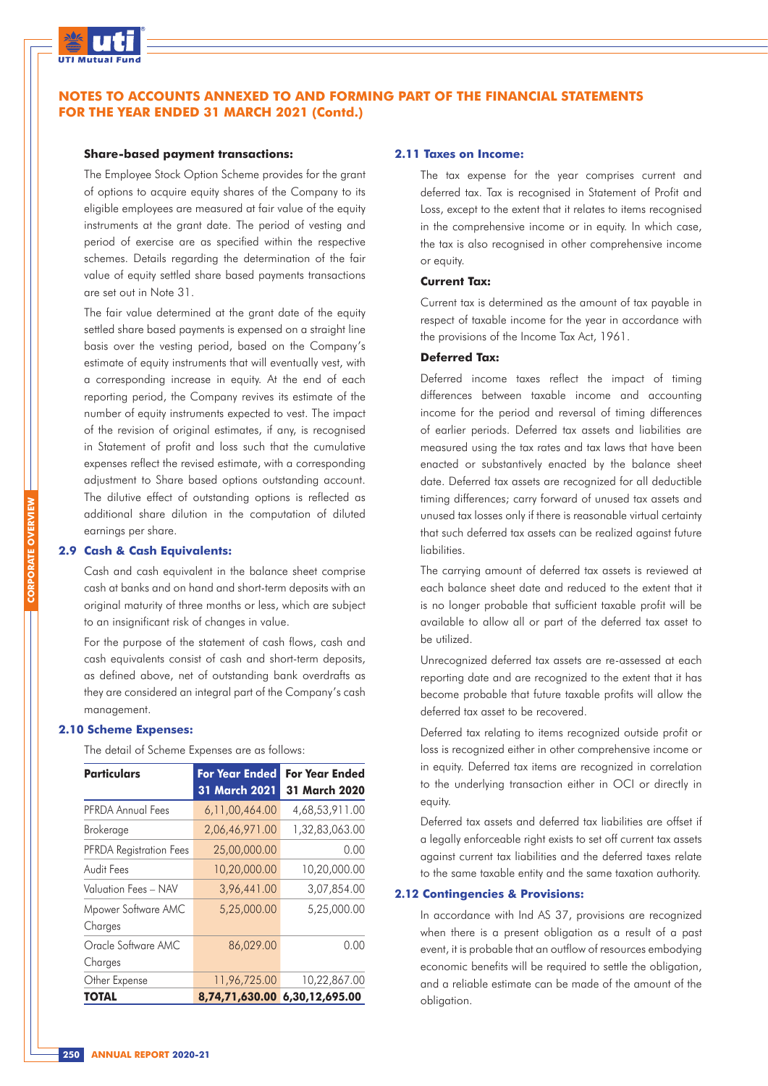

#### **Share-based payment transactions:**

The Employee Stock Option Scheme provides for the grant of options to acquire equity shares of the Company to its eligible employees are measured at fair value of the equity instruments at the grant date. The period of vesting and period of exercise are as specified within the respective schemes. Details regarding the determination of the fair value of equity settled share based payments transactions are set out in Note 31.

The fair value determined at the grant date of the equity settled share based payments is expensed on a straight line basis over the vesting period, based on the Company's estimate of equity instruments that will eventually vest, with a corresponding increase in equity. At the end of each reporting period, the Company revives its estimate of the number of equity instruments expected to vest. The impact of the revision of original estimates, if any, is recognised in Statement of profit and loss such that the cumulative expenses reflect the revised estimate, with a corresponding adjustment to Share based options outstanding account. The dilutive effect of outstanding options is reflected as additional share dilution in the computation of diluted earnings per share.

#### **2.9 Cash & Cash Equivalents:**

Cash and cash equivalent in the balance sheet comprise cash at banks and on hand and short-term deposits with an original maturity of three months or less, which are subject to an insignificant risk of changes in value.

For the purpose of the statement of cash flows, cash and cash equivalents consist of cash and short-term deposits, as defined above, net of outstanding bank overdrafts as they are considered an integral part of the Company's cash management.

#### **2.10 Scheme Expenses:**

The detail of Scheme Expenses are as follows:

| <b>Particulars</b>             | <b>For Year Ended</b><br><b>31 March 2021</b> | <b>For Year Ended</b><br><b>31 March 2020</b> |
|--------------------------------|-----------------------------------------------|-----------------------------------------------|
| PFRDA Annual Fees              | 6, 11, 00, 464, 00                            | 4,68,53,911.00                                |
| Brokerage                      | 2,06,46,971.00                                | 1,32,83,063.00                                |
| PFRDA Registration Fees        | 25,00,000.00                                  | 0.00                                          |
| Audit Fees                     | 10,20,000.00                                  | 10,20,000.00                                  |
| Valuation Fees - NAV           | 3,96,441.00                                   | 3,07,854.00                                   |
| Mpower Software AMC<br>Charges | 5,25,000.00                                   | 5,25,000.00                                   |
| Oracle Software AMC<br>Charges | 86,029.00                                     | 0.00                                          |
| Other Expense                  | 11,96,725.00                                  | 10,22,867.00                                  |
| TOTAL                          | 8,74,71,630.00                                | 6,30,12,695.00                                |

#### **2.11 Taxes on Income:**

The tax expense for the year comprises current and deferred tax. Tax is recognised in Statement of Profit and Loss, except to the extent that it relates to items recognised in the comprehensive income or in equity. In which case, the tax is also recognised in other comprehensive income or equity.

#### **Current Tax:**

Current tax is determined as the amount of tax payable in respect of taxable income for the year in accordance with the provisions of the Income Tax Act, 1961.

#### **Deferred Tax:**

Deferred income taxes reflect the impact of timing differences between taxable income and accounting income for the period and reversal of timing differences of earlier periods. Deferred tax assets and liabilities are measured using the tax rates and tax laws that have been enacted or substantively enacted by the balance sheet date. Deferred tax assets are recognized for all deductible timing differences; carry forward of unused tax assets and unused tax losses only if there is reasonable virtual certainty that such deferred tax assets can be realized against future liabilities.

The carrying amount of deferred tax assets is reviewed at each balance sheet date and reduced to the extent that it is no longer probable that sufficient taxable profit will be available to allow all or part of the deferred tax asset to be utilized.

Unrecognized deferred tax assets are re-assessed at each reporting date and are recognized to the extent that it has become probable that future taxable profits will allow the deferred tax asset to be recovered.

Deferred tax relating to items recognized outside profit or loss is recognized either in other comprehensive income or in equity. Deferred tax items are recognized in correlation to the underlying transaction either in OCI or directly in equity.

Deferred tax assets and deferred tax liabilities are offset if a legally enforceable right exists to set off current tax assets against current tax liabilities and the deferred taxes relate to the same taxable entity and the same taxation authority.

#### **2.12 Contingencies & Provisions:**

In accordance with Ind AS 37, provisions are recognized when there is a present obligation as a result of a past event, it is probable that an outflow of resources embodying economic benefits will be required to settle the obligation, and a reliable estimate can be made of the amount of the obligation.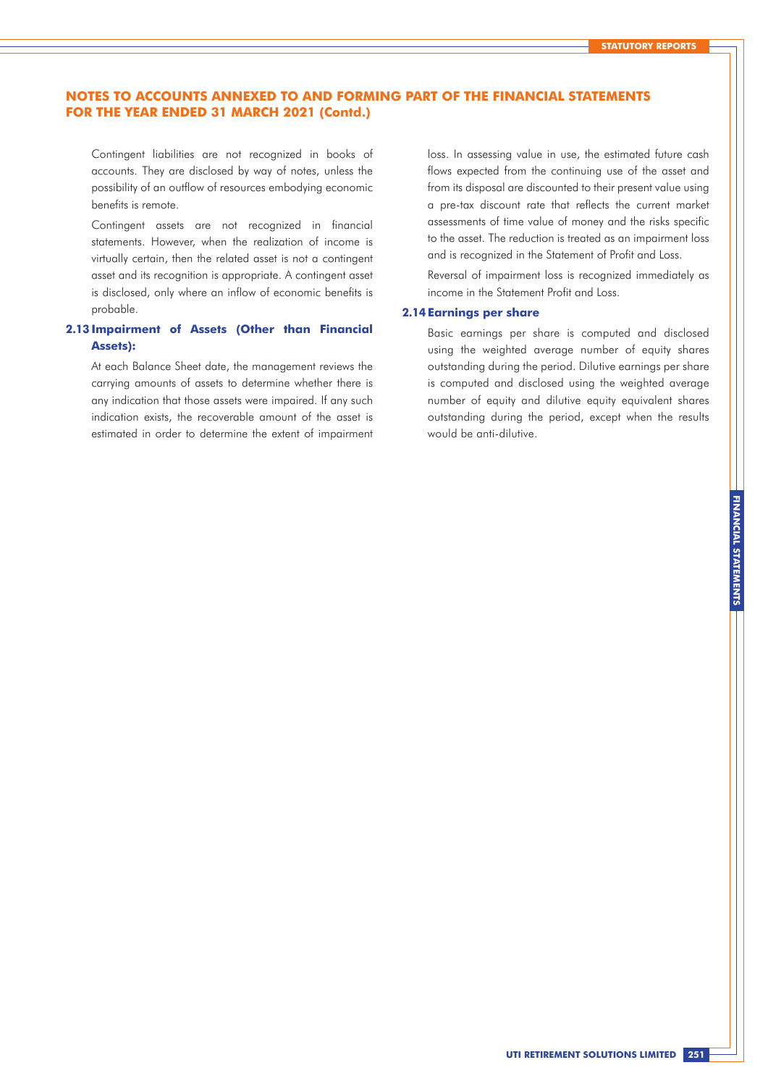Contingent liabilities are not recognized in books of accounts. They are disclosed by way of notes, unless the possibility of an outflow of resources embodying economic benefits is remote.

Contingent assets are not recognized in financial statements. However, when the realization of income is virtually certain, then the related asset is not a contingent asset and its recognition is appropriate. A contingent asset is disclosed, only where an inflow of economic benefits is probable.

#### **2.13 Impairment of Assets (Other than Financial Assets):**

At each Balance Sheet date, the management reviews the carrying amounts of assets to determine whether there is any indication that those assets were impaired. If any such indication exists, the recoverable amount of the asset is estimated in order to determine the extent of impairment

loss. In assessing value in use, the estimated future cash flows expected from the continuing use of the asset and from its disposal are discounted to their present value using a pre-tax discount rate that reflects the current market assessments of time value of money and the risks specific to the asset. The reduction is treated as an impairment loss and is recognized in the Statement of Profit and Loss.

Reversal of impairment loss is recognized immediately as income in the Statement Profit and Loss.

#### **2.14 Earnings per share**

Basic earnings per share is computed and disclosed using the weighted average number of equity shares outstanding during the period. Dilutive earnings per share is computed and disclosed using the weighted average number of equity and dilutive equity equivalent shares outstanding during the period, except when the results would be anti-dilutive.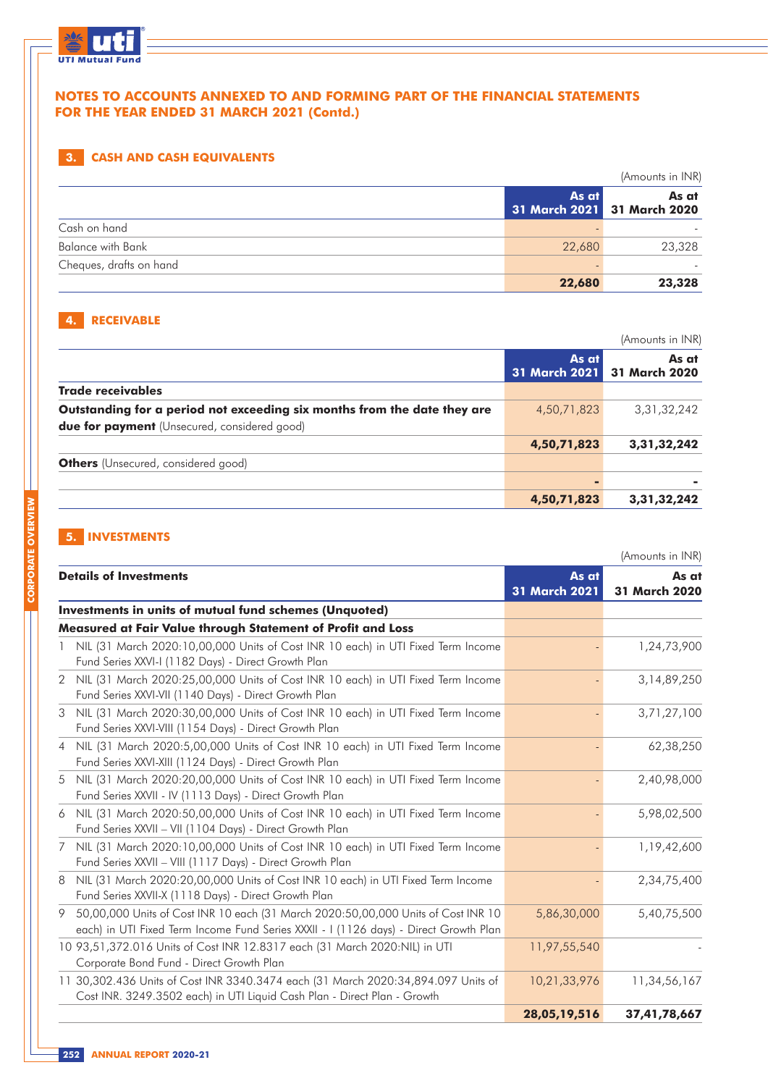

#### **3. CASH AND CASH EQUIVALENTS**

|                         |        | (Amounts in INR)                     |
|-------------------------|--------|--------------------------------------|
|                         | As at  | As at<br>31 March 2021 31 March 2020 |
| Cash on hand            |        |                                      |
| Balance with Bank       | 22,680 | 23,328                               |
| Cheques, drafts on hand |        |                                      |
|                         | 22,680 | 23,328                               |

### **4. RECEIVABLE**

|                                                                          |                               | (Amounts in INR)              |
|--------------------------------------------------------------------------|-------------------------------|-------------------------------|
|                                                                          | As at<br><b>31 March 2021</b> | As at<br><b>31 March 2020</b> |
| <b>Trade receivables</b>                                                 |                               |                               |
| Outstanding for a period not exceeding six months from the date they are | 4,50,71,823                   | 3, 31, 32, 242                |
| due for payment (Unsecured, considered good)                             |                               |                               |
|                                                                          | 4,50,71,823                   | 3,31,32,242                   |
| <b>Others</b> (Unsecured, considered good)                               |                               |                               |
|                                                                          |                               |                               |
|                                                                          | 4,50,71,823                   | 3,31,32,242                   |

### **5. INVESTMENTS**

|                |                                                                                                                                                                            |                        | (Amounts in INR)       |
|----------------|----------------------------------------------------------------------------------------------------------------------------------------------------------------------------|------------------------|------------------------|
|                | <b>Details of Investments</b>                                                                                                                                              | As at<br>31 March 2021 | As at<br>31 March 2020 |
|                | Investments in units of mutual fund schemes (Unquoted)                                                                                                                     |                        |                        |
|                | Measured at Fair Value through Statement of Profit and Loss                                                                                                                |                        |                        |
| 1              | NIL (31 March 2020:10,00,000 Units of Cost INR 10 each) in UTI Fixed Term Income<br>Fund Series XXVI-I (1182 Days) - Direct Growth Plan                                    |                        | 1,24,73,900            |
|                | 2 NIL (31 March 2020:25,00,000 Units of Cost INR 10 each) in UTI Fixed Term Income<br>Fund Series XXVI-VII (1140 Days) - Direct Growth Plan                                |                        | 3,14,89,250            |
| 3              | NIL (31 March 2020:30,00,000 Units of Cost INR 10 each) in UTI Fixed Term Income<br>Fund Series XXVI-VIII (1154 Days) - Direct Growth Plan                                 |                        | 3,71,27,100            |
| $\overline{4}$ | NIL (31 March 2020:5,00,000 Units of Cost INR 10 each) in UTI Fixed Term Income<br>Fund Series XXVI-XIII (1124 Days) - Direct Growth Plan                                  |                        | 62,38,250              |
| 5              | NIL (31 March 2020:20,00,000 Units of Cost INR 10 each) in UTI Fixed Term Income<br>Fund Series XXVII - IV (1113 Days) - Direct Growth Plan                                |                        | 2,40,98,000            |
|                | 6 NIL (31 March 2020:50,00,000 Units of Cost INR 10 each) in UTI Fixed Term Income<br>Fund Series XXVII - VII (1104 Days) - Direct Growth Plan                             |                        | 5,98,02,500            |
| 7              | NIL (31 March 2020:10,00,000 Units of Cost INR 10 each) in UTI Fixed Term Income<br>Fund Series XXVII - VIII (1117 Days) - Direct Growth Plan                              |                        | 1,19,42,600            |
| 8              | NIL (31 March 2020:20,00,000 Units of Cost INR 10 each) in UTI Fixed Term Income<br>Fund Series XXVII-X (1118 Days) - Direct Growth Plan                                   |                        | 2,34,75,400            |
| 9              | 50,00,000 Units of Cost INR 10 each (31 March 2020:50,00,000 Units of Cost INR 10<br>each) in UTI Fixed Term Income Fund Series XXXII - I (1126 days) - Direct Growth Plan | 5,86,30,000            | 5,40,75,500            |
|                | 10 93,51,372.016 Units of Cost INR 12.8317 each (31 March 2020:NIL) in UTI<br>Corporate Bond Fund - Direct Growth Plan                                                     | 11,97,55,540           |                        |
|                | 11 30,302.436 Units of Cost INR 3340.3474 each (31 March 2020:34,894.097 Units of<br>Cost INR. 3249.3502 each) in UTI Liquid Cash Plan - Direct Plan - Growth              | 10,21,33,976           | 11,34,56,167           |
|                |                                                                                                                                                                            | 28,05,19,516           | 37,41,78,667           |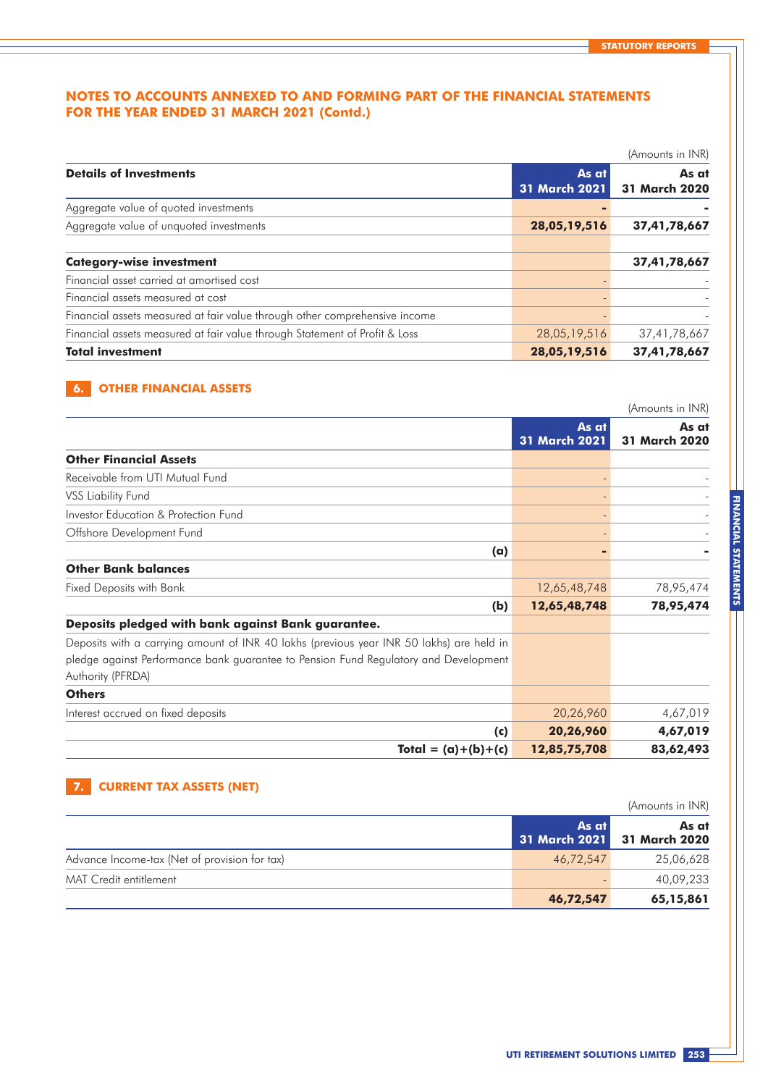|                                                                            |                      | (Amounts in INR)     |
|----------------------------------------------------------------------------|----------------------|----------------------|
| <b>Details of Investments</b>                                              | As at                | As at                |
|                                                                            | <b>31 March 2021</b> | <b>31 March 2020</b> |
| Aggregate value of quoted investments                                      |                      |                      |
| Aggregate value of unquoted investments                                    | 28,05,19,516         | 37,41,78,667         |
|                                                                            |                      |                      |
| <b>Category-wise investment</b>                                            |                      | 37,41,78,667         |
| Financial asset carried at amortised cost                                  |                      |                      |
| Financial assets measured at cost                                          |                      |                      |
| Financial assets measured at fair value through other comprehensive income |                      |                      |
| Financial assets measured at fair value through Statement of Profit & Loss | 28,05,19,516         | 37,41,78,667         |
| <b>Total investment</b>                                                    | 28,05,19,516         | 37,41,78,667         |

### **6. OTHER FINANCIAL ASSETS**

|                                                                                          |                               | (Amounts in INR)              |
|------------------------------------------------------------------------------------------|-------------------------------|-------------------------------|
|                                                                                          | As at<br><b>31 March 2021</b> | As at<br><b>31 March 2020</b> |
| <b>Other Financial Assets</b>                                                            |                               |                               |
| Receivable from UTI Mutual Fund                                                          |                               |                               |
| VSS Liability Fund                                                                       |                               |                               |
| <b>Investor Education &amp; Protection Fund</b>                                          |                               |                               |
| Offshore Development Fund                                                                |                               |                               |
| (a)                                                                                      | $\blacksquare$                |                               |
| <b>Other Bank balances</b>                                                               |                               |                               |
| Fixed Deposits with Bank                                                                 | 12,65,48,748                  | 78,95,474                     |
| (b)                                                                                      | 12,65,48,748                  | 78,95,474                     |
| Deposits pledged with bank against Bank guarantee.                                       |                               |                               |
| Deposits with a carrying amount of INR 40 lakhs (previous year INR 50 lakhs) are held in |                               |                               |
| pledge against Performance bank guarantee to Pension Fund Regulatory and Development     |                               |                               |
| Authority (PFRDA)                                                                        |                               |                               |
| <b>Others</b>                                                                            |                               |                               |
| Interest accrued on fixed deposits                                                       | 20,26,960                     | 4,67,019                      |
| (c)                                                                                      | 20,26,960                     | 4,67,019                      |
| Total = $(a)+(b)+(c)$                                                                    | 12,85,75,708                  | 83,62,493                     |

#### **7. CURRENT TAX ASSETS (NET)**

|                                               |           | (Amounts in INK)                     |
|-----------------------------------------------|-----------|--------------------------------------|
|                                               | As at     | As at<br>31 March 2021 31 March 2020 |
| Advance Income-tax (Net of provision for tax) | 46,72,547 | 25,06,628                            |
| <b>MAT Credit entitlement</b>                 |           | 40,09,233                            |
|                                               | 46,72,547 | 65,15,861                            |

 $\mathcal{L}$  (Amounts in Indian)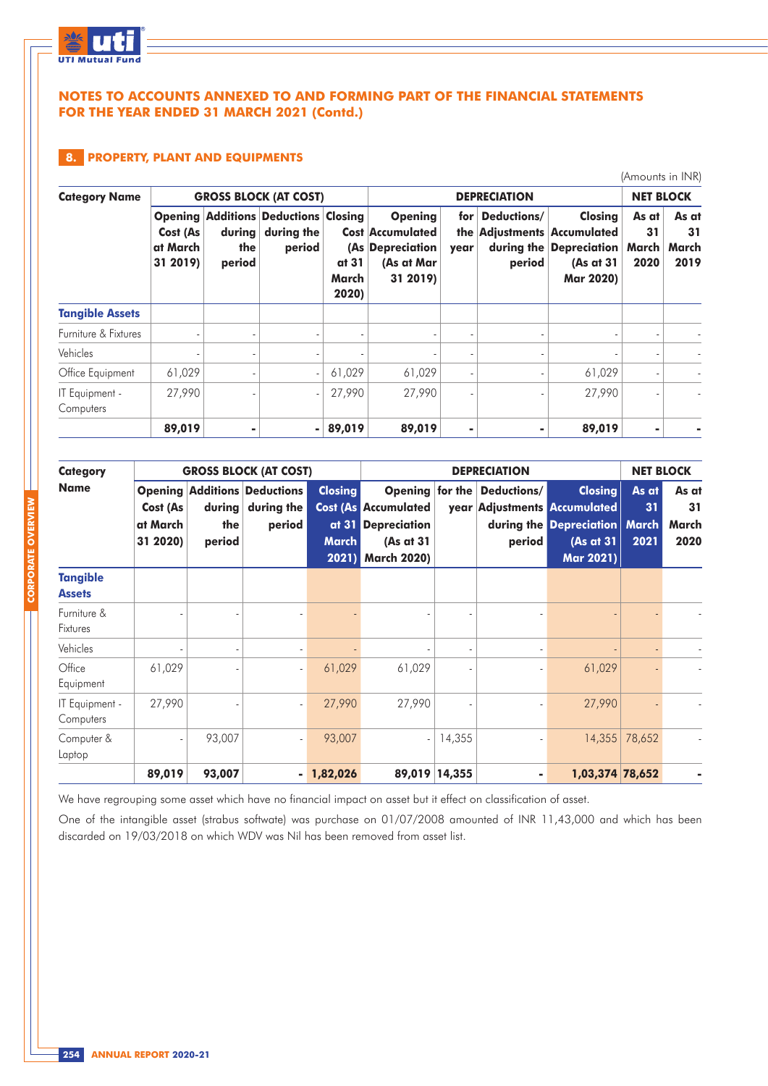

#### **8. PROPERTY, PLANT AND EQUIPMENTS**

| (Amounts in INR)            |                                  |                      |                                                                     |                         |                                                                                         |                     |                       |                                                                                                    |                              |                              |
|-----------------------------|----------------------------------|----------------------|---------------------------------------------------------------------|-------------------------|-----------------------------------------------------------------------------------------|---------------------|-----------------------|----------------------------------------------------------------------------------------------------|------------------------------|------------------------------|
| <b>Category Name</b>        |                                  |                      | <b>GROSS BLOCK (AT COST)</b>                                        |                         | <b>DEPRECIATION</b>                                                                     |                     |                       |                                                                                                    | <b>NET BLOCK</b>             |                              |
|                             | Cost (As<br>at March<br>31 2019) | dur<br>the<br>period | <b>Opening Additions Deductions Closing</b><br>during the<br>period | at 31<br>March<br>2020) | <b>Opening</b><br><b>Cost Accumulated</b><br>(As Depreciation<br>(As at Mar<br>31 2019) | for $\vert$<br>year | Deductions/<br>period | <b>Closing</b><br>the Adjustments Accumulated<br>during the Depreciation<br>(As at 31<br>Mar 2020) | As at<br>31<br>March<br>2020 | As at<br>31<br>March<br>2019 |
| <b>Tangible Assets</b>      |                                  |                      |                                                                     |                         |                                                                                         |                     |                       |                                                                                                    |                              |                              |
| Furniture & Fixtures        |                                  |                      |                                                                     |                         |                                                                                         |                     |                       |                                                                                                    | ٠                            |                              |
| Vehicles                    | $\overline{\phantom{a}}$         | ٠                    | $\sim$                                                              |                         |                                                                                         |                     |                       |                                                                                                    | ٠                            |                              |
| Office Equipment            | 61,029                           |                      |                                                                     | 61,029                  | 61,029                                                                                  |                     |                       | 61,029                                                                                             |                              |                              |
| IT Equipment -<br>Computers | 27,990                           |                      |                                                                     | 27,990                  | 27,990                                                                                  |                     |                       | 27,990                                                                                             |                              |                              |
|                             | 89,019                           |                      |                                                                     | 89,019                  | 89,019                                                                                  | ۰                   |                       | 89,019                                                                                             | ۰                            |                              |

| Category                         |                                  |                         | <b>GROSS BLOCK (AT COST)</b>                                |                                         |                                                                                                        |               | <b>DEPRECIATION</b>   |                                                                                                            | <b>NET BLOCK</b>             |                              |
|----------------------------------|----------------------------------|-------------------------|-------------------------------------------------------------|-----------------------------------------|--------------------------------------------------------------------------------------------------------|---------------|-----------------------|------------------------------------------------------------------------------------------------------------|------------------------------|------------------------------|
| <b>Name</b>                      | Cost (As<br>at March<br>31 2020) | during<br>the<br>period | <b>Opening Additions Deductions</b><br>during the<br>period | <b>Closing</b><br><b>March</b><br>2021) | <b>Opening</b><br><b>Cost (As Accumulated</b><br>at 31 Depreciation<br>(As at 31<br><b>March 2020)</b> | for the       | Deductions/<br>period | <b>Closing</b><br>year Adjustments Accumulated<br>during the Depreciation<br>(As at 31<br><b>Mar 2021)</b> | As at<br>31<br>March<br>2021 | As at<br>31<br>March<br>2020 |
| <b>Tangible</b><br><b>Assets</b> |                                  |                         |                                                             |                                         |                                                                                                        |               |                       |                                                                                                            |                              |                              |
| Furniture &<br>Fixtures          |                                  |                         |                                                             |                                         |                                                                                                        |               |                       |                                                                                                            |                              |                              |
| Vehicles                         |                                  |                         |                                                             |                                         |                                                                                                        |               |                       |                                                                                                            |                              |                              |
| Office<br>Equipment              | 61,029                           |                         | $\overline{\phantom{a}}$                                    | 61,029                                  | 61,029                                                                                                 |               |                       | 61,029                                                                                                     |                              |                              |
| IT Equipment -<br>Computers      | 27,990                           |                         | ä,                                                          | 27,990                                  | 27,990                                                                                                 |               |                       | 27,990                                                                                                     |                              |                              |
| Computer &<br>Laptop             | $\overline{\phantom{a}}$         | 93,007                  | ÷.                                                          | 93,007                                  |                                                                                                        | 14,355        |                       | 14,355                                                                                                     | 78,652                       |                              |
|                                  | 89,019                           | 93,007                  |                                                             | $-1,82,026$                             |                                                                                                        | 89,019 14,355 | ٠                     | 1,03,374 78,652                                                                                            |                              |                              |

We have regrouping some asset which have no financial impact on asset but it effect on classification of asset.

One of the intangible asset (strabus softwate) was purchase on 01/07/2008 amounted of INR 11,43,000 and which has been discarded on 19/03/2018 on which WDV was Nil has been removed from asset list.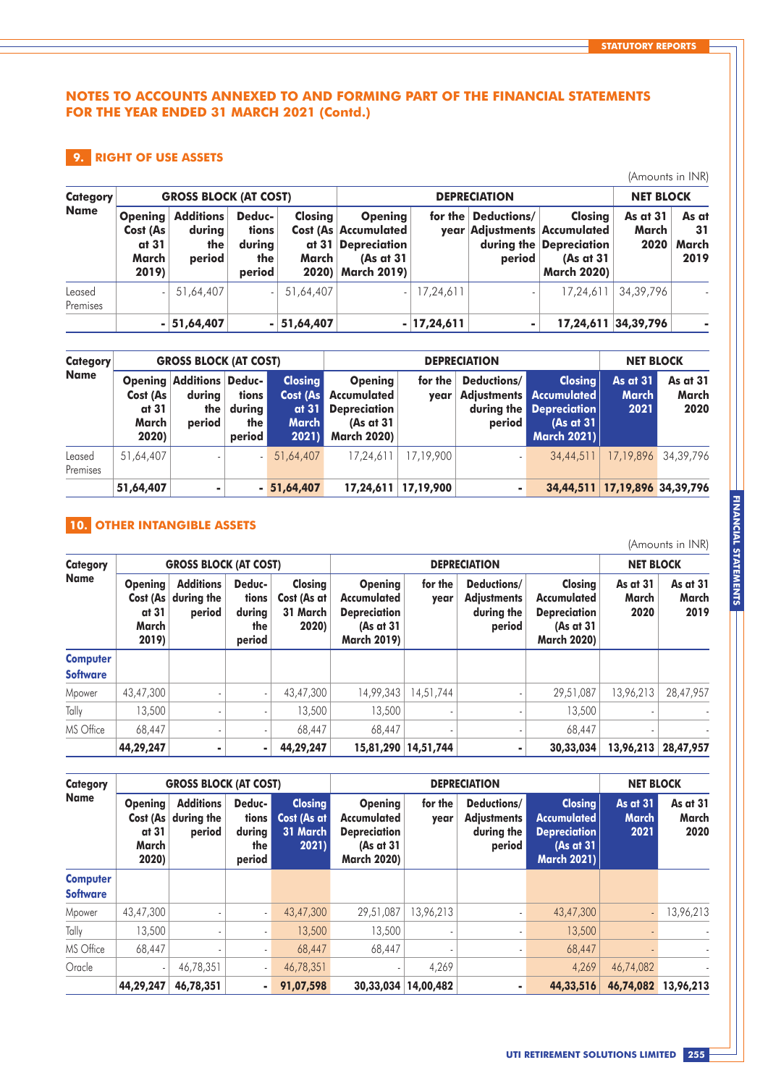#### **9. RIGHT OF USE ASSETS**

|                    | (Amounts in INR)                               |                                             |                                            |                            |                                                                                                        |                           |                       |                                                                                                       |                           |                              |  |
|--------------------|------------------------------------------------|---------------------------------------------|--------------------------------------------|----------------------------|--------------------------------------------------------------------------------------------------------|---------------------------|-----------------------|-------------------------------------------------------------------------------------------------------|---------------------------|------------------------------|--|
| <b>Category</b>    |                                                | <b>GROSS BLOCK (AT COST)</b>                |                                            |                            |                                                                                                        | <b>DEPRECIATION</b>       |                       |                                                                                                       |                           | <b>NET BLOCK</b>             |  |
| <b>Name</b>        | Opening<br>Cost (As<br>at 31<br>March<br>2019) | <b>Additions</b><br>during<br>the<br>period | Deduc-<br>tions<br>durina<br>the<br>period | Closing<br>March<br>2020)  | <b>Opening</b><br><b>Cost (As Accumulated</b><br>at 31 Depreciation<br>(As at 31<br><b>March 2019)</b> | for the $ $               | Deductions/<br>period | Closing<br>year Adjustments Accumulated<br>during the Depreciation<br>(As at 31<br><b>March 2020)</b> | As at 31<br>March<br>2020 | As at<br>31<br>March<br>2019 |  |
| Leased<br>Premises |                                                | 51,64,407<br>$-151,64,407$                  |                                            | 51,64,407<br>$-151,64,407$ |                                                                                                        | 17,24,611<br>$-17,24,611$ |                       | 17,24,611<br>17,24,611                                                                                | 34,39,796<br> 34,39,796   |                              |  |

| <b>Category</b><br><b>Name</b> |                                     | <b>GROSS BLOCK (AT COST)</b>                                          |                                      |                                          |                                                                                                         | <b>DEPRECIATION</b>   |                              |                                                                                                          |                                         | <b>NET BLOCK</b>                 |  |
|--------------------------------|-------------------------------------|-----------------------------------------------------------------------|--------------------------------------|------------------------------------------|---------------------------------------------------------------------------------------------------------|-----------------------|------------------------------|----------------------------------------------------------------------------------------------------------|-----------------------------------------|----------------------------------|--|
|                                | Cost (As<br>at 31<br>March<br>2020) | <b>Opening Additions Deduc-</b><br>durina l<br>the <b>l</b><br>period | tions I<br>during  <br>the<br>period | <b>Closing</b><br>at 31<br>March<br>2021 | <b>Opening</b><br><b>Cost (As Accumulated</b><br><b>Depreciation</b><br>(As at 31<br><b>March 2020)</b> | for the<br>year       | <b>Deductions/</b><br>period | <b>Closing</b><br>Adjustments Accumulated<br>during the Depreciation<br>(As at 31)<br><b>March 2021)</b> | <b>As at 31</b><br><b>March</b><br>2021 | <b>As at 31</b><br>March<br>2020 |  |
| Leased<br>Premises             | 51,64,407                           |                                                                       |                                      | 51,64,407                                | 17.24.611                                                                                               | 17.19.900             | $\overline{\phantom{a}}$     | 34,44,511                                                                                                |                                         | 17.19.896 34.39.796              |  |
|                                | 51,64,407                           |                                                                       |                                      | $-51,64,407$                             |                                                                                                         | 17,24,611   17,19,900 | ٠                            |                                                                                                          | 34,44,511 17,19,896 34,39,796           |                                  |  |

### **10. OTHER INTANGIBLE ASSETS**

| <b>Category</b><br><b>Name</b>     |                                                           | <b>GROSS BLOCK (AT COST)</b>             |                                            |                                             |                                                                                                | <b>DEPRECIATION</b> |                                                           |                                                                                         |                           |                                  |
|------------------------------------|-----------------------------------------------------------|------------------------------------------|--------------------------------------------|---------------------------------------------|------------------------------------------------------------------------------------------------|---------------------|-----------------------------------------------------------|-----------------------------------------------------------------------------------------|---------------------------|----------------------------------|
|                                    | <b>Opening</b><br>Cost (As $ $<br>at 31<br>March<br>2019) | <b>Additions</b><br>during the<br>period | Deduc-<br>tions<br>during<br>the<br>period | Closing<br>Cost (As at<br>31 March<br>2020) | <b>Opening</b><br><b>Accumulated</b><br><b>Depreciation</b><br>(As at 31<br><b>March 2019)</b> | for the<br>year     | Deductions/<br><b>Adjustments</b><br>during the<br>period | Closing<br><b>Accumulated</b><br><b>Depreciation</b><br>(As at 31<br><b>March 2020)</b> | As at 31<br>March<br>2020 | <b>As at 31</b><br>March<br>2019 |
| <b>Computer</b><br><b>Software</b> |                                                           |                                          |                                            |                                             |                                                                                                |                     |                                                           |                                                                                         |                           |                                  |
| Mpower                             | 43,47,300                                                 |                                          |                                            | 43,47,300                                   | 14,99,343                                                                                      | 14,51,744           |                                                           | 29,51,087                                                                               | 13,96,213                 | 28,47,957                        |
| Tally                              | 13,500                                                    |                                          |                                            | 13,500                                      | 13,500                                                                                         |                     |                                                           | 13,500                                                                                  |                           |                                  |
| MS Office                          | 68,447                                                    |                                          |                                            | 68,447                                      | 68,447                                                                                         |                     |                                                           | 68,447                                                                                  |                           |                                  |
|                                    | 44,29,247                                                 |                                          | ۰.                                         | 44,29,247                                   | 15,81,290                                                                                      | 14,51,744           |                                                           | 30,33,034                                                                               | 13,96,213                 | 28,47,957                        |

| Category<br><b>Name</b> |                                                       | <b>GROSS BLOCK (AT COST)</b>             |                                            |                                                    | <b>DEPRECIATION</b>                                                                            |                     |                                                           |                                                                                                | <b>NET BLOCK</b>                        |                                  |
|-------------------------|-------------------------------------------------------|------------------------------------------|--------------------------------------------|----------------------------------------------------|------------------------------------------------------------------------------------------------|---------------------|-----------------------------------------------------------|------------------------------------------------------------------------------------------------|-----------------------------------------|----------------------------------|
|                         | <b>Opening</b><br>Cost (As<br>at 31<br>March<br>2020) | <b>Additions</b><br>during the<br>period | Deduc-<br>tions<br>during<br>the<br>period | <b>Closing</b><br>Cost (As at<br>31 March<br>2021) | <b>Opening</b><br><b>Accumulated</b><br><b>Depreciation</b><br>(As at 31<br><b>March 2020)</b> | for the<br>year     | Deductions/<br><b>Adjustments</b><br>during the<br>period | <b>Closing</b><br><b>Accumulated</b><br><b>Depreciation</b><br>(As at 31<br><b>March 2021)</b> | <b>As at 31</b><br><b>March</b><br>2021 | <b>As at 31</b><br>March<br>2020 |
| <b>Computer</b>         |                                                       |                                          |                                            |                                                    |                                                                                                |                     |                                                           |                                                                                                |                                         |                                  |
| <b>Software</b>         |                                                       |                                          |                                            |                                                    |                                                                                                |                     |                                                           |                                                                                                |                                         |                                  |
| Mpower                  | 43,47,300                                             |                                          | $\sim$                                     | 43,47,300                                          | 29,51,087                                                                                      | 13,96,213           |                                                           | 43,47,300                                                                                      |                                         | 13,96,213                        |
| Tally                   | 13,500                                                |                                          | ٠                                          | 13,500                                             | 13,500                                                                                         |                     |                                                           | 13,500                                                                                         |                                         |                                  |
| MS Office               | 68,447                                                |                                          | ٠                                          | 68,447                                             | 68,447                                                                                         |                     |                                                           | 68,447                                                                                         |                                         |                                  |
| Oracle                  | $\sim$                                                | 46,78,351                                | $\overline{\phantom{a}}$                   | 46,78,351                                          |                                                                                                | 4.269               |                                                           | 4,269                                                                                          | 46,74,082                               |                                  |
|                         | 44,29,247                                             | 46,78,351                                | ٠                                          | 91,07,598                                          |                                                                                                | 30,33,034 14,00,482 | ٠                                                         | 44,33,516                                                                                      |                                         | 46,74,082 13,96,213              |

(Amounts in INR)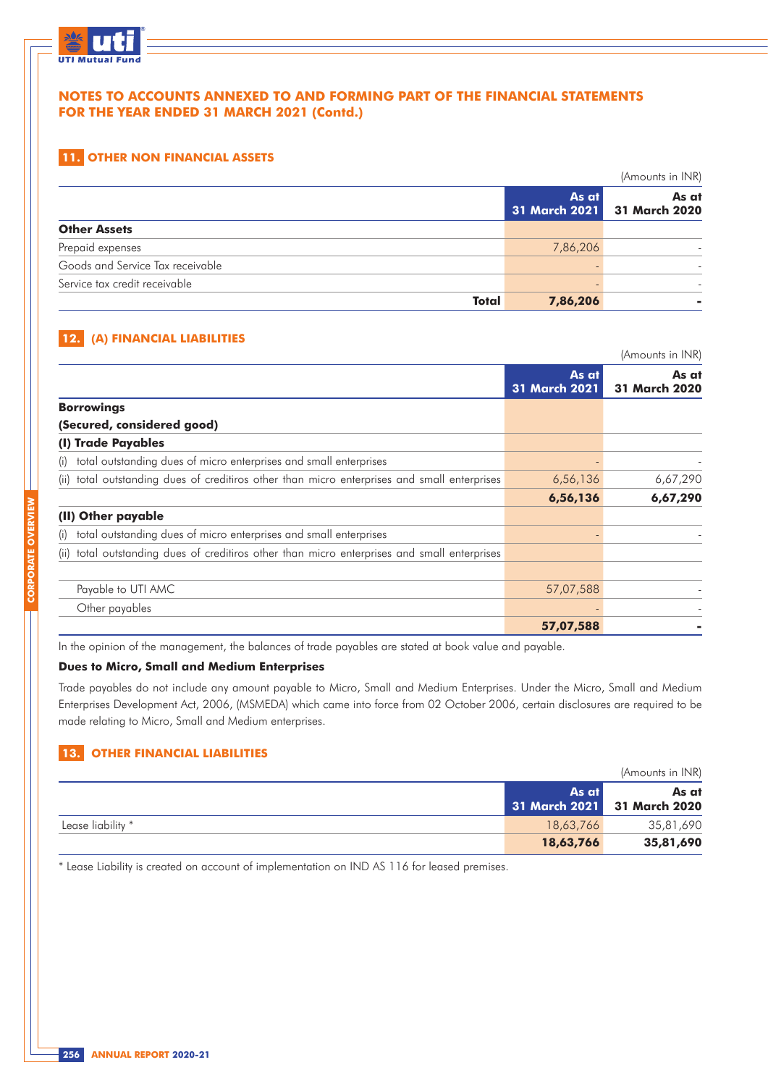

#### **11. OTHER NON FINANCIAL ASSETS**

|                                  |          | (Amounts in INR)                     |
|----------------------------------|----------|--------------------------------------|
|                                  | As at    | As at<br>31 March 2021 31 March 2020 |
| <b>Other Assets</b>              |          |                                      |
| Prepaid expenses                 | 7,86,206 |                                      |
| Goods and Service Tax receivable |          |                                      |
| Service tax credit receivable    |          |                                      |
| Total                            | 7,86,206 |                                      |

#### **12. (A) FINANCIAL LIABILITIES**

|                                                                                                 |                               | (Amounts in INR)              |
|-------------------------------------------------------------------------------------------------|-------------------------------|-------------------------------|
|                                                                                                 | As at<br><b>31 March 2021</b> | As at<br><b>31 March 2020</b> |
| <b>Borrowings</b>                                                                               |                               |                               |
| (Secured, considered good)                                                                      |                               |                               |
| (I) Trade Payables                                                                              |                               |                               |
| total outstanding dues of micro enterprises and small enterprises<br>(i)                        |                               |                               |
| total outstanding dues of creditiros other than micro enterprises and small enterprises<br>(ii) | 6,56,136                      | 6,67,290                      |
|                                                                                                 | 6,56,136                      | 6,67,290                      |
| (II) Other payable                                                                              |                               |                               |
| total outstanding dues of micro enterprises and small enterprises<br>(i)                        |                               |                               |
| total outstanding dues of creditiros other than micro enterprises and small enterprises<br>(ii) |                               |                               |
|                                                                                                 |                               |                               |
| Payable to UTI AMC                                                                              | 57,07,588                     |                               |
| Other payables                                                                                  |                               |                               |
|                                                                                                 | 57,07,588                     |                               |

In the opinion of the management, the balances of trade payables are stated at book value and payable.

#### **Dues to Micro, Small and Medium Enterprises**

Trade payables do not include any amount payable to Micro, Small and Medium Enterprises. Under the Micro, Small and Medium Enterprises Development Act, 2006, (MSMEDA) which came into force from 02 October 2006, certain disclosures are required to be made relating to Micro, Small and Medium enterprises.

#### **13. OTHER FINANCIAL LIABILITIES**

|                   |                                      | (Amounts in INR) |
|-------------------|--------------------------------------|------------------|
|                   | As at<br>31 March 2021 31 March 2020 | As at            |
| Lease liability * | 18,63,766                            | 35,81,690        |
|                   | 18,63,766                            | 35,81,690        |

\* Lease Liability is created on account of implementation on IND AS 116 for leased premises.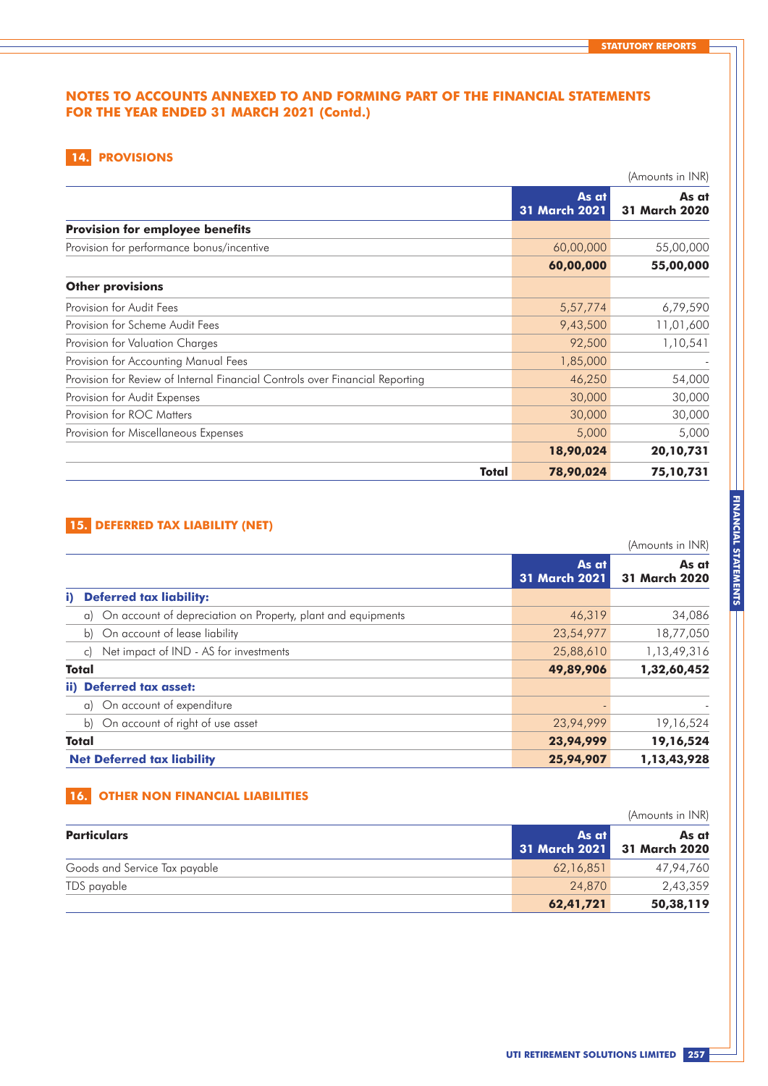#### **14. PROVISIONS**

|                                                                              |                               | (Amounts in INR)       |
|------------------------------------------------------------------------------|-------------------------------|------------------------|
|                                                                              | As at<br><b>31 March 2021</b> | As at<br>31 March 2020 |
| <b>Provision for employee benefits</b>                                       |                               |                        |
| Provision for performance bonus/incentive                                    | 60,00,000                     | 55,00,000              |
|                                                                              | 60,00,000                     | 55,00,000              |
| <b>Other provisions</b>                                                      |                               |                        |
| Provision for Audit Fees                                                     | 5, 57, 774                    | 6,79,590               |
| Provision for Scheme Audit Fees                                              | 9,43,500                      | 11,01,600              |
| Provision for Valuation Charges                                              | 92,500                        | 1,10,541               |
| Provision for Accounting Manual Fees                                         | 1,85,000                      |                        |
| Provision for Review of Internal Financial Controls over Financial Reporting | 46,250                        | 54,000                 |
| Provision for Audit Expenses                                                 | 30,000                        | 30,000                 |
| Provision for ROC Matters                                                    | 30,000                        | 30,000                 |
| Provision for Miscellaneous Expenses                                         | 5,000                         | 5,000                  |
|                                                                              | 18,90,024                     | 20,10,731              |
| <b>Total</b>                                                                 | 78,90,024                     | 75,10,731              |

### **15. DEFERRED TAX LIABILITY (NET)**

|                                                              | (Amounts in INR)              |                               |  |  |
|--------------------------------------------------------------|-------------------------------|-------------------------------|--|--|
|                                                              | As at<br><b>31 March 2021</b> | As at<br><b>31 March 2020</b> |  |  |
| <b>Deferred tax liability:</b><br>i)                         |                               |                               |  |  |
| On account of depreciation on Property, plant and equipments | 46,319                        | 34,086                        |  |  |
| On account of lease liability<br>b)                          | 23,54,977                     | 18,77,050                     |  |  |
| Net impact of IND - AS for investments<br>$\mathsf{C}$       | 25,88,610                     | 1,13,49,316                   |  |  |
| Total                                                        | 49,89,906                     | 1,32,60,452                   |  |  |
| <b>Deferred tax asset:</b><br>ii)                            |                               |                               |  |  |
| On account of expenditure                                    |                               |                               |  |  |
| On account of right of use asset<br>b)                       | 23,94,999                     | 19,16,524                     |  |  |
| Total                                                        | 23,94,999                     | 19,16,524                     |  |  |
| <b>Net Deferred tax liability</b>                            | 25,94,907                     | 1,13,43,928                   |  |  |

#### **16. OTHER NON FINANCIAL LIABILITIES**

|                               |           | (Amounts in INR)                     |
|-------------------------------|-----------|--------------------------------------|
| <b>Particulars</b>            | As at     | As at<br>31 March 2021 31 March 2020 |
| Goods and Service Tax payable | 62,16,851 | 47,94,760                            |
| TDS payable                   | 24,870    | 2,43,359                             |
|                               | 62,41,721 | 50,38,119                            |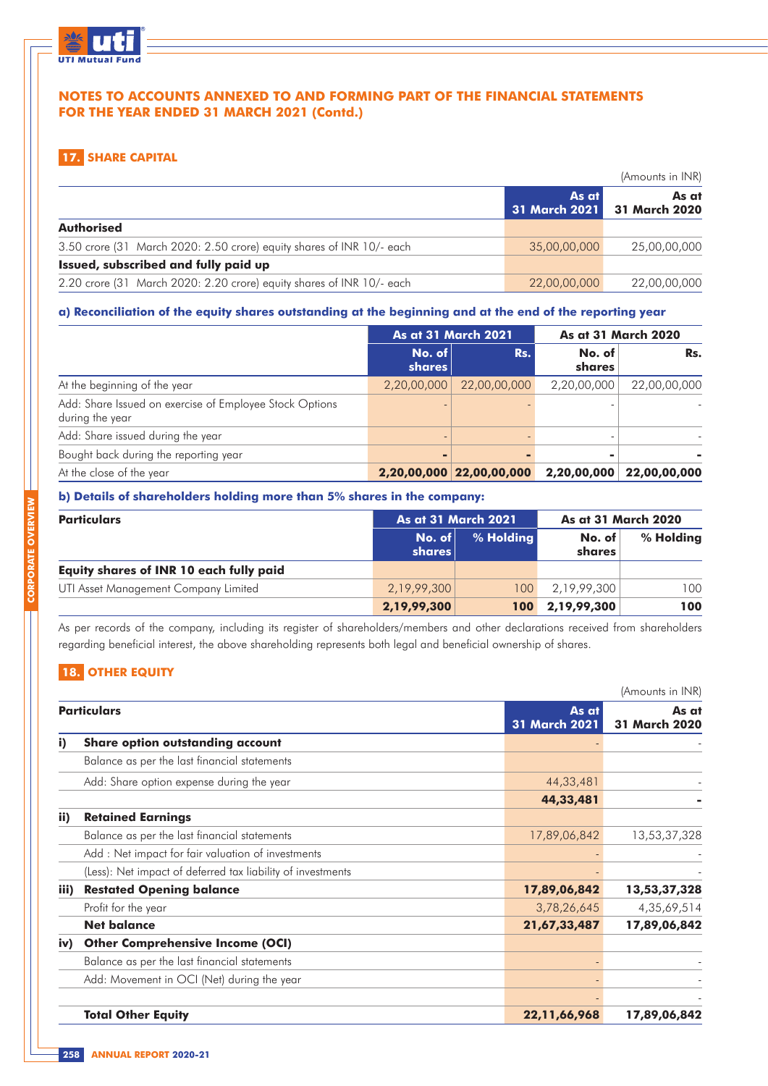

#### **17. SHARE CAPITAL**

|                                                                       |                        | (Amounts in INR)              |
|-----------------------------------------------------------------------|------------------------|-------------------------------|
|                                                                       | As at<br>31 March 2021 | As at<br><b>31 March 2020</b> |
| <b>Authorised</b>                                                     |                        |                               |
| 3.50 crore (31 March 2020: 2.50 crore) equity shares of INR 10/- each | 35,00,00,000           | 25,00,00,000                  |
| Issued, subscribed and fully paid up                                  |                        |                               |
| 2.20 crore (31 March 2020: 2.20 crore) equity shares of INR 10/- each | 22,00,00,000           | 22,00,00,000                  |

#### **a) Reconciliation of the equity shares outstanding at the beginning and at the end of the reporting year**

|                                                                            |                  | <b>As at 31 March 2021</b> | As at 31 March 2020 |              |  |
|----------------------------------------------------------------------------|------------------|----------------------------|---------------------|--------------|--|
|                                                                            | No. of<br>shares | Rs.                        | No. of<br>shares    | Rs.          |  |
| At the beginning of the year                                               | 2,20,00,000      | 22,00,00,000               | 2,20,00,000         | 22,00,00,000 |  |
| Add: Share Issued on exercise of Employee Stock Options<br>during the year |                  |                            |                     |              |  |
| Add: Share issued during the year                                          |                  |                            |                     |              |  |
| Bought back during the reporting year                                      | -                |                            | -                   |              |  |
| At the close of the year                                                   |                  | 2,20,00,000 22,00,00,000   | 2,20,00,000         | 22,00,00,000 |  |

#### **b) Details of shareholders holding more than 5% shares in the company:**

| <b>Particulars</b>                      |                  | <b>As at 31 March 2021</b> | As at 31 March 2020 |           |  |
|-----------------------------------------|------------------|----------------------------|---------------------|-----------|--|
|                                         | No. of<br>shares | % Holding                  | No. of<br>shares    | % Holding |  |
| Equity shares of INR 10 each fully paid |                  |                            |                     |           |  |
| UTI Asset Management Company Limited    | 2,19,99,300      | 100                        | 2,19,99,300         | 100       |  |
|                                         | 2,19,99,300      |                            | 100 2,19,99,300     | 100       |  |

As per records of the company, including its register of shareholders/members and other declarations received from shareholders regarding beneficial interest, the above shareholding represents both legal and beneficial ownership of shares.

### **18. OTHER EQUITY**

|      |                                                             |                               | (Amounts in INR)              |
|------|-------------------------------------------------------------|-------------------------------|-------------------------------|
|      | <b>Particulars</b>                                          | As at<br><b>31 March 2021</b> | As at<br><b>31 March 2020</b> |
| i)   | <b>Share option outstanding account</b>                     |                               |                               |
|      | Balance as per the last financial statements                |                               |                               |
|      | Add: Share option expense during the year                   | 44, 33, 481                   |                               |
|      |                                                             | 44,33,481                     |                               |
| ii)  | <b>Retained Earnings</b>                                    |                               |                               |
|      | Balance as per the last financial statements                | 17,89,06,842                  | 13,53,37,328                  |
|      | Add: Net impact for fair valuation of investments           |                               |                               |
|      | (Less): Net impact of deferred tax liability of investments |                               |                               |
| iii) | <b>Restated Opening balance</b>                             | 17,89,06,842                  | 13,53,37,328                  |
|      | Profit for the year                                         | 3,78,26,645                   | 4, 35, 69, 514                |
|      | <b>Net balance</b>                                          | 21,67,33,487                  | 17,89,06,842                  |
| iv)  | <b>Other Comprehensive Income (OCI)</b>                     |                               |                               |
|      | Balance as per the last financial statements                |                               |                               |
|      | Add: Movement in OCI (Net) during the year                  |                               |                               |
|      |                                                             |                               |                               |
|      | <b>Total Other Equity</b>                                   | 22,11,66,968                  | 17,89,06,842                  |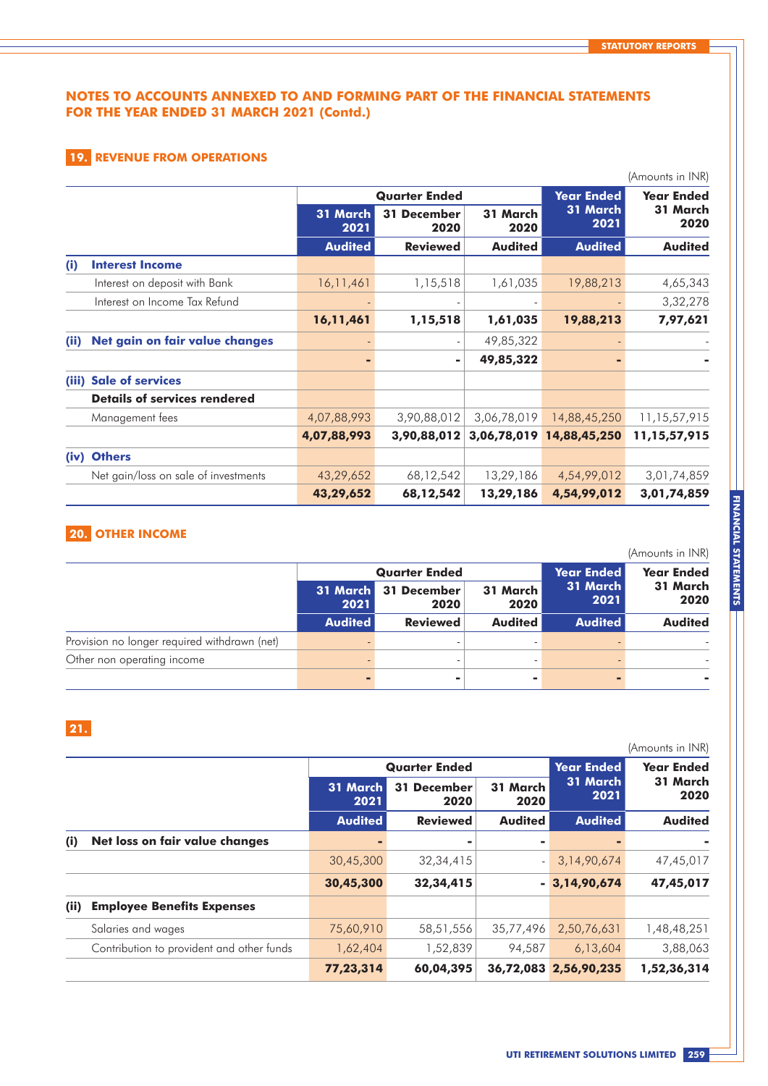#### **19. REVENUE FROM OPERATIONS**

|       |                                      |                      |                            |                  |                          | (Amounts in INR)  |
|-------|--------------------------------------|----------------------|----------------------------|------------------|--------------------------|-------------------|
|       |                                      | <b>Quarter Ended</b> |                            |                  | <b>Year Ended</b>        | <b>Year Ended</b> |
|       |                                      | 31 March<br>2021     | <b>31 December</b><br>2020 | 31 March<br>2020 | 31 March<br>2021         | 31 March<br>2020  |
|       |                                      | <b>Audited</b>       | <b>Reviewed</b>            | <b>Audited</b>   | <b>Audited</b>           | <b>Audited</b>    |
| (i)   | <b>Interest Income</b>               |                      |                            |                  |                          |                   |
|       | Interest on deposit with Bank        | 16,11,461            | 1,15,518                   | 1,61,035         | 19,88,213                | 4,65,343          |
|       | Interest on Income Tax Refund        |                      |                            |                  |                          | 3,32,278          |
|       |                                      | 16,11,461            | 1,15,518                   | 1,61,035         | 19,88,213                | 7,97,621          |
| (ii)  | Net gain on fair value changes       |                      |                            | 49,85,322        |                          |                   |
|       |                                      |                      | ٠                          | 49,85,322        |                          |                   |
| (iii) | <b>Sale of services</b>              |                      |                            |                  |                          |                   |
|       | <b>Details of services rendered</b>  |                      |                            |                  |                          |                   |
|       | Management fees                      | 4,07,88,993          | 3,90,88,012                | 3,06,78,019      | 14,88,45,250             | 11,15,57,915      |
|       |                                      | 4,07,88,993          | 3,90,88,012                |                  | 3,06,78,019 14,88,45,250 | 11, 15, 57, 915   |
| (iv)  | <b>Others</b>                        |                      |                            |                  |                          |                   |
|       | Net gain/loss on sale of investments | 43,29,652            | 68, 12, 542                | 13,29,186        | 4,54,99,012              | 3,01,74,859       |
|       |                                      | 43,29,652            | 68,12,542                  | 13,29,186        | 4,54,99,012              | 3,01,74,859       |

### **20. OTHER INCOME**

(Amounts in INR)

**FINANCIAL STATEMENTS**

FINANCIAL STATEMENTS

|                                              |                | <b>Quarter Ended</b>         | <b>Year Ended</b> | <b>Year Ended</b> |                  |
|----------------------------------------------|----------------|------------------------------|-------------------|-------------------|------------------|
|                                              | 2021           | 31 March 31 December<br>2020 | 31 March<br>2020  | 31 March<br>2021  | 31 March<br>2020 |
|                                              | <b>Audited</b> | <b>Reviewed</b>              | <b>Audited</b>    | <b>Audited</b>    | <b>Audited</b>   |
| Provision no longer required withdrawn (net) |                |                              |                   |                   |                  |
| Other non operating income                   |                |                              |                   |                   |                  |
|                                              |                |                              |                   |                   |                  |

### **21.**

|      |                                           |                                                                    |                      |                  |                       | (Amounts in INR)  |
|------|-------------------------------------------|--------------------------------------------------------------------|----------------------|------------------|-----------------------|-------------------|
|      |                                           |                                                                    | <b>Quarter Ended</b> |                  | <b>Year Ended</b>     | <b>Year Ended</b> |
|      |                                           | 31 March<br>31 March<br><b>31 December</b><br>2021<br>2020<br>2020 | 31 March<br>2021     | 31 March<br>2020 |                       |                   |
|      |                                           | <b>Audited</b>                                                     | <b>Reviewed</b>      | <b>Audited</b>   | <b>Audited</b>        | <b>Audited</b>    |
| (i)  | Net loss on fair value changes            |                                                                    |                      |                  |                       |                   |
|      |                                           | 30,45,300                                                          | 32, 34, 415          |                  | 3, 14, 90, 674        | 47,45,017         |
|      |                                           | 30,45,300                                                          | 32, 34, 415          |                  | $-3,14,90,674$        | 47,45,017         |
| (ii) | <b>Employee Benefits Expenses</b>         |                                                                    |                      |                  |                       |                   |
|      | Salaries and wages                        | 75,60,910                                                          | 58,51,556            | 35,77,496        | 2,50,76,631           | 1,48,48,251       |
|      | Contribution to provident and other funds | 1,62,404                                                           | 1,52,839             | 94,587           | 6,13,604              | 3,88,063          |
|      |                                           | 77,23,314                                                          | 60,04,395            |                  | 36,72,083 2,56,90,235 | 1,52,36,314       |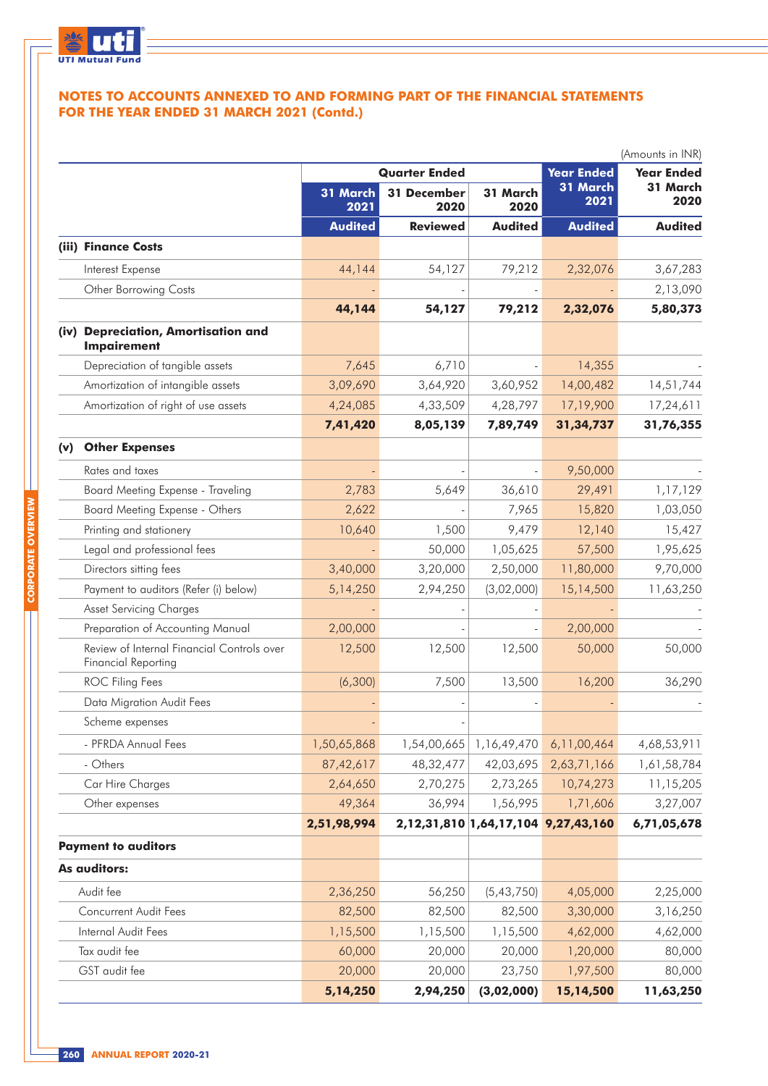

|     |                                                                          |                  |                      |                  |                                     | (Amounts in INR)  |
|-----|--------------------------------------------------------------------------|------------------|----------------------|------------------|-------------------------------------|-------------------|
|     |                                                                          |                  | <b>Quarter Ended</b> |                  | <b>Year Ended</b>                   | <b>Year Ended</b> |
|     |                                                                          | 31 March<br>2021 | 31 December<br>2020  | 31 March<br>2020 | 31 March<br>2021                    | 31 March<br>2020  |
|     |                                                                          | <b>Audited</b>   | <b>Reviewed</b>      | <b>Audited</b>   | <b>Audited</b>                      | <b>Audited</b>    |
|     | (iii) Finance Costs                                                      |                  |                      |                  |                                     |                   |
|     | Interest Expense                                                         | 44,144           | 54,127               | 79,212           | 2,32,076                            | 3,67,283          |
|     | Other Borrowing Costs                                                    |                  |                      |                  |                                     | 2,13,090          |
|     |                                                                          | 44,144           | 54,127               | 79,212           | 2,32,076                            | 5,80,373          |
|     | (iv) Depreciation, Amortisation and<br><b>Impairement</b>                |                  |                      |                  |                                     |                   |
|     | Depreciation of tangible assets                                          | 7,645            | 6,710                |                  | 14,355                              |                   |
|     | Amortization of intangible assets                                        | 3,09,690         | 3,64,920             | 3,60,952         | 14,00,482                           | 14,51,744         |
|     | Amortization of right of use assets                                      | 4,24,085         | 4,33,509             | 4,28,797         | 17,19,900                           | 17,24,611         |
|     |                                                                          | 7,41,420         | 8,05,139             | 7,89,749         | 31, 34, 737                         | 31,76,355         |
| (v) | <b>Other Expenses</b>                                                    |                  |                      |                  |                                     |                   |
|     | Rates and taxes                                                          |                  |                      |                  | 9,50,000                            |                   |
|     | Board Meeting Expense - Traveling                                        | 2,783            | 5,649                | 36,610           | 29,491                              | 1,17,129          |
|     | Board Meeting Expense - Others                                           | 2,622            |                      | 7,965            | 15,820                              | 1,03,050          |
|     | Printing and stationery                                                  | 10,640           | 1,500                | 9,479            | 12,140                              | 15,427            |
|     | Legal and professional fees                                              |                  | 50,000               | 1,05,625         | 57,500                              | 1,95,625          |
|     | Directors sitting fees                                                   | 3,40,000         | 3,20,000             | 2,50,000         | 11,80,000                           | 9,70,000          |
|     | Payment to auditors (Refer (i) below)                                    | 5,14,250         | 2,94,250             | (3,02,000)       | 15,14,500                           | 11,63,250         |
|     | <b>Asset Servicing Charges</b>                                           |                  |                      |                  |                                     |                   |
|     | Preparation of Accounting Manual                                         | 2,00,000         |                      |                  | 2,00,000                            |                   |
|     | Review of Internal Financial Controls over<br><b>Financial Reporting</b> | 12,500           | 12,500               | 12,500           | 50,000                              | 50,000            |
|     | <b>ROC Filing Fees</b>                                                   | (6,300)          | 7,500                | 13,500           | 16,200                              | 36,290            |
|     | Data Migration Audit Fees                                                |                  |                      |                  |                                     |                   |
|     | Scheme expenses                                                          |                  |                      |                  |                                     |                   |
|     | - PFRDA Annual Fees                                                      | 1,50,65,868      | 1,54,00,665          | 1,16,49,470      | 6, 11, 00, 464                      | 4,68,53,911       |
|     | - Others                                                                 | 87,42,617        | 48, 32, 477          | 42,03,695        | 2,63,71,166                         | 1,61,58,784       |
|     | Car Hire Charges                                                         | 2,64,650         | 2,70,275             | 2,73,265         | 10,74,273                           | 11,15,205         |
|     | Other expenses                                                           | 49,364           | 36,994               | 1,56,995         | 1,71,606                            | 3,27,007          |
|     |                                                                          | 2,51,98,994      |                      |                  | 2,12,31,810 1,64,17,104 9,27,43,160 | 6,71,05,678       |
|     | <b>Payment to auditors</b>                                               |                  |                      |                  |                                     |                   |
|     | As auditors:                                                             |                  |                      |                  |                                     |                   |
|     | Audit fee                                                                | 2,36,250         | 56,250               | (5, 43, 750)     | 4,05,000                            | 2,25,000          |
|     | Concurrent Audit Fees                                                    | 82,500           | 82,500               | 82,500           | 3,30,000                            | 3,16,250          |
|     | Internal Audit Fees                                                      | 1,15,500         | 1,15,500             | 1,15,500         | 4,62,000                            | 4,62,000          |
|     | Tax audit fee                                                            | 60,000           | 20,000               | 20,000           | 1,20,000                            | 80,000            |
|     | GST audit fee                                                            | 20,000           | 20,000               | 23,750           | 1,97,500                            | 80,000            |
|     |                                                                          | 5,14,250         | 2,94,250             | (3,02,000)       | 15,14,500                           | 11,63,250         |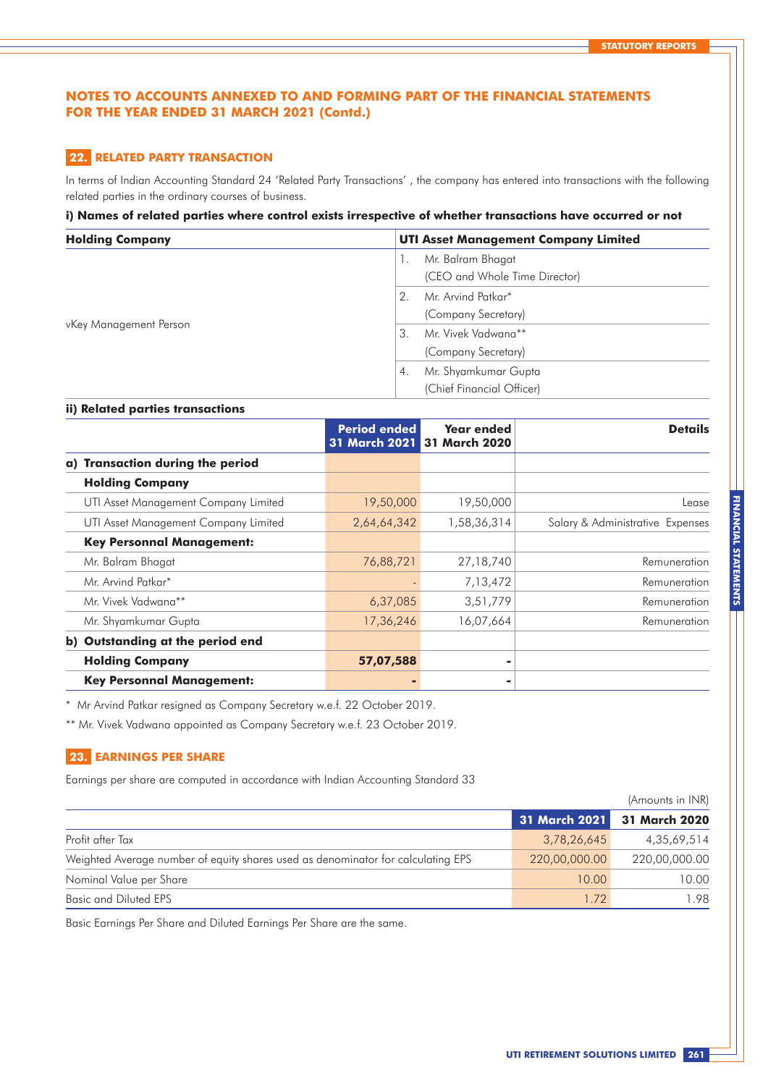#### **22. RELATED PARTY TRANSACTION**

In terms of Indian Accounting Standard 24 'Related Party Transactions' , the company has entered into transactions with the following related parties in the ordinary courses of business.

#### **i) Names of related parties where control exists irrespective of whether transactions have occurred or not**

| <b>Holding Company</b> | <b>UTI Asset Management Company Limited</b> |
|------------------------|---------------------------------------------|
|                        | Mr. Balram Bhagat                           |
|                        | (CEO and Whole Time Director)               |
|                        | Mr. Arvind Patkar*<br>2.                    |
|                        | (Company Secretary)                         |
| vKey Management Person | Mr. Vivek Vadwana**<br>3.                   |
|                        | (Company Secretary)                         |
|                        | Mr. Shyamkumar Gupta<br>$^{\circ}$ 4.       |
|                        | (Chief Financial Officer)                   |

#### **ii) Related parties transactions**

|                                      | <b>Period ended</b> | Year ended<br>31 March 2021 31 March 2020 | <b>Details</b>                   |
|--------------------------------------|---------------------|-------------------------------------------|----------------------------------|
| a) Transaction during the period     |                     |                                           |                                  |
| <b>Holding Company</b>               |                     |                                           |                                  |
| UTI Asset Management Company Limited | 19,50,000           | 19,50,000                                 | Lease                            |
| UTI Asset Management Company Limited | 2,64,64,342         | 1,58,36,314                               | Salary & Administrative Expenses |
| <b>Key Personnal Management:</b>     |                     |                                           |                                  |
| Mr. Balram Bhagat                    | 76,88,721           | 27, 18, 740                               | Remuneration                     |
| Mr. Arvind Patkar*                   |                     | 7,13,472                                  | Remuneration                     |
| Mr. Vivek Vadwana**                  | 6,37,085            | 3,51,779                                  | Remuneration                     |
| Mr. Shyamkumar Gupta                 | 17,36,246           | 16,07,664                                 | Remuneration                     |
| b) Outstanding at the period end     |                     |                                           |                                  |
| <b>Holding Company</b>               | 57,07,588           | ۰                                         |                                  |
| <b>Key Personnal Management:</b>     |                     | ۰                                         |                                  |

\* Mr Arvind Patkar resigned as Company Secretary w.e.f. 22 October 2019.

\*\* Mr. Vivek Vadwana appointed as Company Secretary w.e.f. 23 October 2019.

#### **23. EARNINGS PER SHARE**

Earnings per share are computed in accordance with Indian Accounting Standard 33

|                                                                                  |               | (Amounts in INR)     |
|----------------------------------------------------------------------------------|---------------|----------------------|
|                                                                                  | 31 March 2021 | <b>31 March 2020</b> |
| Profit after Tax                                                                 | 3,78,26,645   | 4,35,69,514          |
| Weighted Average number of equity shares used as denominator for calculating EPS | 220,00,000.00 | 220,00,000.00        |
| Nominal Value per Share                                                          | 10.00         | 10.00                |
| Basic and Diluted EPS                                                            | 172           | 1.98                 |

Basic Earnings Per Share and Diluted Earnings Per Share are the same.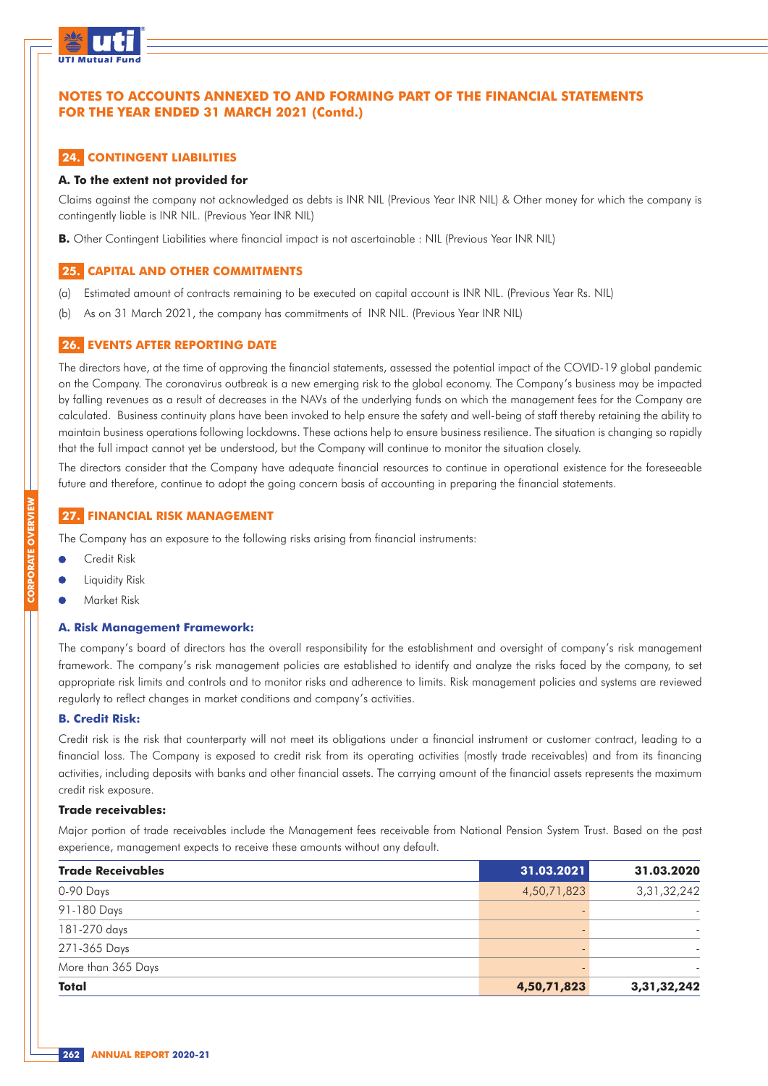

#### **24. CONTINGENT LIABILITIES**

#### **A. To the extent not provided for**

Claims against the company not acknowledged as debts is INR NIL (Previous Year INR NIL) & Other money for which the company is contingently liable is INR NIL. (Previous Year INR NIL)

**B.** Other Contingent Liabilities where financial impact is not ascertainable : NIL (Previous Year INR NIL)

#### **25. CAPITAL AND OTHER COMMITMENTS**

- (a) Estimated amount of contracts remaining to be executed on capital account is INR NIL. (Previous Year Rs. NIL)
- (b) As on 31 March 2021, the company has commitments of INR NIL. (Previous Year INR NIL)

#### **26. EVENTS AFTER REPORTING DATE**

The directors have, at the time of approving the financial statements, assessed the potential impact of the COVID-19 global pandemic on the Company. The coronavirus outbreak is a new emerging risk to the global economy. The Company's business may be impacted by falling revenues as a result of decreases in the NAVs of the underlying funds on which the management fees for the Company are calculated. Business continuity plans have been invoked to help ensure the safety and well-being of staff thereby retaining the ability to maintain business operations following lockdowns. These actions help to ensure business resilience. The situation is changing so rapidly that the full impact cannot yet be understood, but the Company will continue to monitor the situation closely.

The directors consider that the Company have adequate financial resources to continue in operational existence for the foreseeable future and therefore, continue to adopt the going concern basis of accounting in preparing the financial statements.

#### **27. FINANCIAL RISK MANAGEMENT**

The Company has an exposure to the following risks arising from financial instruments:

- Credit Risk
- Liquidity Risk
- Market Risk

#### **A. Risk Management Framework:**

The company's board of directors has the overall responsibility for the establishment and oversight of company's risk management framework. The company's risk management policies are established to identify and analyze the risks faced by the company, to set appropriate risk limits and controls and to monitor risks and adherence to limits. Risk management policies and systems are reviewed regularly to reflect changes in market conditions and company's activities.

#### **B. Credit Risk:**

Credit risk is the risk that counterparty will not meet its obligations under a financial instrument or customer contract, leading to a financial loss. The Company is exposed to credit risk from its operating activities (mostly trade receivables) and from its financing activities, including deposits with banks and other financial assets. The carrying amount of the financial assets represents the maximum credit risk exposure.

#### **Trade receivables:**

Major portion of trade receivables include the Management fees receivable from National Pension System Trust. Based on the past experience, management expects to receive these amounts without any default.

| <b>Trade Receivables</b> | 31.03.2021  | 31.03.2020     |
|--------------------------|-------------|----------------|
| 0-90 Days                | 4,50,71,823 | 3, 31, 32, 242 |
| 91-180 Days              |             |                |
| 181-270 days             |             |                |
| 271-365 Days             |             | ۰              |
| More than 365 Days       |             |                |
| <b>Total</b>             | 4,50,71,823 | 3, 31, 32, 242 |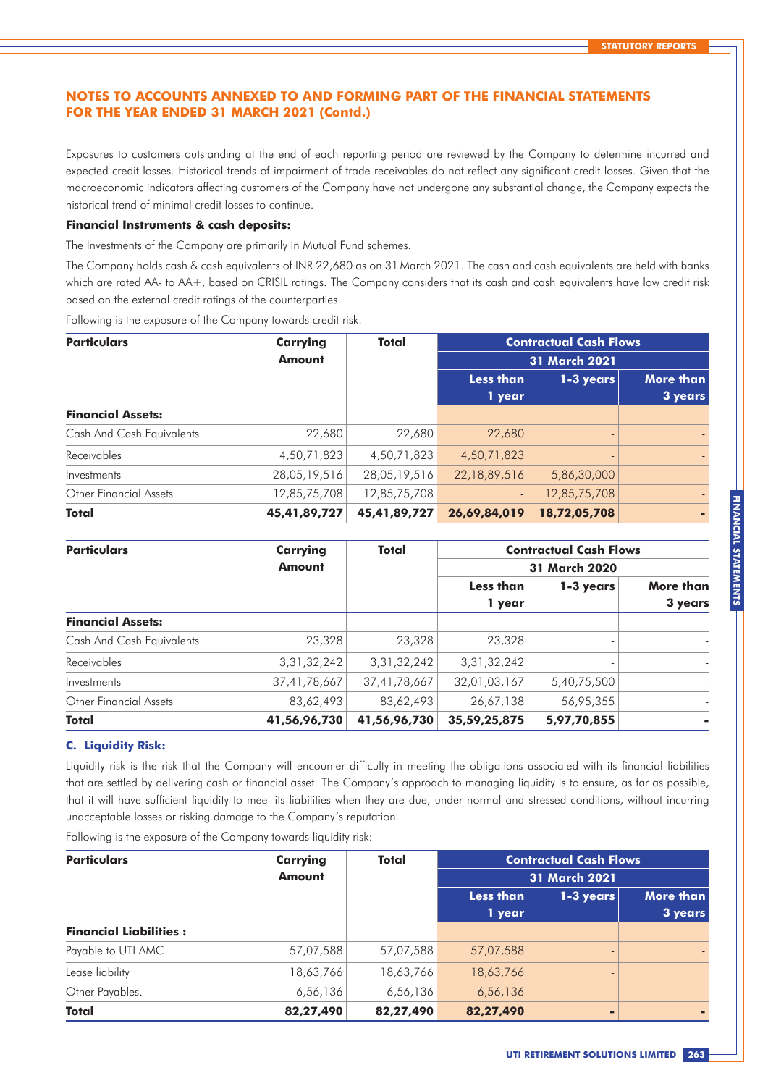Exposures to customers outstanding at the end of each reporting period are reviewed by the Company to determine incurred and expected credit losses. Historical trends of impairment of trade receivables do not reflect any significant credit losses. Given that the macroeconomic indicators affecting customers of the Company have not undergone any substantial change, the Company expects the historical trend of minimal credit losses to continue.

#### **Financial Instruments & cash deposits:**

The Investments of the Company are primarily in Mutual Fund schemes.

The Company holds cash & cash equivalents of INR 22,680 as on 31 March 2021. The cash and cash equivalents are held with banks which are rated AA- to AA+, based on CRISIL ratings. The Company considers that its cash and cash equivalents have low credit risk based on the external credit ratings of the counterparties.

Following is the exposure of the Company towards credit risk.

| <b>Particulars</b>        | <b>Carrying</b> | <b>Total</b> | <b>Contractual Cash Flows</b> |              |                  |
|---------------------------|-----------------|--------------|-------------------------------|--------------|------------------|
|                           | <b>Amount</b>   |              | <b>31 March 2021</b>          |              |                  |
|                           |                 |              | Less than                     | 1-3 years    | <b>More than</b> |
|                           |                 |              | 1 year                        |              | 3 years          |
| <b>Financial Assets:</b>  |                 |              |                               |              |                  |
| Cash And Cash Equivalents | 22,680          | 22,680       | 22,680                        |              |                  |
| <b>Receivables</b>        | 4,50,71,823     | 4,50,71,823  | 4,50,71,823                   |              |                  |
| Investments               | 28,05,19,516    | 28,05,19,516 | 22, 18, 89, 516               | 5,86,30,000  |                  |
| Other Financial Assets    | 12,85,75,708    | 12,85,75,708 |                               | 12,85,75,708 |                  |
| Total                     | 45,41,89,727    | 45,41,89,727 | 26,69,84,019                  | 18,72,05,708 |                  |

| <b>Particulars</b>            | Carrying       | Total        | <b>Contractual Cash Flows</b><br><b>31 March 2020</b> |             |           |  |
|-------------------------------|----------------|--------------|-------------------------------------------------------|-------------|-----------|--|
|                               | <b>Amount</b>  |              |                                                       |             |           |  |
|                               |                |              | <b>Less than</b>                                      | 1-3 years   | More than |  |
|                               |                |              | 1 year                                                |             | 3 years   |  |
| <b>Financial Assets:</b>      |                |              |                                                       |             |           |  |
| Cash And Cash Equivalents     | 23,328         | 23,328       | 23,328                                                |             |           |  |
| Receivables                   | 3, 31, 32, 242 | 3,31,32,242  | 3, 31, 32, 242                                        |             |           |  |
| Investments                   | 37,41,78,667   | 37,41,78,667 | 32,01,03,167                                          | 5,40,75,500 |           |  |
| <b>Other Financial Assets</b> | 83,62,493      | 83,62,493    | 26,67,138                                             | 56,95,355   |           |  |
| <b>Total</b>                  | 41,56,96,730   | 41,56,96,730 | 35,59,25,875                                          | 5,97,70,855 |           |  |

#### **C. Liquidity Risk:**

Liquidity risk is the risk that the Company will encounter difficulty in meeting the obligations associated with its financial liabilities that are settled by delivering cash or financial asset. The Company's approach to managing liquidity is to ensure, as far as possible, that it will have sufficient liquidity to meet its liabilities when they are due, under normal and stressed conditions, without incurring unacceptable losses or risking damage to the Company's reputation.

Following is the exposure of the Company towards liquidity risk:

| <b>Particulars</b>            | <b>Carrying</b> | Total     | <b>Contractual Cash Flows</b> |           |                  |
|-------------------------------|-----------------|-----------|-------------------------------|-----------|------------------|
|                               | <b>Amount</b>   |           | <b>31 March 2021</b>          |           |                  |
|                               |                 |           | <b>Less than</b>              | 1-3 years | <b>More than</b> |
|                               |                 |           | $1$ year                      |           | 3 years          |
| <b>Financial Liabilities:</b> |                 |           |                               |           |                  |
| Payable to UTI AMC            | 57,07,588       | 57,07,588 | 57,07,588                     |           |                  |
| Lease liability               | 18,63,766       | 18,63,766 | 18,63,766                     |           |                  |
| Other Payables.               | 6,56,136        | 6,56,136  | 6,56,136                      |           |                  |
| <b>Total</b>                  | 82,27,490       | 82,27,490 | 82,27,490                     | -         |                  |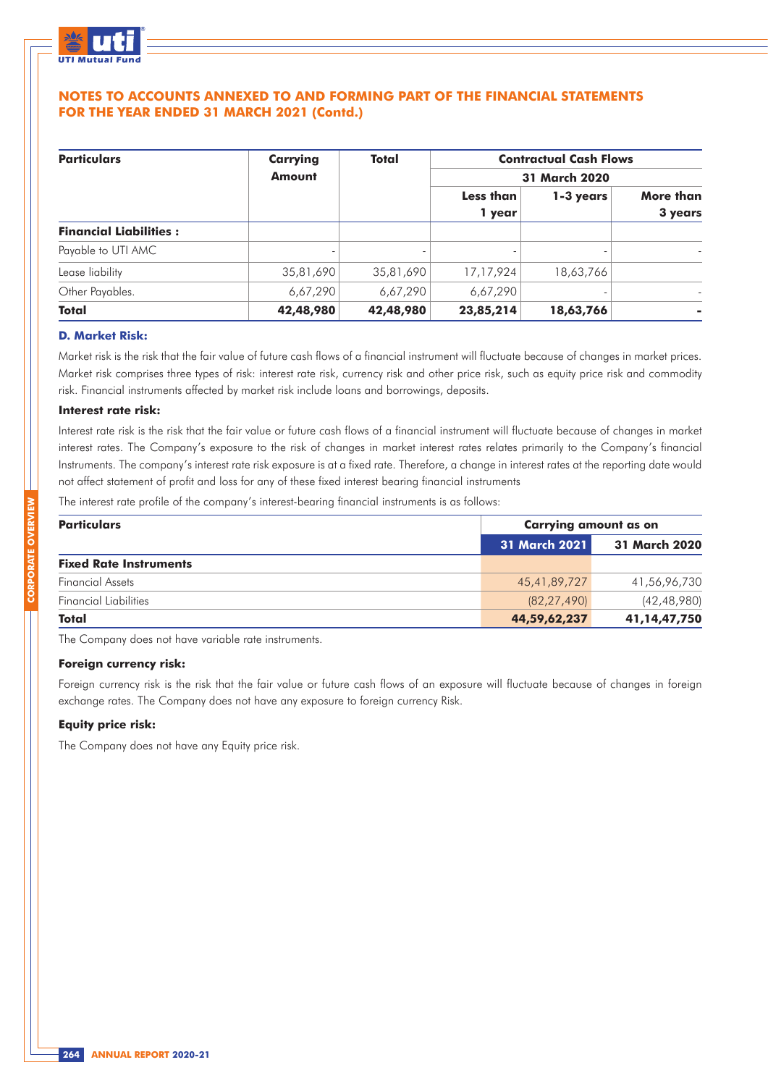

| <b>Particulars</b>            | Carrying      | Total     | <b>Contractual Cash Flows</b> |           |                      |  |
|-------------------------------|---------------|-----------|-------------------------------|-----------|----------------------|--|
|                               | <b>Amount</b> |           | <b>31 March 2020</b>          |           |                      |  |
|                               |               |           | Less than                     | 1-3 years | More than<br>3 years |  |
|                               |               |           | 1 year                        |           |                      |  |
| <b>Financial Liabilities:</b> |               |           |                               |           |                      |  |
| Payable to UTI AMC            |               |           |                               |           |                      |  |
| Lease liability               | 35,81,690     | 35,81,690 | 17,17,924                     | 18,63,766 |                      |  |
| Other Payables.               | 6,67,290      | 6,67,290  | 6,67,290                      |           |                      |  |
| Total                         | 42,48,980     | 42,48,980 | 23,85,214                     | 18,63,766 |                      |  |

#### **D. Market Risk:**

Market risk is the risk that the fair value of future cash flows of a financial instrument will fluctuate because of changes in market prices. Market risk comprises three types of risk: interest rate risk, currency risk and other price risk, such as equity price risk and commodity risk. Financial instruments affected by market risk include loans and borrowings, deposits.

#### **Interest rate risk:**

Interest rate risk is the risk that the fair value or future cash flows of a financial instrument will fluctuate because of changes in market interest rates. The Company's exposure to the risk of changes in market interest rates relates primarily to the Company's financial Instruments. The company's interest rate risk exposure is at a fixed rate. Therefore, a change in interest rates at the reporting date would not affect statement of profit and loss for any of these fixed interest bearing financial instruments

The interest rate profile of the company's interest-bearing financial instruments is as follows:

| <b>Particulars</b>            | <b>Carrying amount as on</b> |                      |  |
|-------------------------------|------------------------------|----------------------|--|
|                               | 31 March 2021                | <b>31 March 2020</b> |  |
| <b>Fixed Rate Instruments</b> |                              |                      |  |
| <b>Financial Assets</b>       | 45,41,89,727                 | 41,56,96,730         |  |
| <b>Financial Liabilities</b>  | (82, 27, 490)                | (42, 48, 980)        |  |
| Total                         | 44,59,62,237                 | 41,14,47,750         |  |

The Company does not have variable rate instruments.

#### **Foreign currency risk:**

Foreign currency risk is the risk that the fair value or future cash flows of an exposure will fluctuate because of changes in foreign exchange rates. The Company does not have any exposure to foreign currency Risk.

#### **Equity price risk:**

The Company does not have any Equity price risk.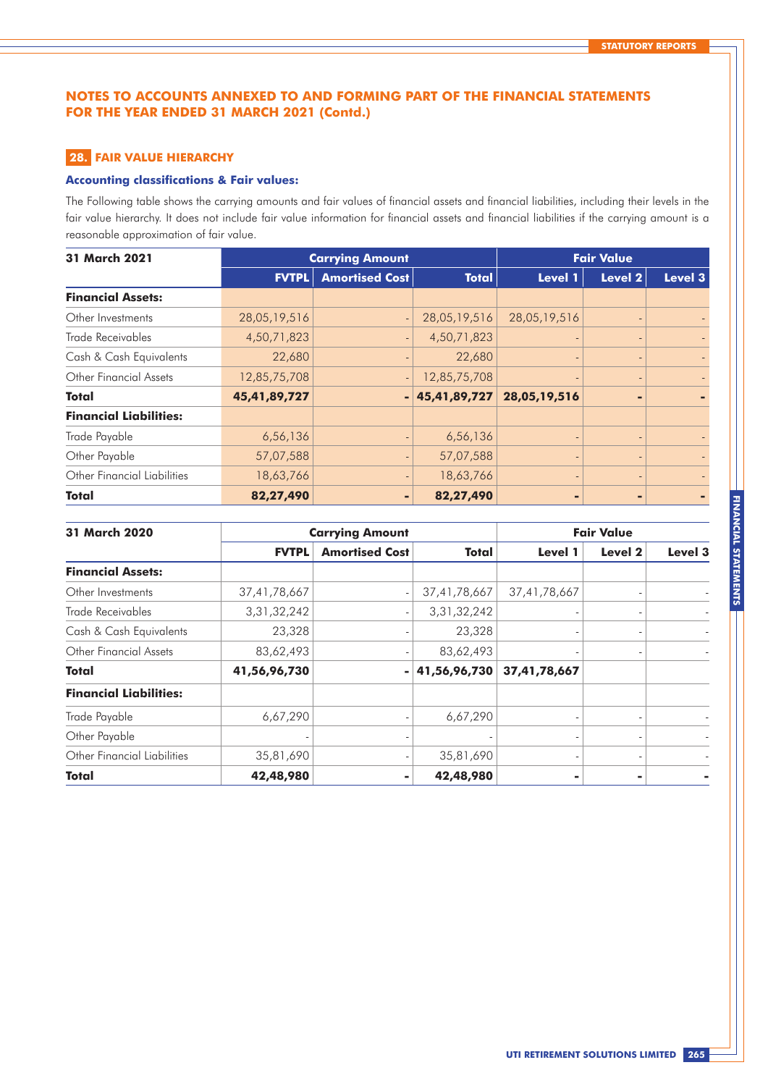#### **28. FAIR VALUE HIERARCHY**

#### **Accounting classifications & Fair values:**

The Following table shows the carrying amounts and fair values of financial assets and financial liabilities, including their levels in the fair value hierarchy. It does not include fair value information for financial assets and financial liabilities if the carrying amount is a reasonable approximation of fair value.

| 31 March 2021                 | <b>Carrying Amount</b> |                       |              | <b>Fair Value</b> |         |         |
|-------------------------------|------------------------|-----------------------|--------------|-------------------|---------|---------|
|                               | <b>FVTPL</b>           | <b>Amortised Cost</b> | <b>Total</b> | Level 1           | Level 2 | Level 3 |
| <b>Financial Assets:</b>      |                        |                       |              |                   |         |         |
| Other Investments             | 28,05,19,516           |                       | 28,05,19,516 | 28,05,19,516      |         |         |
| Trade Receivables             | 4,50,71,823            |                       | 4,50,71,823  |                   |         |         |
| Cash & Cash Equivalents       | 22,680                 |                       | 22,680       |                   |         |         |
| Other Financial Assets        | 12,85,75,708           |                       | 12,85,75,708 |                   |         |         |
| <b>Total</b>                  | 45,41,89,727           | ٠                     | 45,41,89,727 | 28,05,19,516      |         |         |
| <b>Financial Liabilities:</b> |                        |                       |              |                   |         |         |
| Trade Payable                 | 6,56,136               |                       | 6,56,136     |                   |         |         |
| Other Payable                 | 57,07,588              |                       | 57,07,588    |                   |         |         |
| Other Financial Liabilities   | 18,63,766              |                       | 18,63,766    |                   |         |         |
| Total                         | 82,27,490              |                       | 82,27,490    |                   |         |         |

| <b>31 March 2020</b><br><b>Carrying Amount</b><br><b>Amortised Cost</b><br><b>FVTPL</b><br>Total |                |                          | <b>Fair Value</b> |              |         |         |
|--------------------------------------------------------------------------------------------------|----------------|--------------------------|-------------------|--------------|---------|---------|
|                                                                                                  |                |                          |                   | Level 1      | Level 2 | Level 3 |
| <b>Financial Assets:</b>                                                                         |                |                          |                   |              |         |         |
| Other Investments                                                                                | 37,41,78,667   | $\overline{\phantom{a}}$ | 37,41,78,667      | 37,41,78,667 |         |         |
| Trade Receivables                                                                                | 3, 31, 32, 242 | $\overline{\phantom{a}}$ | 3, 31, 32, 242    |              |         |         |
| Cash & Cash Equivalents                                                                          | 23,328         |                          | 23,328            |              |         |         |
| <b>Other Financial Assets</b>                                                                    | 83,62,493      |                          | 83,62,493         |              |         |         |
| Total                                                                                            | 41,56,96,730   | $\blacksquare$           | 41,56,96,730      | 37,41,78,667 |         |         |
| <b>Financial Liabilities:</b>                                                                    |                |                          |                   |              |         |         |
| Trade Payable                                                                                    | 6,67,290       |                          | 6,67,290          |              |         |         |
| Other Payable                                                                                    |                |                          |                   |              |         |         |
| Other Financial Liabilities                                                                      | 35,81,690      |                          | 35,81,690         |              |         |         |
| Total                                                                                            | 42,48,980      | ۰                        | 42,48,980         |              |         |         |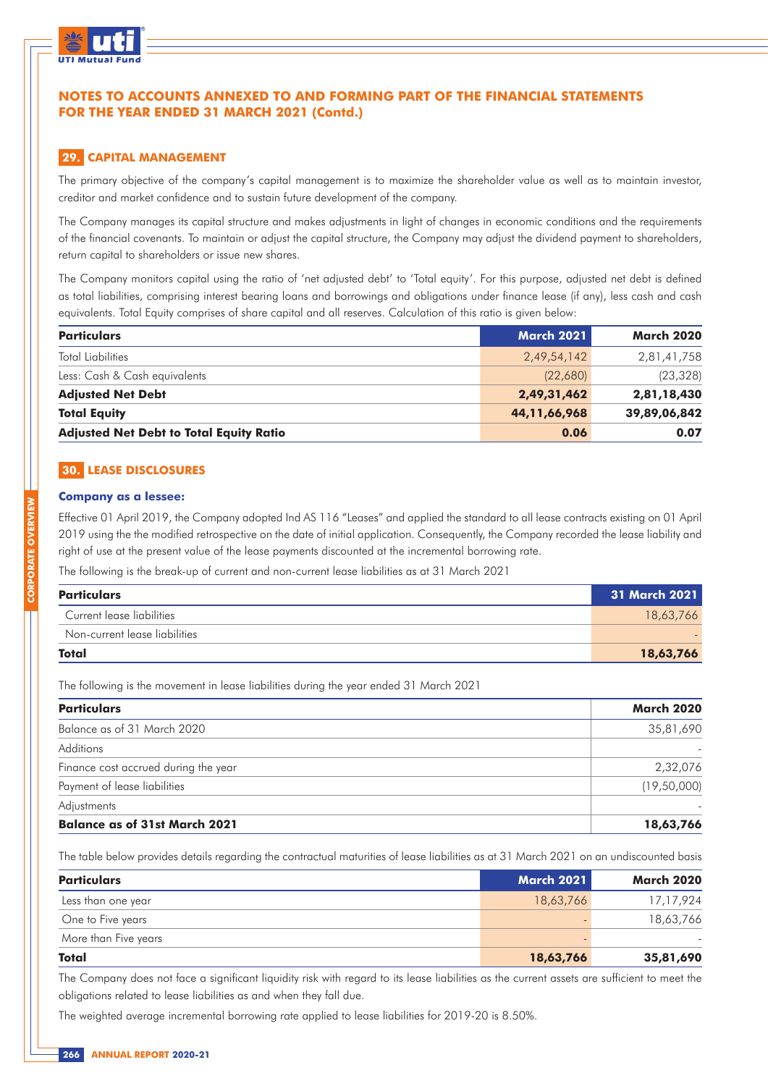

#### **29. CAPITAL MANAGEMENT**

The primary objective of the company's capital management is to maximize the shareholder value as well as to maintain investor, creditor and market confidence and to sustain future development of the company.

The Company manages its capital structure and makes adjustments in light of changes in economic conditions and the requirements of the financial covenants. To maintain or adjust the capital structure, the Company may adjust the dividend payment to shareholders, return capital to shareholders or issue new shares.

The Company monitors capital using the ratio of 'net adjusted debt' to 'Total equity'. For this purpose, adjusted net debt is defined as total liabilities, comprising interest bearing loans and borrowings and obligations under finance lease (if any), less cash and cash equivalents. Total Equity comprises of share capital and all reserves. Calculation of this ratio is given below:

| <b>Particulars</b>                             | <b>March 2021</b> | <b>March 2020</b> |
|------------------------------------------------|-------------------|-------------------|
| <b>Total Liabilities</b>                       | 2,49,54,142       | 2,81,41,758       |
| Less: Cash & Cash equivalents                  | (22,680)          | (23, 328)         |
| <b>Adjusted Net Debt</b>                       | 2,49,31,462       | 2,81,18,430       |
| <b>Total Equity</b>                            | 44,11,66,968      | 39,89,06,842      |
| <b>Adjusted Net Debt to Total Equity Ratio</b> | 0.06              | 0.07              |

#### **30. LEASE DISCLOSURES**

#### **Company as a lessee:**

Effective 01 April 2019, the Company adopted Ind AS 116 "Leases" and applied the standard to all lease contracts existing on 01 April 2019 using the the modified retrospective on the date of initial application. Consequently, the Company recorded the lease liability and right of use at the present value of the lease payments discounted at the incremental borrowing rate.

The following is the break-up of current and non-current lease liabilities as at 31 March 2021

| <b>Particulars</b>            | 31 March 2021 |
|-------------------------------|---------------|
| Current lease liabilities     | 18,63,766     |
| Non-current lease liabilities |               |
| <b>Total</b>                  | 18,63,766     |

The following is the movement in lease liabilities during the year ended 31 March 2021

| <b>Particulars</b>                   | <b>March 2020</b> |
|--------------------------------------|-------------------|
| Balance as of 31 March 2020          | 35,81,690         |
| <b>Additions</b>                     |                   |
| Finance cost accrued during the year | 2,32,076          |
| Payment of lease liabilities         | (19, 50, 000)     |
| Adjustments                          |                   |
| <b>Balance as of 31st March 2021</b> | 18,63,766         |

The table below provides details regarding the contractual maturities of lease liabilities as at 31 March 2021 on an undiscounted basis

| <b>Particulars</b>   | <b>March 2021</b> | <b>March 2020</b> |
|----------------------|-------------------|-------------------|
| Less than one year   | 18,63,766         | 17, 17, 924       |
| One to Five years    |                   | 18,63,766         |
| More than Five years |                   |                   |
| Total                | 18,63,766         | 35,81,690         |

The Company does not face a significant liquidity risk with regard to its lease liabilities as the current assets are sufficient to meet the obligations related to lease liabilities as and when they fall due.

The weighted average incremental borrowing rate applied to lease liabilities for 2019-20 is 8.50%.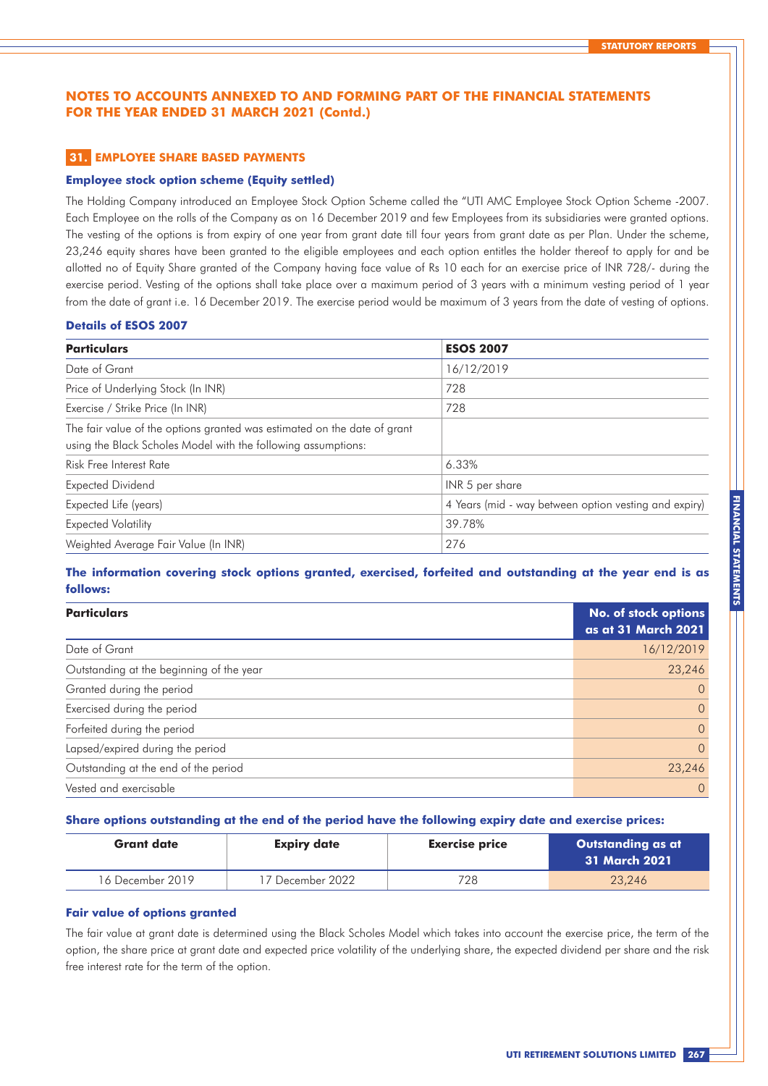#### **31. EMPLOYEE SHARE BASED PAYMENTS**

#### **Employee stock option scheme (Equity settled)**

The Holding Company introduced an Employee Stock Option Scheme called the "UTI AMC Employee Stock Option Scheme -2007. Each Employee on the rolls of the Company as on 16 December 2019 and few Employees from its subsidiaries were granted options. The vesting of the options is from expiry of one year from grant date till four years from grant date as per Plan. Under the scheme, 23,246 equity shares have been granted to the eligible employees and each option entitles the holder thereof to apply for and be allotted no of Equity Share granted of the Company having face value of Rs 10 each for an exercise price of INR 728/- during the exercise period. Vesting of the options shall take place over a maximum period of 3 years with a minimum vesting period of 1 year from the date of grant i.e. 16 December 2019. The exercise period would be maximum of 3 years from the date of vesting of options.

#### **Details of ESOS 2007**

| <b>Particulars</b>                                                                                                                        | <b>ESOS 2007</b>                                      |
|-------------------------------------------------------------------------------------------------------------------------------------------|-------------------------------------------------------|
| Date of Grant                                                                                                                             | 16/12/2019                                            |
| Price of Underlying Stock (In INR)                                                                                                        | 728                                                   |
| Exercise / Strike Price (In INR)                                                                                                          | 728                                                   |
| The fair value of the options granted was estimated on the date of grant<br>using the Black Scholes Model with the following assumptions: |                                                       |
| Risk Free Interest Rate                                                                                                                   | 6.33%                                                 |
| Expected Dividend                                                                                                                         | INR 5 per share                                       |
| Expected Life (years)                                                                                                                     | 4 Years (mid - way between option vesting and expiry) |
| <b>Expected Volatility</b>                                                                                                                | 39.78%                                                |
| Weighted Average Fair Value (In INR)                                                                                                      | 276                                                   |

#### **The information covering stock options granted, exercised, forfeited and outstanding at the year end is as follows:**

| <b>Particulars</b>                       | No. of stock options<br>as at 31 March 2021 |
|------------------------------------------|---------------------------------------------|
| Date of Grant                            | 16/12/2019                                  |
| Outstanding at the beginning of the year | 23,246                                      |
| Granted during the period                | $\Omega$                                    |
| Exercised during the period              | $\Omega$                                    |
| Forfeited during the period              | $\Omega$                                    |
| Lapsed/expired during the period         | $\Omega$                                    |
| Outstanding at the end of the period     | 23,246                                      |
| Vested and exercisable                   | $\Omega$                                    |

#### **Share options outstanding at the end of the period have the following expiry date and exercise prices:**

| <b>Grant date</b> | <b>Expiry date</b> | <b>Exercise price</b> | Outstanding as at<br>31 March 2021 |
|-------------------|--------------------|-----------------------|------------------------------------|
| 16 December 2019  | 17 December 2022   | 728.                  | 23,246                             |

#### **Fair value of options granted**

The fair value at grant date is determined using the Black Scholes Model which takes into account the exercise price, the term of the option, the share price at grant date and expected price volatility of the underlying share, the expected dividend per share and the risk free interest rate for the term of the option.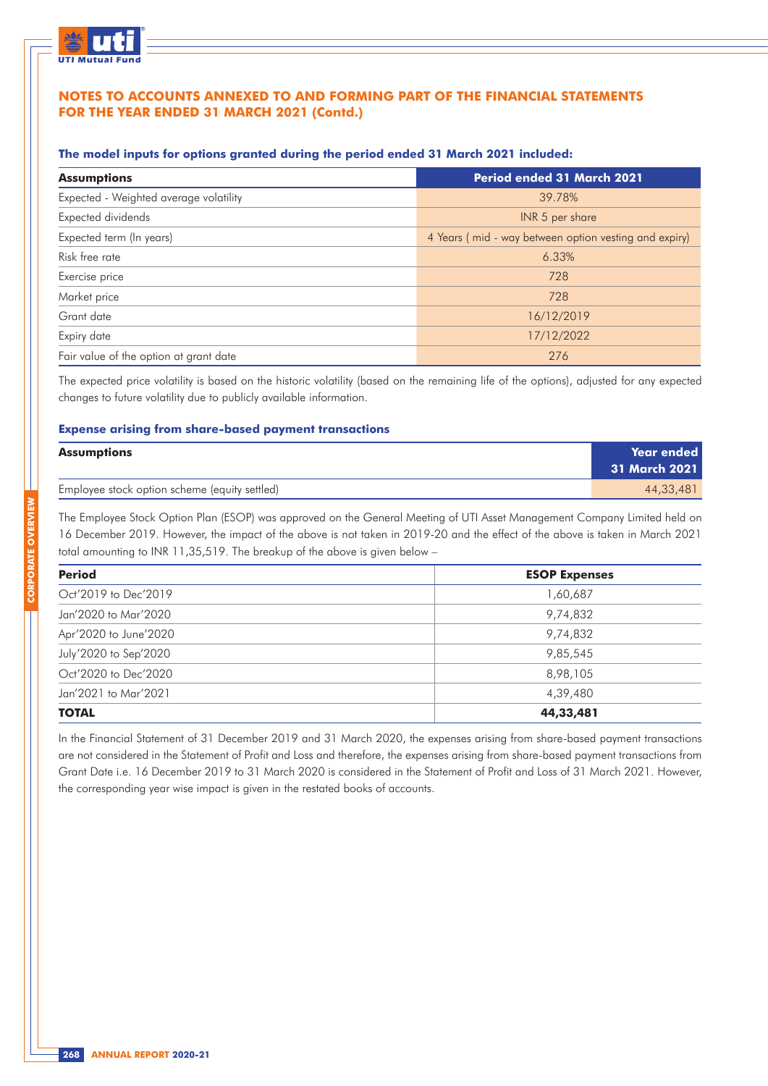

#### **The model inputs for options granted during the period ended 31 March 2021 included:**

| <b>Assumptions</b>                     | Period ended 31 March 2021                            |
|----------------------------------------|-------------------------------------------------------|
| Expected - Weighted average volatility | 39.78%                                                |
| Expected dividends                     | INR 5 per share                                       |
| Expected term (In years)               | 4 Years (mid - way between option vesting and expiry) |
| Risk free rate                         | 6.33%                                                 |
| Exercise price                         | 728                                                   |
| Market price                           | 728                                                   |
| Grant date                             | 16/12/2019                                            |
| Expiry date                            | 17/12/2022                                            |
| Fair value of the option at grant date | 276                                                   |

The expected price volatility is based on the historic volatility (based on the remaining life of the options), adjusted for any expected changes to future volatility due to publicly available information.

#### **Expense arising from share-based payment transactions**

| <b>Assumptions</b>                            | <b>Year ended</b><br>31 March 2021 |
|-----------------------------------------------|------------------------------------|
| Employee stock option scheme (equity settled) | 44,33,481                          |

The Employee Stock Option Plan (ESOP) was approved on the General Meeting of UTI Asset Management Company Limited held on 16 December 2019. However, the impact of the above is not taken in 2019-20 and the effect of the above is taken in March 2021 total amounting to INR 11,35,519. The breakup of the above is given below –

| <b>Period</b>         | <b>ESOP Expenses</b> |  |
|-----------------------|----------------------|--|
| Oct'2019 to Dec'2019  | 1,60,687             |  |
| Jan'2020 to Mar'2020  | 9,74,832             |  |
| Apr'2020 to June'2020 | 9,74,832             |  |
| July'2020 to Sep'2020 | 9,85,545             |  |
| Oct'2020 to Dec'2020  | 8,98,105             |  |
| Jan'2021 to Mar'2021  | 4,39,480             |  |
| <b>TOTAL</b>          | 44,33,481            |  |

In the Financial Statement of 31 December 2019 and 31 March 2020, the expenses arising from share-based payment transactions are not considered in the Statement of Profit and Loss and therefore, the expenses arising from share-based payment transactions from Grant Date i.e. 16 December 2019 to 31 March 2020 is considered in the Statement of Profit and Loss of 31 March 2021. However, the corresponding year wise impact is given in the restated books of accounts.